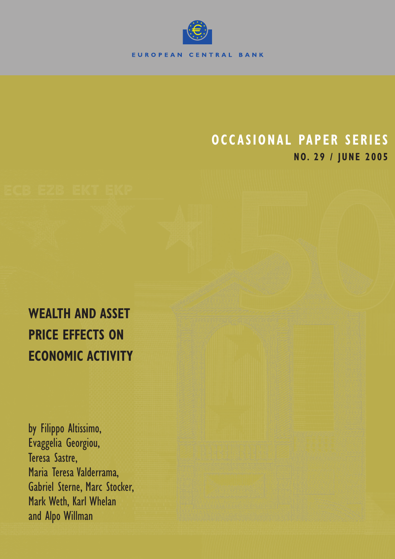

## **OCCASIONAL PAPER SERIES NO. 29 / JUNE 2005**

# **WEALTH AND ASSET PRICE EFFECTS ON ECONOMIC ACTIVITY**

by Filippo Altissimo, Evaggelia Georgiou, Teresa Sastre, Maria Teresa Valderrama, Gabriel Sterne, Marc Stocker, Mark Weth, Karl Whelan and Alpo Willman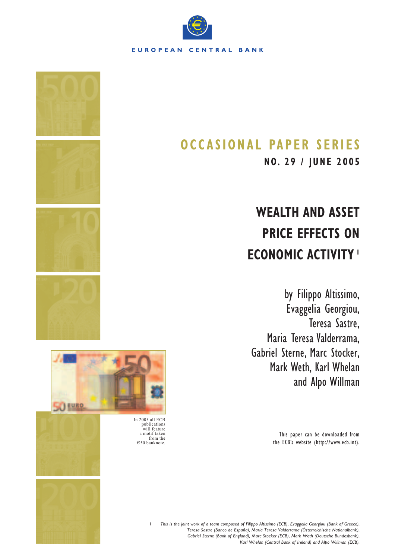

## **OCCASIONAL PAPER SERIES**

**NO. 29 / JUNE 2005**

# **WEALTH AND ASSET PRICE EFFECTS ON ECONOMIC ACTIVITY <sup>1</sup>**

by Filippo Altissimo, Evaggelia Georgiou, Teresa Sastre, Maria Teresa Valderrama, Gabriel Sterne, Marc Stocker, Mark Weth, Karl Whelan and Alpo Willman

> This paper can be downloaded from the ECB's website (http://www.ecb.int).



In 2005 all ECB publications will feature a motif taken from the €50 banknote.

> *1 This is the joint work of a team composed of Filippo Altissimo (ECB), Evaggelia Georgiou (Bank of Greece), Teresa Sastre (Banco de España), Maria Teresa Valderrama (Österreichische Nationalbank), Gabriel Sterne (Bank of England), Marc Stocker (ECB), Mark Weth (Deutsche Bundesbank), Karl Whelan (Central Bank of Ireland) and Alpo Willman (ECB).*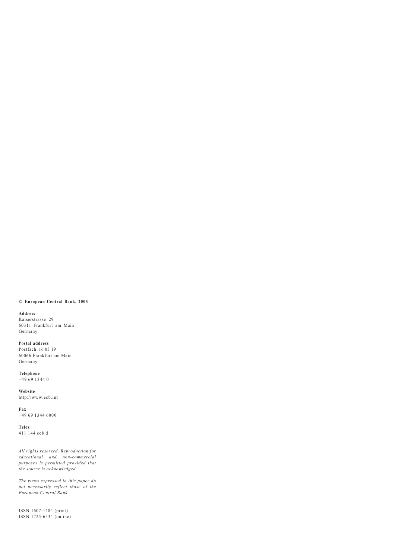#### **© European Central Bank, 2005**

#### **Address**

Kaiserstrasse 29 60311 Frankfurt am Main Germany

**Postal address** Postfach 16 03 19 60066 Frankfurt am Main Germany

**Telephone** +49 69 1344 0

**Website** http://www.ecb.int

**Fax**  $+496913446000$ 

**Telex** 411 144 ecb d

*All rights reserved. Reproduction for educational and non-commercial purposes is permitted provided that the source is acknowledged.*

*The views expressed in this paper do not necessarily reflect those of the European Central Bank.*

ISSN 1607-1484 (print) ISSN 1725-6534 (online)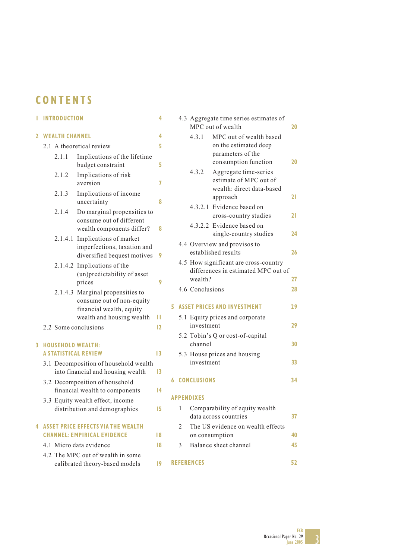### **CONTENTS**

## **1 INTRODUCTION 4**

### **2 WEALTH CHANNEL 4** 2.1 A theoretical review **5**

|              | $\angle$ . 1                                            | A theoretical review                                                                                                   |    |  |  |  |  |  |  |  |
|--------------|---------------------------------------------------------|------------------------------------------------------------------------------------------------------------------------|----|--|--|--|--|--|--|--|
|              | 2.1.1                                                   | Implications of the lifetime<br>budget constraint                                                                      | 5  |  |  |  |  |  |  |  |
|              | 2.1.2                                                   | Implications of risk<br>aversion                                                                                       | 7  |  |  |  |  |  |  |  |
|              | 2.1.3                                                   | Implications of income<br>uncertainty                                                                                  | 8  |  |  |  |  |  |  |  |
|              | 2.1.4                                                   | Do marginal propensities to<br>consume out of different<br>wealth components differ?                                   | 8  |  |  |  |  |  |  |  |
|              | 2.1.4.1                                                 | Implications of market<br>imperfections, taxation and<br>diversified bequest motives                                   | 9  |  |  |  |  |  |  |  |
|              |                                                         | 2.1.4.2 Implications of the<br>(un) predictability of asset<br>prices                                                  | 9  |  |  |  |  |  |  |  |
|              |                                                         | 2.1.4.3 Marginal propensities to<br>consume out of non-equity<br>financial wealth, equity<br>wealth and housing wealth | п  |  |  |  |  |  |  |  |
|              | 2.2 Some conclusions                                    |                                                                                                                        | 12 |  |  |  |  |  |  |  |
| $\mathbf{3}$ | <b>HOUSEHOLD WEALTH:</b><br><b>A STATISTICAL REVIEW</b> |                                                                                                                        | 13 |  |  |  |  |  |  |  |
|              |                                                         | 3.1 Decomposition of household wealth<br>into financial and housing wealth                                             | 13 |  |  |  |  |  |  |  |
|              |                                                         | 3.2 Decomposition of household<br>financial wealth to components                                                       | 14 |  |  |  |  |  |  |  |

3.3 Equity wealth effect, income distribution and demographics **15**

#### **4 ASSET PRICE EFFECTS VIA THE WEALTH CHANNEL: EMPIRICAL EVIDENCE** 18

- 4.1 Micro data evidence **18**
- 4.2 The MPC out of wealth in some calibrated theory-based models **19**

|   |   |                      | 4.3 Aggregate time series estimates of<br>MPC out of wealth                                   | 20 |
|---|---|----------------------|-----------------------------------------------------------------------------------------------|----|
|   |   | 4.3.1                | MPC out of wealth based<br>on the estimated deep<br>parameters of the<br>consumption function | 20 |
|   |   | 4.3.2                | Aggregate time-series<br>estimate of MPC out of<br>wealth: direct data-based<br>approach      | 21 |
|   |   |                      | 4.3.2.1 Evidence based on<br>cross-country studies                                            | 21 |
|   |   |                      | 4.3.2.2 Evidence based on<br>single-country studies                                           | 24 |
|   |   |                      | 4.4 Overview and provisos to<br>established results                                           | 26 |
|   |   |                      | 4.5 How significant are cross-country<br>differences in estimated MPC out of                  |    |
|   |   | wealth?              |                                                                                               | 27 |
|   |   | 4.6 Conclusions      |                                                                                               | 28 |
| 5 |   |                      | <b>ASSET PRICES AND INVESTMENT</b>                                                            | 29 |
|   |   | investment           | 5.1 Equity prices and corporate                                                               | 29 |
|   |   | channel              | 5.2 Tobin's Q or cost-of-capital                                                              | 30 |
|   |   | investment           | 5.3 House prices and housing                                                                  | 33 |
|   |   | <b>6 CONCLUSIONS</b> |                                                                                               | 34 |
|   |   | APPENDIXES           |                                                                                               |    |
|   | 1 |                      | Comparability of equity wealth<br>data across countries                                       | 37 |
|   | 2 |                      | The US evidence on wealth effects<br>on consumption                                           | 40 |
|   | 3 |                      | Balance sheet channel                                                                         | 45 |
|   |   | <b>REFERENCES</b>    |                                                                                               | 52 |

ECB Occasional Paper No. 29 June 2005

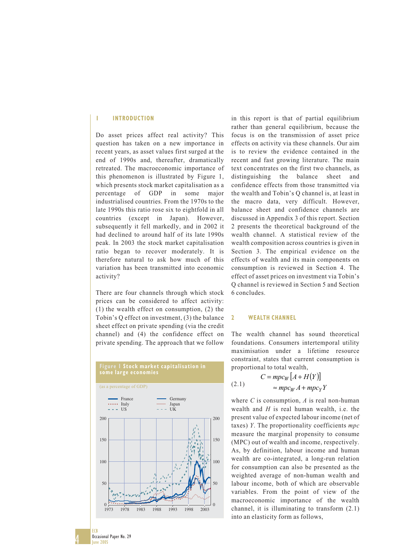#### **1 INTRODUCTION**

Do asset prices affect real activity? This question has taken on a new importance in recent years, as asset values first surged at the end of 1990s and, thereafter, dramatically retreated. The macroeconomic importance of this phenomenon is illustrated by Figure 1, which presents stock market capitalisation as a percentage of GDP in some major industrialised countries. From the 1970s to the late 1990s this ratio rose six to eightfold in all countries (except in Japan). However, subsequently it fell markedly, and in 2002 it had declined to around half of its late 1990s peak. In 2003 the stock market capitalisation ratio began to recover moderately. It is therefore natural to ask how much of this variation has been transmitted into economic activity?

There are four channels through which stock prices can be considered to affect activity: (1) the wealth effect on consumption, (2) the Tobin's Q effect on investment, (3) the balance sheet effect on private spending (via the credit channel) and (4) the confidence effect on private spending. The approach that we follow



in this report is that of partial equilibrium rather than general equilibrium, because the focus is on the transmission of asset price effects on activity via these channels. Our aim is to review the evidence contained in the recent and fast growing literature. The main text concentrates on the first two channels, as distinguishing the balance sheet and confidence effects from those transmitted via the wealth and Tobin's Q channel is, at least in the macro data, very difficult. However, balance sheet and confidence channels are discussed in Appendix 3 of this report. Section 2 presents the theoretical background of the wealth channel. A statistical review of the wealth composition across countries is given in Section 3. The empirical evidence on the effects of wealth and its main components on consumption is reviewed in Section 4. The effect of asset prices on investment via Tobin's Q channel is reviewed in Section 5 and Section 6 concludes.

#### **2 WEALTH CHANNEL**

The wealth channel has sound theoretical foundations. Consumers intertemporal utility maximisation under a lifetime resource constraint, states that current consumption is proportional to total wealth,

$$
C = mpc_W [A + H(Y)]
$$
  
(2.1) 
$$
\approx mpc_W A + mpc_Y Y
$$

where *C* is consumption, *A* is real non-human wealth and *H* is real human wealth, i.e. the present value of expected labour income (net of taxes) *Y*. The proportionality coefficients *mpc* measure the marginal propensity to consume (MPC) out of wealth and income, respectively. As, by definition, labour income and human wealth are co-integrated, a long-run relation for consumption can also be presented as the weighted average of non-human wealth and labour income, both of which are observable variables. From the point of view of the macroeconomic importance of the wealth channel, it is illuminating to transform (2.1) into an elasticity form as follows,

4

ECB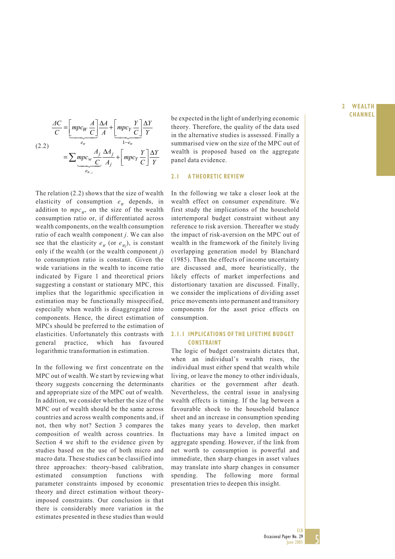$$
\frac{AC}{C} = \underbrace{\left[ mpc_W \frac{A}{C} \right] \frac{\Delta A}{A} + \underbrace{\left[ mpc_Y \frac{Y}{C} \right] \frac{\Delta Y}{Y}}_{1-e_w} \right]
$$
\n
$$
(2.2)
$$
\n
$$
= \sum \underbrace{ mpc_W \frac{A_j}{C} \frac{\Delta A_j}{A_j}}_{e_{w,j}} + \underbrace{\left[ mpc_Y \frac{Y}{C} \right] \frac{\Delta Y}{Y}}_{P_{w,j}}
$$

The relation (2.2) shows that the size of wealth elasticity of consumption  $e_w$  depends, in addition to  $mpc_w$ , on the size of the wealth consumption ratio or, if differentiated across wealth components, on the wealth consumption ratio of each wealth component *j*. We can also see that the elasticity  $e_w$  (or  $e_w$ ), is constant only if the wealth (or the wealth component *j*) to consumption ratio is constant. Given the wide variations in the wealth to income ratio indicated by Figure 1 and theoretical priors suggesting a constant or stationary MPC, this implies that the logarithmic specification in estimation may be functionally misspecified, especially when wealth is disaggregated into components. Hence, the direct estimation of MPCs should be preferred to the estimation of elasticities. Unfortunately this contrasts with general practice, which has favoured logarithmic transformation in estimation.

In the following we first concentrate on the MPC out of wealth. We start by reviewing what theory suggests concerning the determinants and appropriate size of the MPC out of wealth. In addition, we consider whether the size of the MPC out of wealth should be the same across countries and across wealth components and, if not, then why not? Section 3 compares the composition of wealth across countries. In Section 4 we shift to the evidence given by studies based on the use of both micro and macro data. These studies can be classified into three approaches: theory-based calibration, estimated consumption functions with parameter constraints imposed by economic theory and direct estimation without theoryimposed constraints. Our conclusion is that there is considerably more variation in the estimates presented in these studies than would

be expected in the light of underlying economic theory. Therefore, the quality of the data used in the alternative studies is assessed. Finally a summarised view on the size of the MPC out of wealth is proposed based on the aggregate panel data evidence.

#### **2.1 A THEORETIC REVIEW**

In the following we take a closer look at the wealth effect on consumer expenditure. We first study the implications of the household intertemporal budget constraint without any reference to risk aversion. Thereafter we study the impact of risk-aversion on the MPC out of wealth in the framework of the finitely living overlapping generation model by Blanchard (1985). Then the effects of income uncertainty are discussed and, more heuristically, the likely effects of market imperfections and distortionary taxation are discussed. Finally, we consider the implications of dividing asset price movements into permanent and transitory components for the asset price effects on consumption.

#### **2.1.1 IMPLICATIONS OF THE LIFETIME BUDGET CONSTRAINT**

The logic of budget constraints dictates that, when an individual's wealth rises, the individual must either spend that wealth while living, or leave the money to other individuals, charities or the government after death. Nevertheless, the central issue in analysing wealth effects is timing. If the lag between a favourable shock to the household balance sheet and an increase in consumption spending takes many years to develop, then market fluctuations may have a limited impact on aggregate spending. However, if the link from net worth to consumption is powerful and immediate, then sharp changes in asset values may translate into sharp changes in consumer spending. The following more formal presentation tries to deepen this insight.

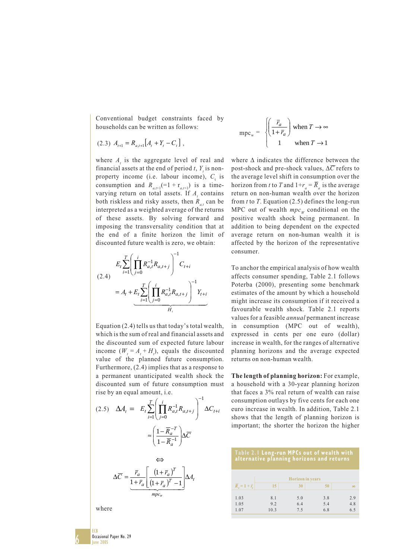Conventional budget constraints faced by households can be written as follows:

$$
(2.3) A_{t+1} = R_{a,t+1} [A_t + Y_t - C_t],
$$

where  $A_t$  is the aggregate level of real and financial assets at the end of period  $t$ ,  $Y<sub>t</sub>$  is nonproperty income (i.e. labour income),  $C<sub>t</sub>$  is consumption and  $R_{a,t+1}$ (=1 +  $r_{a,t+1}$ ) is a timevarying return on total assets. If  $A_t$  contains both riskless and risky assets, then  $R_a$ , can be interpreted as a weighted average of the returns of these assets. By solving forward and imposing the transversality condition that at the end of a finite horizon the limit of discounted future wealth is zero, we obtain:



Equation (2.4) tells us that today's total wealth, which is the sum of real and financial assets and the discounted sum of expected future labour income  $(W_t = A_t + H_t)$ , equals the discounted value of the planned future consumption. Furthermore, (2.4) implies that as a response to a permanent unanticipated wealth shock the discounted sum of future consumption must rise by an equal amount, i.e.

$$
(2.5) \quad \Delta A_t = E_t \sum_{i=1}^T \left( \prod_{j=0}^i R_{a,t}^{-1} R_{a,t+j} \right)^{-1} \Delta C_{t+i}
$$
\n
$$
\approx \left( \frac{1 - \overline{R}_a^{-T}}{1 - \overline{R}_a^{-1}} \right) \Delta \overline{C}
$$
\n
$$
\Leftrightarrow
$$
\n
$$
\Delta \overline{C} = \underbrace{\overline{r}_a}{\frac{1 + \overline{r}_a}{1 + \overline{r}_a} \left[ \frac{\left(1 + \overline{r}_a\right)^T}{\left(1 + \overline{r}_a\right)^T - 1} \right]}_{mpc_w} \Delta A_t
$$

$$
mpc_w = \begin{cases} \left(\frac{\overline{r}_a}{1 + \overline{r}_a}\right) \text{ when } T \to \infty\\ 1 \qquad \text{when } T \to 1 \end{cases}
$$

where ∆ indicates the difference between the post-shock and pre-shock values, ∆*C* refers to the average level shift in consumption over the horizon from *t* to *T* and  $1+r_a = \overline{R}_a$  is the average return on non-human wealth over the horizon from *t* to *T*. Equation (2.5) defines the long-run MPC out of wealth  $mpc_w$  conditional on the positive wealth shock being permanent. In addition to being dependent on the expected average return on non-human wealth it is affected by the horizon of the representative consumer.

To anchor the empirical analysis of how wealth affects consumer spending, Table 2.1 follows Poterba (2000), presenting some benchmark estimates of the amount by which a household might increase its consumption if it received a favourable wealth shock. Table 2.1 reports values for a feasible *annual* permanent increase in consumption (MPC out of wealth), expressed in cents per one euro (dollar) increase in wealth, for the ranges of alternative planning horizons and the average expected returns on non-human wealth.

**The length of planning horizon:** For example, a household with a 30-year planning horizon that faces a 3% real return of wealth can raise consumption outlays by five cents for each one euro increase in wealth. In addition, Table 2.1 shows that the length of planning horizon is important; the shorter the horizon the higher

| Table 2.1 Long-run MPCs out of wealth with |  |
|--------------------------------------------|--|
| alternative planning horizons and returns  |  |

| $\overline{R}_a = 1 + \overline{r}_a$ | 15                 | 30                | 50                | $\infty$          |
|---------------------------------------|--------------------|-------------------|-------------------|-------------------|
| 1.03<br>1.05<br>1.07                  | 8.1<br>9.2<br>10.3 | 5.0<br>6.4<br>7.5 | 3.8<br>5.4<br>6.8 | 2.9<br>4.8<br>6.5 |

where

Occasional Paper No. 29

ECB June 2005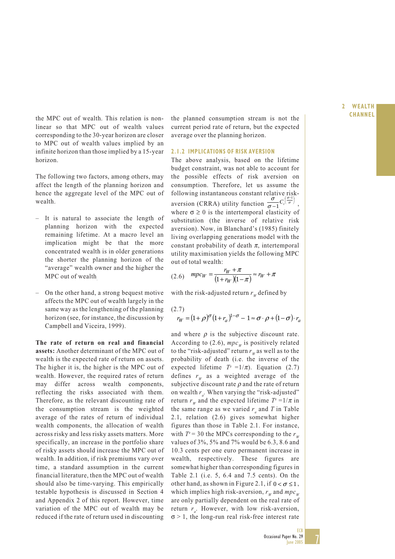**2 WEALTH**

the MPC out of wealth. This relation is non- the planned consumption stream is not the **CHANNEL** linear so that MPC out of wealth values corresponding to the 30-year horizon are closer to MPC out of wealth values implied by an infinite horizon than those implied by a 15-year horizon.

The following two factors, among others, may affect the length of the planning horizon and hence the aggregate level of the MPC out of wealth.

- It is natural to associate the length of planning horizon with the expected remaining lifetime. At a macro level an implication might be that the more concentrated wealth is in older generations the shorter the planning horizon of the "average" wealth owner and the higher the MPC out of wealth*.*
- On the other hand, a strong bequest motive affects the MPC out of wealth largely in the same way as the lengthening of the planning horizon (see, for instance, the discussion by Campbell and Viceira, 1999).

**The rate of return on real and financial assets:** Another determinant of the MPC out of wealth is the expected rate of return on assets. The higher it is, the higher is the MPC out of wealth. However, the required rates of return may differ across wealth components, reflecting the risks associated with them. Therefore, as the relevant discounting rate of the consumption stream is the weighted average of the rates of return of individual wealth components, the allocation of wealth across risky and less risky assets matters. More specifically, an increase in the portfolio share of risky assets should increase the MPC out of wealth. In addition, if risk premiums vary over time, a standard assumption in the current financial literature, then the MPC out of wealth should also be time-varying. This empirically testable hypothesis is discussed in Section 4 and Appendix 2 of this report. However, time variation of the MPC out of wealth may be reduced if the rate of return used in discounting

current period rate of return, but the expected average over the planning horizon.

#### **2.1.2 IMPLICATIONS OF RISK AVERSION**

The above analysis, based on the lifetime budget constraint, was not able to account for the possible effects of risk aversion on consumption. Therefore, let us assume the following instantaneous constant relative riskaversion (CRRA) utility function  $\frac{\sigma}{\sigma-1}C_i\left(\frac{\sigma-1}{\sigma}\right)$  $\frac{\sigma}{\sigma-1}C_t^{\frac{\sigma}{\sigma}}$ σ  $\sigma$   $(\frac{\sigma-1}{\sigma-1})$  $\frac{-C_t(\overline{\sigma})}{1},$ where  $\sigma \geq 0$  is the intertemporal elasticity of substitution (the inverse of relative risk aversion). Now, in Blanchard's (1985) finitely living overlapping generations model with the constant probability of death  $\pi$ , intertemporal utility maximisation yields the following MPC out of total wealth:

(2.6) 
$$
mpc_W = \frac{r_W + \pi}{(1 + r_W)(1 - \pi)} \approx r_W + \pi
$$

with the risk-adjusted return  $r_w$  defined by

$$
\begin{aligned} (2.7) \\ r_W &= (1+\rho)^{\sigma} (1+r_a)^{1-\sigma} - 1 \approx \sigma \cdot \rho + (1-\sigma) \cdot r_a \end{aligned}
$$

and where  $\rho$  is the subjective discount rate. According to (2.6),  $mpc_w$  is positively related to the "risk-adjusted" return  $r_w$  as well as to the probability of death (i.e. the inverse of the expected lifetime  $T^e = 1/\pi$ ). Equation (2.7) defines  $r_w$  as a weighted average of the subjective discount rate  $\rho$  and the rate of return on wealth  $r_a$ . When varying the "risk-adjusted" return  $r_w$  and the expected lifetime  $T^e = 1/\pi$  in the same range as we varied  $r_a$  and  $T$  in Table 2.1, relation (2.6) gives somewhat higher figures than those in Table 2.1. For instance, with  $T<sup>e</sup> = 30$  the MPCs corresponding to the  $r_w$ values of 3%, 5% and 7% would be 6.3, 8.6 and 10.3 cents per one euro permanent increase in wealth, respectively. These figures are somewhat higher than corresponding figures in Table 2.1 (i.e. 5, 6.4 and 7.5 cents). On the other hand, as shown in Figure 2.1, if  $0 < \sigma \le 1$ , which implies high risk-aversion,  $r_w$  and  $mpc_w$ are only partially dependent on the real rate of return  $r_a$ . However, with low risk-aversion,  $\sigma$  > 1, the long-run real risk-free interest rate

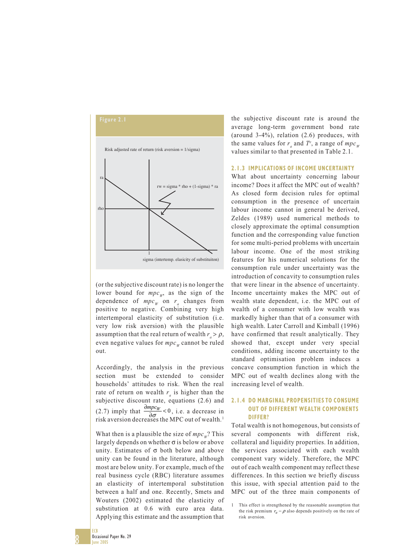

(or the subjective discount rate) is no longer the lower bound for  $mpc_w$ , as the sign of the dependence of  $mpc_w$  on  $r_a$  changes from positive to negative. Combining very high intertemporal elasticity of substitution (i.e. very low risk aversion) with the plausible assumption that the real return of wealth  $r > \rho$ , even negative values for  $mpc_w$  cannot be ruled out.

Accordingly, the analysis in the previous section must be extended to consider households' attitudes to risk. When the real rate of return on wealth  $r_a$  is higher than the subjective discount rate, equations (2.6) and (2.7) imply that  $\frac{\partial mpc_W}{\partial \sigma} < 0$  $\frac{mpc_W}{\partial \sigma}$  < 0, i.e. a decrease in risk aversion decreases the MPC out of wealth.<sup>1</sup>

What then is a plausible the size of  $mpc_w$ ? This largely depends on whether σ is below or above unity. Estimates of  $\sigma$  both below and above unity can be found in the literature, although most are below unity. For example, much of the real business cycle (RBC) literature assumes an elasticity of intertemporal substitution between a half and one. Recently, Smets and Wouters (2002) estimated the elasticity of substitution at 0.6 with euro area data. Applying this estimate and the assumption that

the subjective discount rate is around the average long-term government bond rate (around 3-4%), relation (2.6) produces, with the same values for  $r_a$  and  $T^e$ , a range of  $mpc_w$ values similar to that presented in Table 2.1.

#### **2.1.3 IMPLICATIONS OF INCOME UNCERTAINTY**

What about uncertainty concerning labour income? Does it affect the MPC out of wealth? As closed form decision rules for optimal consumption in the presence of uncertain labour income cannot in general be derived, Zeldes (1989) used numerical methods to closely approximate the optimal consumption function and the corresponding value function for some multi-period problems with uncertain labour income. One of the most striking features for his numerical solutions for the consumption rule under uncertainty was the introduction of concavity to consumption rules that were linear in the absence of uncertainty. Income uncertainty makes the MPC out of wealth state dependent, i.e. the MPC out of wealth of a consumer with low wealth was markedly higher than that of a consumer with high wealth. Later Carroll and Kimball (1996) have confirmed that result analytically. They showed that, except under very special conditions, adding income uncertainty to the standard optimisation problem induces a concave consumption function in which the MPC out of wealth declines along with the increasing level of wealth.

#### **2.1.4 DO MARGINAL PROPENSITIES TO CONSUME OUT OF DIFFERENT WEALTH COMPONENTS DIFFER?**

Total wealth is not homogenous, but consists of several components with different risk, collateral and liquidity properties. In addition, the services associated with each wealth component vary widely. Therefore, the MPC out of each wealth component may reflect these differences. In this section we briefly discuss this issue, with special attention paid to the MPC out of the three main components of

<sup>1</sup> This effect is strengthened by the reasonable assumption that the risk premium  $r_a - \rho$  also depends positively on the rate of risk aversion.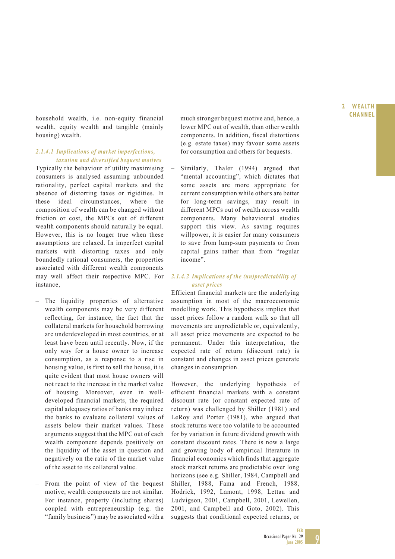**CHANNEL** household wealth, i.e. non-equity financial much stronger bequest motive and, hence, a wealth, equity wealth and tangible (mainly housing) wealth.

#### *2.1.4.1 Implications of market imperfections, taxation and diversified bequest motives*

Typically the behaviour of utility maximising consumers is analysed assuming unbounded rationality, perfect capital markets and the absence of distorting taxes or rigidities. In these ideal circumstances, where the composition of wealth can be changed without friction or cost, the MPCs out of different wealth components should naturally be equal. However, this is no longer true when these assumptions are relaxed. In imperfect capital markets with distorting taxes and only boundedly rational consumers, the properties associated with different wealth components may well affect their respective MPC. For instance,

- The liquidity properties of alternative wealth components may be very different reflecting, for instance, the fact that the collateral markets for household borrowing are underdeveloped in most countries, or at least have been until recently. Now, if the only way for a house owner to increase consumption, as a response to a rise in housing value, is first to sell the house, it is quite evident that most house owners will not react to the increase in the market value of housing. Moreover, even in welldeveloped financial markets, the required capital adequacy ratios of banks may induce the banks to evaluate collateral values of assets below their market values. These arguments suggest that the MPC out of each wealth component depends positively on the liquidity of the asset in question and negatively on the ratio of the market value of the asset to its collateral value.
- From the point of view of the bequest motive, wealth components are not similar. For instance, property (including shares) coupled with entrepreneurship (e.g. the "family business") may be associated with a

much stronger bequest motive and, hence, a lower MPC out of wealth, than other wealth components. In addition, fiscal distortions (e.g. estate taxes) may favour some assets for consumption and others for bequests.

Similarly, Thaler (1994) argued that "mental accounting", which dictates that some assets are more appropriate for current consumption while others are better for long-term savings, may result in different MPCs out of wealth across wealth components. Many behavioural studies support this view. As saving requires willpower, it is easier for many consumers to save from lump-sum payments or from capital gains rather than from "regular income".

#### *2.1.4.2 Implications of the (un)predictability of asset prices*

Efficient financial markets are the underlying assumption in most of the macroeconomic modelling work. This hypothesis implies that asset prices follow a random walk so that all movements are unpredictable or, equivalently, all asset price movements are expected to be permanent. Under this interpretation, the expected rate of return (discount rate) is constant and changes in asset prices generate changes in consumption.

However, the underlying hypothesis of efficient financial markets with a constant discount rate (or constant expected rate of return) was challenged by Shiller (1981) and LeRoy and Porter (1981), who argued that stock returns were too volatile to be accounted for by variation in future dividend growth with constant discount rates. There is now a large and growing body of empirical literature in financial economics which finds that aggregate stock market returns are predictable over long horizons (see e.g. Shiller, 1984, Campbell and Shiller, 1988, Fama and French, 1988, Hodrick, 1992, Lamont, 1998, Lettau and Ludvigson, 2001, Campbell, 2001, Lewellen, 2001, and Campbell and Goto, 2002). This suggests that conditional expected returns, or

## **2 WEALTH**

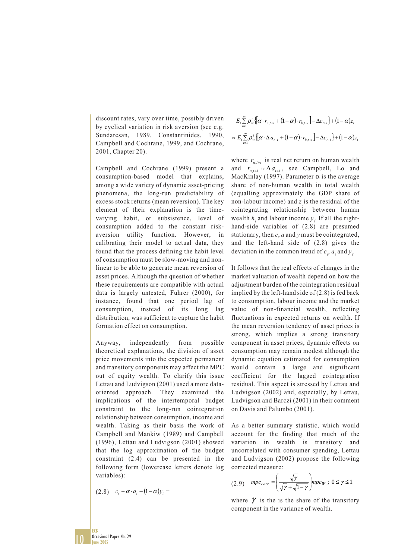discount rates, vary over time, possibly driven by cyclical variation in risk aversion (see e.g. Sundaresan, 1989, Constantinides, 1990, Campbell and Cochrane, 1999, and Cochrane, 2001, Chapter 20).

Campbell and Cochrane (1999) present a consumption-based model that explains, among a wide variety of dynamic asset-pricing phenomena, the long-run predictability of excess stock returns (mean reversion). The key element of their explanation is the timevarying habit, or subsistence, level of consumption added to the constant riskaversion utility function. However, in calibrating their model to actual data, they found that the process defining the habit level of consumption must be slow-moving and nonlinear to be able to generate mean reversion of asset prices. Although the question of whether these requirements are compatible with actual data is largely untested, Fuhrer (2000), for instance, found that one period lag of consumption, instead of its long lag distribution, was sufficient to capture the habit formation effect on consumption.

Anyway, independently from possible theoretical explanations, the division of asset price movements into the expected permanent and transitory components may affect the MPC out of equity wealth. To clarify this issue Lettau and Ludvigson (2001) used a more dataoriented approach. They examined the implications of the intertemporal budget constraint to the long-run cointegration relationship between consumption, income and wealth. Taking as their basis the work of Campbell and Mankiw (1989) and Campbell (1996), Lettau and Ludvigson (2001) showed that the log approximation of the budget constraint (2.4) can be presented in the following form (lowercase letters denote log variables):

$$
(2.8) \quad c_t - \alpha \cdot a_t - (1 - \alpha)y_t =
$$

$$
E_{t} \sum_{i=1}^{\infty} \rho_{w}^{i} \left\{ \left[ \alpha \cdot r_{a,t+i} + (1 - \alpha) \cdot r_{h,t+i} \right] - \Delta c_{t+i} \right\} + (1 - \alpha) z_{t}
$$

$$
\approx E_{t} \sum_{i=1}^{\infty} \rho_{w}^{i} \left\{ \left[ \alpha \cdot \Delta a_{t+i} + (1 - \alpha) \cdot r_{h,t+i} \right] - \Delta c_{t+i} \right\} + (1 - \alpha) z_{t}
$$

where  $r_{h_{t+1}}$  is real net return on human wealth and  $r_{a,t+i} \approx \Delta a_{t+i}$ , see Campbell, Lo and MacKinlay (1997). Parameter  $\alpha$  is the average share of non-human wealth in total wealth (equalling approximately the GDP share of non-labour income) and  $z$  is the residual of the cointegrating relationship between human wealth  $h_t$  and labour income  $y_t$ . If all the righthand-side variables of (2.8) are presumed stationary, then *c*, *a* and *y* must be cointegrated, and the left-hand side of (2.8) gives the deviation in the common trend of  $c_t$ ,  $a_t$  and  $y_t$ .

It follows that the real effects of changes in the market valuation of wealth depend on how the adjustment burden of the cointegration residual implied by the left-hand side of (2.8) is fed back to consumption, labour income and the market value of non-financial wealth, reflecting fluctuations in expected returns on wealth. If the mean reversion tendency of asset prices is strong, which implies a strong transitory component in asset prices, dynamic effects on consumption may remain modest although the dynamic equation estimated for consumption would contain a large and significant coefficient for the lagged cointegration residual. This aspect is stressed by Lettau and Ludvigson (2002) and, especially, by Lettau, Ludvigson and Barczi (2001) in their comment on Davis and Palumbo (2001).

As a better summary statistic, which would account for the finding that much of the variation in wealth is transitory and uncorrelated with consumer spending, Lettau and Ludvigson (2002) propose the following corrected measure:

$$
(2.9) \quad mpc_{corr} = \left(\frac{\sqrt{\gamma}}{\sqrt{\gamma} + \sqrt{1 - \gamma}}\right) mpc_W \; ; \; 0 \le \gamma \le 1
$$

where  $\gamma$  is the is the share of the transitory component in the variance of wealth.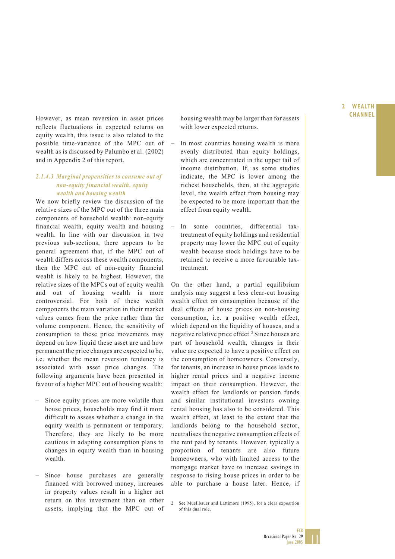However, as mean reversion in asset prices housing wealth may be larger than for assets **CHANNEL** housing wealth may be larger than for assets with lower expected returns.

- In most countries housing wealth is more evenly distributed than equity holdings, which are concentrated in the upper tail of income distribution. If, as some studies indicate, the MPC is lower among the richest households, then, at the aggregate level, the wealth effect from housing may be expected to be more important than the effect from equity wealth.
- In some countries, differential taxtreatment of equity holdings and residential property may lower the MPC out of equity wealth because stock holdings have to be retained to receive a more favourable taxtreatment.

On the other hand, a partial equilibrium analysis may suggest a less clear-cut housing wealth effect on consumption because of the dual effects of house prices on non-housing consumption, i.e. a positive wealth effect, which depend on the liquidity of houses, and a negative relative price effect.<sup>2</sup> Since houses are part of household wealth, changes in their value are expected to have a positive effect on the consumption of homeowners. Conversely, for tenants, an increase in house prices leads to higher rental prices and a negative income impact on their consumption. However, the wealth effect for landlords or pension funds and similar institutional investors owning rental housing has also to be considered. This wealth effect, at least to the extent that the landlords belong to the household sector, neutralises the negative consumption effects of the rent paid by tenants. However, typically a proportion of tenants are also future homeowners, who with limited access to the mortgage market have to increase savings in response to rising house prices in order to be able to purchase a house later. Hence, if

reflects fluctuations in expected returns on equity wealth, this issue is also related to the possible time-variance of the MPC out of wealth as is discussed by Palumbo et al. (2002) and in Appendix 2 of this report.

#### *2.1.4.3 Marginal propensities to consume out of non-equity financial wealth, equity wealth and housing wealth*

We now briefly review the discussion of the relative sizes of the MPC out of the three main components of household wealth: non-equity financial wealth, equity wealth and housing wealth. In line with our discussion in two previous sub-sections, there appears to be general agreement that, if the MPC out of wealth differs across these wealth components, then the MPC out of non-equity financial wealth is likely to be highest. However, the relative sizes of the MPCs out of equity wealth and out of housing wealth is more controversial. For both of these wealth components the main variation in their market values comes from the price rather than the volume component. Hence, the sensitivity of consumption to these price movements may depend on how liquid these asset are and how permanent the price changes are expected to be, i.e. whether the mean reversion tendency is associated with asset price changes. The following arguments have been presented in favour of a higher MPC out of housing wealth:

- Since equity prices are more volatile than house prices, households may find it more difficult to assess whether a change in the equity wealth is permanent or temporary. Therefore, they are likely to be more cautious in adapting consumption plans to changes in equity wealth than in housing wealth.
- Since house purchases are generally financed with borrowed money, increases in property values result in a higher net return on this investment than on other assets, implying that the MPC out of

**2 WEALTH**

<sup>2</sup> See Muellbauer and Lattimore (1995), for a clear exposition of this dual role.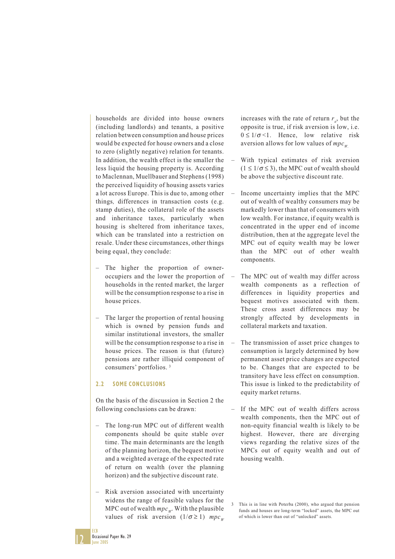households are divided into house owners (including landlords) and tenants, a positive relation between consumption and house prices would be expected for house owners and a close to zero (slightly negative) relation for tenants. In addition, the wealth effect is the smaller the less liquid the housing property is. According to Maclennan, Muellbauer and Stephens (1998) the perceived liquidity of housing assets varies a lot across Europe. This is due to, among other things*,* differences in transaction costs (e.g. stamp duties), the collateral role of the assets and inheritance taxes, particularly when housing is sheltered from inheritance taxes, which can be translated into a restriction on resale. Under these circumstances, other things being equal, they conclude:

- The higher the proportion of owneroccupiers and the lower the proportion of households in the rented market, the larger will be the consumption response to a rise in house prices.
- The larger the proportion of rental housing which is owned by pension funds and similar institutional investors, the smaller will be the consumption response to a rise in house prices. The reason is that (future) pensions are rather illiquid component of consumers' portfolios. 3

#### **2.2 SOME CONCLUSIONS**

On the basis of the discussion in Section 2 the following conclusions can be drawn:

- The long-run MPC out of different wealth components should be quite stable over time. The main determinants are the length of the planning horizon, the bequest motive and a weighted average of the expected rate of return on wealth (over the planning horizon) and the subjective discount rate.
- Risk aversion associated with uncertainty widens the range of feasible values for the MPC out of wealth  $mpc_w$ . With the plausible values of risk aversion  $(1/\sigma \ge 1)$  *mpc<sub>W</sub>*

increases with the rate of return  $r_a$ , but the opposite is true, if risk aversion is low, i.e.  $0 \leq 1/\sigma \leq 1$ . Hence, low relative risk aversion allows for low values of  $mpc_w$ .

- With typical estimates of risk aversion  $(1 \leq 1/\sigma \leq 3)$ , the MPC out of wealth should be above the subjective discount rate.
- Income uncertainty implies that the MPC out of wealth of wealthy consumers may be markedly lower than that of consumers with low wealth. For instance, if equity wealth is concentrated in the upper end of income distribution, then at the aggregate level the MPC out of equity wealth may be lower than the MPC out of other wealth components.
- The MPC out of wealth may differ across wealth components as a reflection of differences in liquidity properties and bequest motives associated with them. These cross asset differences may be strongly affected by developments in collateral markets and taxation.
- The transmission of asset price changes to consumption is largely determined by how permanent asset price changes are expected to be. Changes that are expected to be transitory have less effect on consumption. This issue is linked to the predictability of equity market returns.
- If the MPC out of wealth differs across wealth components, then the MPC out of non-equity financial wealth is likely to be highest. However, there are diverging views regarding the relative sizes of the MPCs out of equity wealth and out of housing wealth.

12

ECB

This is in line with Poterba (2000), who argued that pension funds and houses are long-term "locked" assets, the MPC out of which is lower than out of "unlocked" assets.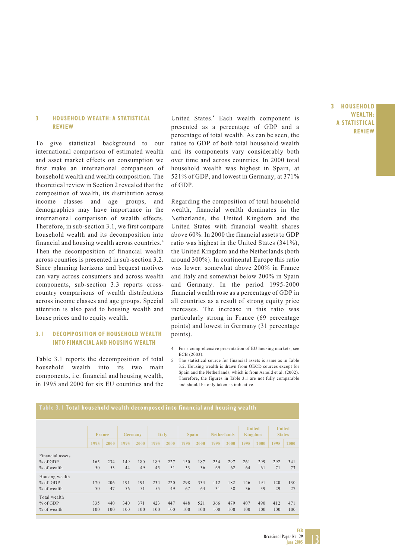#### **3 HOUSEHOLD WEALTH: A STATISTICAL REVIEW**

To give statistical background to our international comparison of estimated wealth and asset market effects on consumption we first make an international comparison of household wealth and wealth composition. The theoretical review in Section 2 revealed that the composition of wealth, its distribution across income classes and age groups, and demographics may have importance in the international comparison of wealth effects. Therefore, in sub-section 3.1, we first compare household wealth and its decomposition into financial and housing wealth across countries.4 Then the decomposition of financial wealth across counties is presented in sub-section 3.2. Since planning horizons and bequest motives can vary across consumers and across wealth components, sub-section 3.3 reports crosscountry comparisons of wealth distributions across income classes and age groups. Special attention is also paid to housing wealth and house prices and to equity wealth.

#### **3.1 DECOMPOSITION OF HOUSEHOLD WEALTH INTO FINANCIAL AND HOUSING WEALTH**

Table 3.1 reports the decomposition of total household wealth into its two main components, i.e. financial and housing wealth, in 1995 and 2000 for six EU countries and the

United States.<sup>5</sup> Each wealth component is presented as a percentage of GDP and a percentage of total wealth. As can be seen, the ratios to GDP of both total household wealth and its components vary considerably both over time and across countries. In 2000 total household wealth was highest in Spain, at 521% of GDP, and lowest in Germany, at 371% of GDP.

Regarding the composition of total household wealth, financial wealth dominates in the Netherlands, the United Kingdom and the United States with financial wealth shares above 60%. In 2000 the financial assets to GDP ratio was highest in the United States (341%), the United Kingdom and the Netherlands (both around 300%). In continental Europe this ratio was lower: somewhat above 200% in France and Italy and somewhat below 200% in Spain and Germany. In the period 1995-2000 financial wealth rose as a percentage of GDP in all countries as a result of strong equity price increases. The increase in this ratio was particularly strong in France (69 percentage points) and lowest in Germany (31 percentage points).

- 4 For a comprehensive presentation of EU housing markets, see ECB (2003).
- 5 The statistical source for financial assets is same as in Table 3.2. Housing wealth is drawn from OECD sources except for Spain and the Netherlands, which is from Arnold et al. (2002). Therefore, the figures in Table 3.1 are not fully comparable and should be only taken as indicative.

|                  | France |      |      | Germany |      | <b>Italy</b> | <b>Spain</b> |      |      | <b>Netherlands</b> |      | United<br>Kingdom |      | United<br><b>States</b> |
|------------------|--------|------|------|---------|------|--------------|--------------|------|------|--------------------|------|-------------------|------|-------------------------|
|                  | 1995   | 2000 | 1995 | 2000    | 1995 | 2000         | 1995         | 2000 | 1995 | 2000               | 1995 | 2000              | 1995 | 2000                    |
| Financial assets |        |      |      |         |      |              |              |      |      |                    |      |                   |      |                         |
| % of GDP         | 165    | 234  | 149  | 180     | 189  | 227          | 150          | 187  | 254  | 297                | 261  | 299               | 292  | 341                     |
| % of wealth      | 50     | 53   | 44   | 49      | 45   | 51           | 33           | 36   | 69   | 62                 | 64   | 61                | 71   | 73                      |
| Housing wealth   |        |      |      |         |      |              |              |      |      |                    |      |                   |      |                         |
| % of GDP         | 170    | 206  | 191  | 191     | 234  | 220          | 298          | 334  | 112  | 182                | 146  | 191               | 120  | 130                     |
| % of wealth      | 50     | 47   | 56   | 51      | 55   | 49           | 67           | 64   | 31   | 38                 | 36   | 39                | 29   | 27                      |
| Total wealth     |        |      |      |         |      |              |              |      |      |                    |      |                   |      |                         |
| % of GDP         | 335    | 440  | 340  | 371     | 423  | 447          | 448          | 521  | 366  | 479                | 407  | 490               | 412  | 471                     |
| % of wealth      | 100    | 100  | 100  | 100     | 100  | 100          | 100          | 100  | 100  | 100                | 100  | 100               | 100  | 100                     |

### **Table 3.1 Total household wealth decomposed into financial and housing wealth**

**3 HOUSEHOLD**

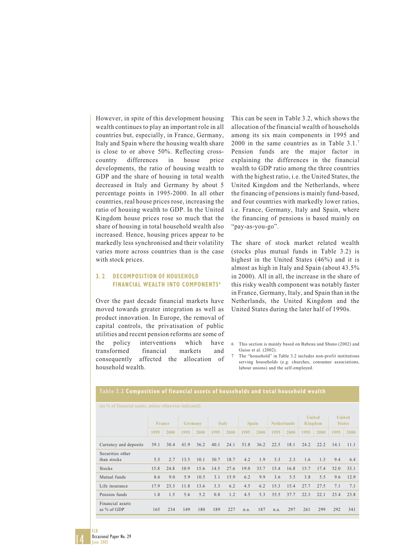However, in spite of this development housing wealth continues to play an important role in all countries but, especially, in France, Germany, Italy and Spain where the housing wealth share is close to or above 50%. Reflecting crosscountry differences in house price developments, the ratio of housing wealth to GDP and the share of housing in total wealth decreased in Italy and Germany by about 5 percentage points in 1995-2000. In all other countries, real house prices rose, increasing the ratio of housing wealth to GDP. In the United Kingdom house prices rose so much that the share of housing in total household wealth also increased. Hence, housing prices appear to be markedly less synchronised and their volatility varies more across countries than is the case with stock prices.

#### **3. 2 DECOMPOSITION OF HOUSEHOLD FINANCIAL WEALTH INTO COMPONENTS<sup>6</sup>**

Over the past decade financial markets have moved towards greater integration as well as product innovation. In Europe, the removal of capital controls, the privatisation of public utilities and recent pension reforms are some of the policy interventions which have transformed financial markets and consequently affected the allocation of household wealth.

This can be seen in Table 3.2, which shows the allocation of the financial wealth of households among its six main components in 1995 and 2000 in the same countries as in Table 3.1.7 Pension funds are the major factor in explaining the differences in the financial wealth to GDP ratio among the three countries with the highest ratio, i.e. the United States, the United Kingdom and the Netherlands, where the financing of pensions is mainly fund-based, and four countries with markedly lower ratios, i.e. France, Germany, Italy and Spain, where the financing of pensions is based mainly on "pay-as-you-go".

The share of stock market related wealth (stocks plus mutual funds in Table 3.2) is highest in the United States (46%) and it is almost as high in Italy and Spain (about 43.5% in 2000). All in all, the increase in the share of this risky wealth component was notably faster in France, Germany, Italy, and Spain than in the Netherlands, the United Kingdom and the United States during the later half of 1990s.

7 The "household" in Table 3.2 includes non-profit institutions serving households (e.g. churches, consumer associations, labour unions) and the self-employed.

| (as % of financial assets, unless otherwise indicated) |               |      |         |      |              |      |              |      |                    |      |                          |      |                                |      |
|--------------------------------------------------------|---------------|------|---------|------|--------------|------|--------------|------|--------------------|------|--------------------------|------|--------------------------------|------|
|                                                        | <b>France</b> |      | Germany |      | <b>Italy</b> |      | <b>Spain</b> |      | <b>Netherlands</b> |      | <b>United</b><br>Kingdom |      | <b>United</b><br><b>States</b> |      |
|                                                        | 1995          | 2000 | 1995    | 2000 | 1995         | 2000 | 1995         | 2000 | 1995               | 2000 | 1995                     | 2000 | 1995                           | 2000 |
| Currency and deposits                                  | 39.1          | 30.4 | 41.9    | 36.2 | 40.1         | 24.1 | 51.8         | 36.2 | 22.5               | 18.1 | 24.2                     | 22.2 | 14.1                           | 11.1 |
| Securities other<br>than stocks                        | 5.5           | 2.7  | 13.5    | 10.1 | 30.7         | 18.7 | 4.2          | 1.9  | 3.3                | 2.3  | 1.6                      | 1.3  | 9.4                            | 6.4  |
| Stocks                                                 | 15.8          | 24.8 | 10.9    | 15.6 | 14.5         | 27.6 | 19.0         | 33.7 | 15.4               | 16.8 | 15.7                     | 17.4 | 32.0                           | 33.1 |
| Mutual funds                                           | 8.6           | 9.0  | 5.9     | 10.5 | 3.1          | 15.9 | 6.2          | 9.9  | 3.6                | 5.5  | 3.8                      | 5.5  | 9.6                            | 12.9 |
| Life insurance                                         | 17.9          | 23.3 | 11.8    | 13.6 | 3.3          | 6.2  | 4.5          | 6.2  | 15.3               | 15.4 | 27.7                     | 27.5 | 7.1                            | 7.1  |
| Pension funds                                          | 1.8           | 1.5  | 5.6     | 5.2  | 0.8          | 1.2  | 4.5          | 5.3  | 35.5               | 37.7 | 22.3                     | 22.1 | 23.4                           | 23.8 |
| Financial assets<br>as % of GDP                        | 165           | 234  | 149     | 180  | 189          | 227  | n.a.         | 187  | n.a.               | 297  | 261                      | 299  | 292                            | 341  |

#### **Table 3.2 Composition of financial assets of households and total household wealth**



ECB

<sup>6</sup> This section is mainly based on Babeau and Sbano (2002) and Guiso et al. (2002).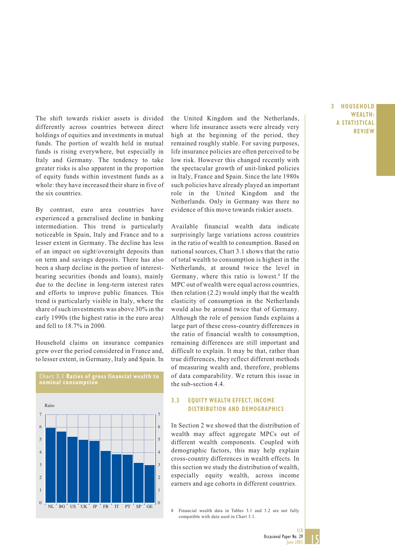The shift towards riskier assets is divided differently across countries between direct holdings of equities and investments in mutual funds. The portion of wealth held in mutual funds is rising everywhere, but especially in Italy and Germany. The tendency to take greater risks is also apparent in the proportion of equity funds within investment funds as a whole: they have increased their share in five of the six countries.

By contrast, euro area countries have experienced a generalised decline in banking intermediation. This trend is particularly noticeable in Spain, Italy and France and to a lesser extent in Germany. The decline has less of an impact on sight/overnight deposits than on term and savings deposits. There has also been a sharp decline in the portion of interestbearing securities (bonds and loans), mainly due to the decline in long-term interest rates and efforts to improve public finances. This trend is particularly visible in Italy, where the share of such investments was above 30% in the early 1990s (the highest ratio in the euro area) and fell to 18.7% in 2000.

Household claims on insurance companies grew over the period considered in France and, to lesser extent, in Germany, Italy and Spain. In

**Chart 3.1 Ratios of gross financial wealth to**



the United Kingdom and the Netherlands, where life insurance assets were already very high at the beginning of the period, they remained roughly stable. For saving purposes, life insurance policies are often perceived to be low risk. However this changed recently with the spectacular growth of unit-linked policies in Italy, France and Spain. Since the late 1980s such policies have already played an important role in the United Kingdom and the Netherlands. Only in Germany was there no evidence of this move towards riskier assets.

Available financial wealth data indicate surprisingly large variations across countries in the ratio of wealth to consumption. Based on national sources, Chart 3.1 shows that the ratio of total wealth to consumption is highest in the Netherlands, at around twice the level in Germany, where this ratio is lowest.<sup>8</sup> If the MPC out of wealth were equal across countries, then relation (2.2) would imply that the wealth elasticity of consumption in the Netherlands would also be around twice that of Germany. Although the role of pension funds explains a large part of these cross-country differences in the ratio of financial wealth to consumption, remaining differences are still important and difficult to explain. It may be that, rather than true differences, they reflect different methods of measuring wealth and, therefore, problems of data comparability. We return this issue in the sub-section 4.4.

#### **3.3 EQUITY WEALTH EFFECT, INCOME DISTRIBUTION AND DEMOGRAPHICS**

In Section 2 we showed that the distribution of wealth may affect aggregate MPCs out of different wealth components. Coupled with demographic factors, this may help explain cross-country differences in wealth effects. In this section we study the distribution of wealth, especially equity wealth, across income earners and age cohorts in different countries.

8 Financial wealth data in Tables 3.1 and 3.2 are not fully compatible with data used in Chart 3.1.

#### **3 HOUSEHOLD WEALTH: A STATISTICAL REVIEW**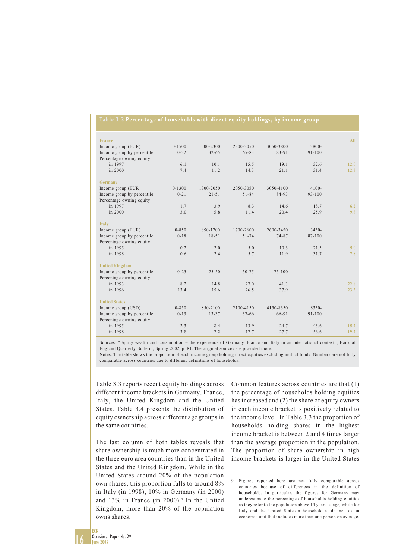#### **Table 3.3 Percentage of households with direct equity holdings, by income group**

| France                     |            |           |           |            |            | AII. |
|----------------------------|------------|-----------|-----------|------------|------------|------|
| Income group (EUR)         | $0 - 1500$ | 1500-2300 | 2300-3050 | 3050-3800  | 3800-      |      |
| Income group by percentile | $0 - 32$   | $32 - 65$ | $65 - 83$ | 83-91      | $91 - 100$ |      |
| Percentage owning equity:  |            |           |           |            |            |      |
| in 1997                    | 6.1        | 10.1      | 15.5      | 19.1       | 32.6       | 12.0 |
| in 2000                    | 7.4        | 11.2      | 14.3      | 21.1       | 31.4       | 12.7 |
| Germany                    |            |           |           |            |            |      |
| Income group (EUR)         | $0 - 1300$ | 1300-2050 | 2050-3050 | 3050-4100  | $4100 -$   |      |
| Income group by percentile | $0 - 21$   | $21 - 51$ | $51 - 84$ | 84-93      | $93 - 100$ |      |
| Percentage owning equity:  |            |           |           |            |            |      |
| in 1997                    | 1.7        | 3.9       | 8.3       | 14.6       | 18.7       | 6.2  |
| in 2000                    | 3.0        | 5.8       | 11.4      | 20.4       | 25.9       | 9.8  |
|                            |            |           |           |            |            |      |
| Italy                      |            |           |           |            |            |      |
| Income group (EUR)         | $0 - 850$  | 850-1700  | 1700-2600 | 2600-3450  | $3450 -$   |      |
| Income group by percentile | $0 - 18$   | $18 - 51$ | $51 - 74$ | 74-87      | 87-100     |      |
| Percentage owning equity:  |            |           |           |            |            |      |
| in 1995                    | 0.2        | 2.0       | 5.0       | 10.3       | 21.5       | 5.0  |
| in 1998                    | 0.6        | 2.4       | 5.7       | 11.9       | 31.7       | 7.8  |
| <b>United Kingdom</b>      |            |           |           |            |            |      |
| Income group by percentile | $0 - 25$   | $25 - 50$ | $50 - 75$ | $75 - 100$ |            |      |
| Percentage owning equity:  |            |           |           |            |            |      |
| in 1993                    | 8.2        | 14.8      | 27.0      | 41.3       |            | 22.8 |
| in 1996                    | 13.4       | 15.6      | 26.5      | 37.9       |            | 23.3 |
|                            |            |           |           |            |            |      |
| <b>United States</b>       |            |           |           |            |            |      |
| Income group (USD)         | $0 - 850$  | 850-2100  | 2100-4150 | 4150-8350  | $8350 -$   |      |
| Income group by percentile | $0 - 13$   | $13 - 37$ | $37 - 66$ | 66-91      | $91 - 100$ |      |
| Percentage owning equity:  |            |           |           |            |            |      |
| in 1995                    | 2.3        | 8.4       | 13.9      | 24.7       | 43.6       | 15.2 |
| in 1998                    | 3.8        | 7.2       | 17.7      | 27.7       | 56.6       | 19.2 |
|                            |            |           |           |            |            |      |

Sources: "Equity wealth and consumption – the experience of Germany, France and Italy in an international context", Bank of England Quarterly Bulletin, Spring 2002, p. 81. The original sources are provided there.

Notes: The table shows the proportion of each income group holding direct equities excluding mutual funds. Numbers are not fully comparable across countries due to different definitions of households.

Table 3.3 reports recent equity holdings across different income brackets in Germany, France, Italy, the United Kingdom and the United States. Table 3.4 presents the distribution of equity ownership across different age groups in the same countries.

The last column of both tables reveals that share ownership is much more concentrated in the three euro area countries than in the United States and the United Kingdom. While in the United States around 20% of the population own shares, this proportion falls to around 8% in Italy (in 1998), 10% in Germany (in 2000) and 13% in France (in 2000).<sup>9</sup> In the United Kingdom, more than 20% of the population owns shares.

Common features across countries are that (1) the percentage of households holding equities has increased and (2) the share of equity owners in each income bracket is positively related to the income level. In Table 3.3 the proportion of households holding shares in the highest income bracket is between 2 and 4 times larger than the average proportion in the population. The proportion of share ownership in high income brackets is larger in the United States

9 Figures reported here are not fully comparable across countries because of differences in the definition of households. In particular, the figures for Germany may underestimate the percentage of households holding equities as they refer to the population above 14 years of age, while for Italy and the United States a household is defined as an economic unit that includes more than one person on average.

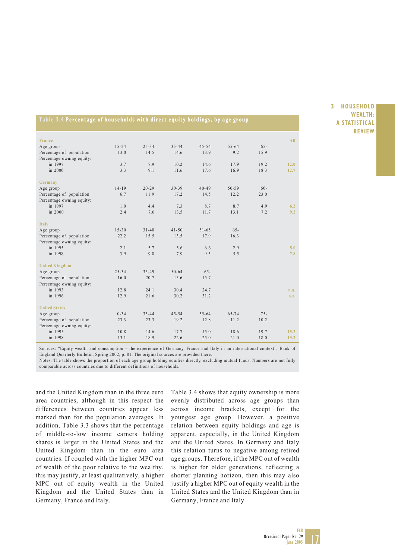| Table 3.4 Percentage of households with direct equity holdings, by age group |  |
|------------------------------------------------------------------------------|--|
|------------------------------------------------------------------------------|--|

| France                    |           |           |           |           |           |        | <b>All</b> |
|---------------------------|-----------|-----------|-----------|-----------|-----------|--------|------------|
| Age group                 | $15 - 24$ | $25 - 34$ | $35 - 44$ | $45 - 54$ | $55 - 64$ | $65 -$ |            |
| Percentage of population  | 13.0      | 14.5      | 14.6      | 13.9      | 9.2       | 15.9   |            |
| Percentage owning equity: |           |           |           |           |           |        |            |
| in 1997                   | 3.7       | 7.9       | 10.2      | 14.6      | 17.9      | 19.2   | 12.0       |
| in 2000                   | 3.3       | 9.1       | 11.6      | 17.6      | 16.9      | 18.3   | 12.7       |
| Germany                   |           |           |           |           |           |        |            |
| Age group                 | $14 - 19$ | $20 - 29$ | 30-39     | $40 - 49$ | $50 - 59$ | $60 -$ |            |
| Percentage of population  | 6.7       | 11.9      | 17.2      | 14.5      | 12.2      | 23.0   |            |
| Percentage owning equity: |           |           |           |           |           |        |            |
| in 1997                   | 1.0       | 4.4       | 7.3       | 8.7       | 8.7       | 4.9    | 6.2        |
| in 2000                   | 2.4       | 7.6       | 13.5      | 11.7      | 13.1      | 7.2    | 9.2        |
| <b>Italy</b>              |           |           |           |           |           |        |            |
| Age group                 | $15 - 30$ | $31 - 40$ | $41 - 50$ | $51 - 65$ | $65 -$    |        |            |
| Percentage of population  | 22.2      | 15.5      | 13.5      | 17.9      | 16.3      |        |            |
| Percentage owning equity: |           |           |           |           |           |        |            |
| in 1995                   | 2.1       | 5.7       | 5.6       | 6.6       | 2.9       |        | 5.0        |
| in 1998                   | 3.9       | 9.8       | 7.9       | 9.5       | 5.5       |        | 7.8        |
| <b>United Kingdom</b>     |           |           |           |           |           |        |            |
| Age group                 | $25 - 34$ | $35 - 49$ | $50 - 64$ | $65 -$    |           |        |            |
| Percentage of population  | 16.0      | 20.7      | 15.6      | 15.7      |           |        |            |
| Percentage owning equity: |           |           |           |           |           |        |            |
| in 1993                   | 12.8      | 24.1      | 30.4      | 24.7      |           |        | n.a.       |
| in 1996                   | 12.9      | 21.6      | 30.2      | 31.2      |           |        | n.a.       |
| <b>United States</b>      |           |           |           |           |           |        |            |
| Age group                 | $0 - 34$  | $35 - 44$ | $45 - 54$ | $55 - 64$ | $65 - 74$ | $75 -$ |            |
| Percentage of population  | 23.3      | 23.3      | 19.2      | 12.8      | 11.2      | 10.2   |            |
| Percentage owning equity: |           |           |           |           |           |        |            |
| in 1995                   | 10.8      | 14.6      | 17.7      | 15.0      | 18.6      | 19.7   | 15.2       |
| in 1998                   | 13.1      | 18.9      | 22.6      | 25.0      | 21.0      | 18.0   | 19.2       |

Sources: "Equity wealth and consumption – the experience of Germany, France and Italy in an international context", Bank of England Quarterly Bulletin, Spring 2002, p. 81. The original sources are provided there.

Notes: The table shows the proportion of each age group holding equities directly, excluding mutual funds. Numbers are not fully comparable across countries due to different definitions of households.

and the United Kingdom than in the three euro area countries, although in this respect the differences between countries appear less marked than for the population averages. In addition, Table 3.3 shows that the percentage of middle-to-low income earners holding shares is larger in the United States and the United Kingdom than in the euro area countries. If coupled with the higher MPC out of wealth of the poor relative to the wealthy, this may justify, at least qualitatively, a higher MPC out of equity wealth in the United Kingdom and the United States than in Germany, France and Italy.

Table 3.4 shows that equity ownership is more evenly distributed across age groups than across income brackets, except for the youngest age group. However, a positive relation between equity holdings and age is apparent, especially, in the United Kingdom and the United States. In Germany and Italy this relation turns to negative among retired age groups. Therefore, if the MPC out of wealth is higher for older generations, reflecting a shorter planning horizon, then this may also justify a higher MPC out of equity wealth in the United States and the United Kingdom than in Germany, France and Italy.

**3 HOUSEHOLD WEALTH: A STATISTICAL REVIEW**

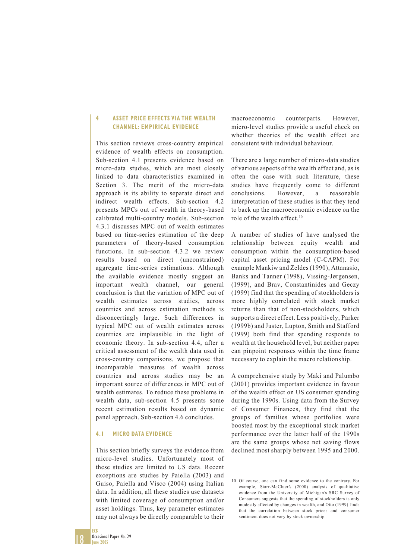#### **4 ASSET PRICE EFFECTS VIA THE WEALTH CHANNEL: EMPIRICAL EVIDENCE**

This section reviews cross-country empirical evidence of wealth effects on consumption. Sub-section 4.1 presents evidence based on micro-data studies, which are most closely linked to data characteristics examined in Section 3. The merit of the micro-data approach is its ability to separate direct and indirect wealth effects. Sub-section 4.2 presents MPCs out of wealth in theory-based calibrated multi-country models. Sub-section 4.3.1 discusses MPC out of wealth estimates based on time-series estimation of the deep parameters of theory-based consumption functions. In sub-section 4.3.2 we review results based on direct (unconstrained) aggregate time-series estimations. Although the available evidence mostly suggest an important wealth channel, our general conclusion is that the variation of MPC out of wealth estimates across studies, across countries and across estimation methods is disconcertingly large. Such differences in typical MPC out of wealth estimates across countries are implausible in the light of economic theory. In sub-section 4.4, after a critical assessment of the wealth data used in cross-country comparisons, we propose that incomparable measures of wealth across countries and across studies may be an important source of differences in MPC out of wealth estimates. To reduce these problems in wealth data, sub-section 4.5 presents some recent estimation results based on dynamic panel approach. Sub-section 4.6 concludes.

#### **4.1 MICRO DATA EVIDENCE**

This section briefly surveys the evidence from micro-level studies. Unfortunately most of these studies are limited to US data. Recent exceptions are studies by Paiella (2003) and Guiso, Paiella and Visco (2004) using Italian data. In addition, all these studies use datasets with limited coverage of consumption and/or asset holdings. Thus, key parameter estimates may not always be directly comparable to their

macroeconomic counterparts. However, micro-level studies provide a useful check on whether theories of the wealth effect are consistent with individual behaviour.

There are a large number of micro-data studies of various aspects of the wealth effect and, as is often the case with such literature, these studies have frequently come to different conclusions. However, a reasonable interpretation of these studies is that they tend to back up the macroeconomic evidence on the role of the wealth effect.<sup>10</sup>

A number of studies of have analysed the relationship between equity wealth and consumption within the consumption-based capital asset pricing model (C-CAPM). For example Mankiw and Zeldes (1990), Attanasio, Banks and Tanner (1998), Vissing-Jørgensen, (1999), and Brav, Constantinides and Geczy (1999) find that the spending of stockholders is more highly correlated with stock market returns than that of non-stockholders, which supports a direct effect. Less positively, Parker (1999b) and Juster, Lupton, Smith and Stafford (1999) both find that spending responds to wealth at the household level, but neither paper can pinpoint responses within the time frame necessary to explain the macro relationship.

A comprehensive study by Maki and Palumbo (2001) provides important evidence in favour of the wealth effect on US consumer spending during the 1990s. Using data from the Survey of Consumer Finances, they find that the groups of families whose portfolios were boosted most by the exceptional stock market performance over the latter half of the 1990s are the same groups whose net saving flows declined most sharply between 1995 and 2000.

<sup>10</sup> Of course, one can find some evidence to the contrary. For example, Starr-McCluer's (2000) analysis of qualitative evidence from the University of Michigan's SRC Survey of Consumers suggests that the spending of stockholders is only modestly affected by changes in wealth, and Otto (1999) finds that the correlation between stock prices and consumer sentiment does not vary by stock ownership.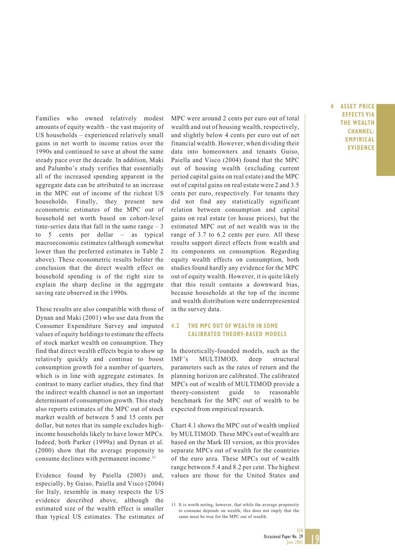Families who owned relatively modest amounts of equity wealth – the vast majority of US households – experienced relatively small gains in net worth to income ratios over the 1990s and continued to save at about the same steady pace over the decade. In addition, Maki and Palumbo's study verifies that essentially all of the increased spending apparent in the aggregate data can be attributed to an increase in the MPC out of income of the richest US households. Finally, they present new econometric estimates of the MPC out of household net worth based on cohort-level time-series data that fall in the same range  $-3$ to 5 cents per dollar – as typical macroeconomic estimates (although somewhat lower than the preferred estimates in Table 2 above). These econometric results bolster the conclusion that the direct wealth effect on household spending is of the right size to explain the sharp decline in the aggregate saving rate observed in the 1990s.

These results are also compatible with those of Dynan and Maki (2001) who use data from the Consumer Expenditure Survey and imputed values of equity holdings to estimate the effects of stock market wealth on consumption. They find that direct wealth effects begin to show up relatively quickly and continue to boost consumption growth for a number of quarters, which is in line with aggregate estimates. In contrast to many earlier studies, they find that the indirect wealth channel is not an important determinant of consumption growth. This study also reports estimates of the MPC out of stock market wealth of between 5 and 15 cents per dollar, but notes that its sample excludes highincome households likely to have lower MPCs. Indeed, both Parker (1999a) and Dynan et al. (2000) show that the average propensity to consume declines with permanent income.<sup>11</sup>

Evidence found by Paiella (2003) and, especially, by Guiso, Paiella and Visco (2004) for Italy, resemble in many respects the US evidence described above, although the estimated size of the wealth effect is smaller than typical US estimates. The estimates of

MPC were around 2 cents per euro out of total wealth and out of housing wealth, respectively, and slightly below 4 cents per euro out of net financial wealth. However, when dividing their data into homeowners and tenants Guiso, Paiella and Visco (2004) found that the MPC out of housing wealth (excluding current period capital gains on real estate) and the MPC out of capital gains on real estate were 2 and 3.5 cents per euro, respectively. For tenants they did not find any statistically significant relation between consumption and capital gains on real estate (or house prices), but the estimated MPC out of net wealth was in the range of 3.7 to 6.2 cents per euro. All these results support direct effects from wealth and its components on consumption. Regarding equity wealth effects on consumption, both studies found hardly any evidence for the MPC out of equity wealth. However, it is quite likely that this result contains a downward bias, because households at the top of the income and wealth distribution were underrepresented in the survey data.

#### **4.2 THE MPC OUT OF WEALTH IN SOME CALIBRATED THEORY-BASED MODELS**

In theoretically-founded models, such as the IMF's MULTIMOD, deep structural parameters such as the rates of return and the planning horizon are calibrated. The calibrated MPCs out of wealth of MULTIMOD provide a theory-consistent guide to reasonable benchmark for the MPC out of wealth to be expected from empirical research.

Chart 4.1 shows the MPC out of wealth implied by MULTIMOD. These MPCs out of wealth are based on the Mark III version, as this provides separate MPCs out of wealth for the countries of the euro area. These MPCs out of wealth range between 5.4 and 8.2 per cent. The highest values are those for the United States and

11 It is worth noting, however, that while the average propensity to consume depends on wealth, this does not imply that the same must be true for the MPC out of wealth.

**4 ASSET PRICE EFFECTS VIA THE WEALTH CHANNEL: EMPIRICAL EVIDENCE**

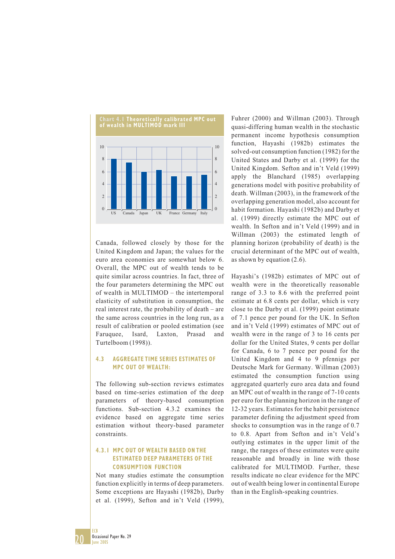

Canada, followed closely by those for the United Kingdom and Japan; the values for the euro area economies are somewhat below 6. Overall, the MPC out of wealth tends to be quite similar across countries. In fact, three of the four parameters determining the MPC out of wealth in MULTIMOD – the intertemporal elasticity of substitution in consumption, the real interest rate, the probability of death – are the same across countries in the long run, as a result of calibration or pooled estimation (see Faruquee, Isard, Laxton, Prasad and Turtelboom (1998)).

#### **4.3 AGGREGATE TIME SERIES ESTIMATES OF MPC OUT OF WEALTH:**

The following sub-section reviews estimates based on time-series estimation of the deep parameters of theory-based consumption functions. Sub-section 4.3.2 examines the evidence based on aggregate time series estimation without theory-based parameter constraints.

#### **4.3.1 MPC OUT OF WEALTH BASED ON THE ESTIMATED DEEP PARAMETERS OF THE CONSUMPTION FUNCTION**

Not many studies estimate the consumption function explicitly in terms of deep parameters. Some exceptions are Hayashi (1982b), Darby et al. (1999), Sefton and in't Veld (1999),

Fuhrer (2000) and Willman (2003). Through quasi-differing human wealth in the stochastic permanent income hypothesis consumption function, Hayashi (1982b) estimates the solved-out consumption function (1982) for the United States and Darby et al. (1999) for the United Kingdom. Sefton and in't Veld (1999) apply the Blanchard (1985) overlapping generations model with positive probability of death. Willman (2003), in the framework of the overlapping generation model, also account for habit formation. Hayashi (1982b) and Darby et al. (1999) directly estimate the MPC out of wealth. In Sefton and in't Veld (1999) and in Willman (2003) the estimated length of planning horizon (probability of death) is the crucial determinant of the MPC out of wealth, as shown by equation (2.6).

Hayashi's (1982b) estimates of MPC out of wealth were in the theoretically reasonable range of 3.3 to 8.6 with the preferred point estimate at 6.8 cents per dollar, which is very close to the Darby et al. (1999) point estimate of 7.1 pence per pound for the UK. In Sefton and in't Veld (1999) estimates of MPC out of wealth were in the range of 3 to 16 cents per dollar for the United States, 9 cents per dollar for Canada, 6 to 7 pence per pound for the United Kingdom and 4 to 9 pfennigs per Deutsche Mark for Germany. Willman (2003) estimated the consumption function using aggregated quarterly euro area data and found an MPC out of wealth in the range of 7-10 cents per euro for the planning horizon in the range of 12-32 years. Estimates for the habit persistence parameter defining the adjustment speed from shocks to consumption was in the range of 0.7 to 0.8. Apart from Sefton and in't Veld's outlying estimates in the upper limit of the range, the ranges of these estimates were quite reasonable and broadly in line with those calibrated for MULTIMOD. Further, these results indicate no clear evidence for the MPC out of wealth being lower in continental Europe than in the English-speaking countries.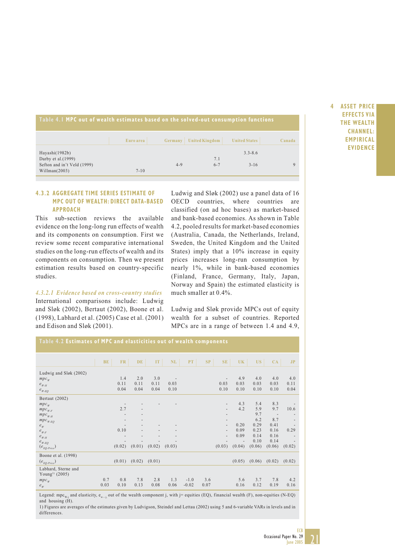| Table 4.1 MPC out of wealth estimates based on the solved-out consumption functions |           |         |                        |                      |        |  |  |  |  |  |  |
|-------------------------------------------------------------------------------------|-----------|---------|------------------------|----------------------|--------|--|--|--|--|--|--|
|                                                                                     | Euro area |         | Germany United Kingdom | <b>United States</b> | Canada |  |  |  |  |  |  |
| Hayashi(1982b)<br>Darby et al. $(1999)$                                             |           |         | 7.1                    | $3.3 - 8.6$          |        |  |  |  |  |  |  |
| Sefton and in't Veld (1999)<br>William (2003)                                       | $7 - 10$  | $4 - 9$ | $6 - 7$                | $3 - 16$             |        |  |  |  |  |  |  |

**4 ASSET PRICE EFFECTS VIA THE WEALTH CHANNEL: EMPIRICAL EVIDENCE**

#### **4.3.2 AGGREGATE TIME SERIES ESTIMATE OF MPC OUT OF WEALTH: DIRECT DATA-BASED APPROACH**

This sub-section reviews the available evidence on the long-long run effects of wealth and its components on consumption. First we review some recent comparative international studies on the long-run effects of wealth and its components on consumption. Then we present estimation results based on country-specific studies.

*4.3.2.1 Evidence based on cross-country studies* International comparisons include: Ludwig and Sløk (2002), Bertaut (2002), Boone et al. (1998), Labhard et al. (2005) Case et al. (2001) and Edison and Sløk (2001).

Ludwig and Sløk (2002) use a panel data of 16 OECD countries, where countries are classified (on ad hoc bases) as market-based and bank-based economies. As shown in Table 4.2, pooled results for market-based economies (Australia, Canada, the Netherlands, Ireland, Sweden, the United Kingdom and the United States) imply that a 10% increase in equity prices increases long-run consumption by nearly 1%, while in bank-based economies (Finland, France, Germany, Italy, Japan, Norway and Spain) the estimated elasticity is much smaller at 0.4%.

Ludwig and Sløk provide MPCs out of equity wealth for a subset of countries. Reported MPCs are in a range of between 1.4 and 4.9,

| Table 4.2 Estimates of MPC and elasticities out of wealth components |      |        |                          |                 |                          |         |      |                          |        |        |                          |                          |
|----------------------------------------------------------------------|------|--------|--------------------------|-----------------|--------------------------|---------|------|--------------------------|--------|--------|--------------------------|--------------------------|
|                                                                      |      |        |                          |                 |                          |         |      |                          |        |        |                          |                          |
|                                                                      |      |        |                          |                 |                          |         |      |                          |        |        |                          |                          |
|                                                                      | BE   | FR.    | DE.                      | IT <sub>1</sub> | NL                       | PT      | SP   | SE                       | UK     | US-    | CA                       | J <sub>P</sub>           |
| Ludwig and Sløk (2002)                                               |      |        |                          |                 |                          |         |      |                          |        |        |                          |                          |
| $mpc_w$                                                              |      | 1.4    | 2.0                      | 3.0             | $\overline{\phantom{a}}$ |         |      | $\overline{\phantom{a}}$ | 4.9    | 4.0    | 4.0                      | 4.0                      |
| $e$ <sub>W-H</sub>                                                   |      | 0.11   | 0.11                     | 0.11            | 0.03                     |         |      | 0.03                     | 0.03   | 0.03   | 0.03                     | 0.11                     |
| $e_{_{W\text{-}EO}}$                                                 |      | 0.04   | 0.04                     | 0.04            | 0.10                     |         |      | 0.10                     | 0.10   | 0.10   | 0.10                     | 0.04                     |
| Bertaut (2002)                                                       |      |        |                          |                 |                          |         |      |                          |        |        |                          |                          |
| $mpc_w$                                                              |      |        |                          |                 |                          |         |      | $\overline{\phantom{a}}$ | 4.3    | 5.4    | 8.3                      |                          |
| $mpc_{w,F}$                                                          |      | 2.7    | $\overline{\phantom{a}}$ |                 |                          |         |      | $\overline{\phantom{a}}$ | 4.2    | 5.9    | 9.7                      | 10.6                     |
| $mpc$ <sub>W-H</sub>                                                 |      |        |                          |                 |                          |         |      | $\overline{\phantom{a}}$ |        | 9.7    | $\overline{\phantom{m}}$ |                          |
| $mpc_{_{W\text{-}EQ}}$                                               |      |        |                          |                 |                          |         |      | $\overline{\phantom{a}}$ |        | 6.2    | 8.7                      | $\overline{\phantom{a}}$ |
| $e_w$                                                                |      |        |                          |                 |                          |         |      | $\overline{\phantom{a}}$ | 0.20   | 0.29   | 0.41                     |                          |
| $e_{W\text{-}F}$                                                     |      | 0.10   |                          |                 |                          |         |      | $\overline{\phantom{a}}$ | 0.09   | 0.23   | 0.16                     | 0.29                     |
| $e$ <sub>W-H</sub>                                                   |      |        |                          |                 |                          |         |      | $\overline{\phantom{a}}$ | 0.09   | 0.14   | 0.16                     |                          |
| $e_{\scriptscriptstyle W\text{-}EO}$                                 |      |        |                          |                 |                          |         |      |                          |        | 0.10   | 0.14                     |                          |
| $(e_{EQ\text{-}Price})$                                              |      | (0.02) | (0.01)                   | (0.02)          | (0.03)                   |         |      | (0.03)                   | (0.04) | (0.06) | (0.06)                   | (0.02)                   |
| Boone et al. (1998)                                                  |      |        |                          |                 |                          |         |      |                          |        |        |                          |                          |
| $(e_{EQ\text{-}Price})$                                              |      | (0.01) | (0.02)                   | (0.01)          |                          |         |      |                          | (0.05) | (0.06) | (0.02)                   | (0.02)                   |
| Labhard, Sterne and                                                  |      |        |                          |                 |                          |         |      |                          |        |        |                          |                          |
| Young <sup>1)</sup> (2005)                                           |      |        |                          |                 |                          |         |      |                          |        |        |                          |                          |
| $mpc_w$                                                              | 0.7  | 0.8    | 7.8                      | 2.8             | 1.3                      | $-1.0$  | 3.6  |                          | 5.6    | 3.7    | 7.8                      | 4.2                      |
| $e_w$                                                                | 0.03 | 0.10   | 0.13                     | 0.08            | 0.06                     | $-0.02$ | 0.07 |                          | 0.16   | 0.12   | 0.19                     | 0.16                     |
|                                                                      |      |        |                          |                 |                          |         |      |                          |        |        |                          |                          |

Legend: mpc<sub>W-i</sub> and elasticity, e<sub>w—j</sub> out of the wealth component j, with j= equities (EQ), financial wealth (F), non-equities (N-EQ) and housing (H).

1) Figures are averages of the estimates given by Ludvigson, Steindel and Lettau (2002) using 5 and 6-variable VARs in levels and in differences.



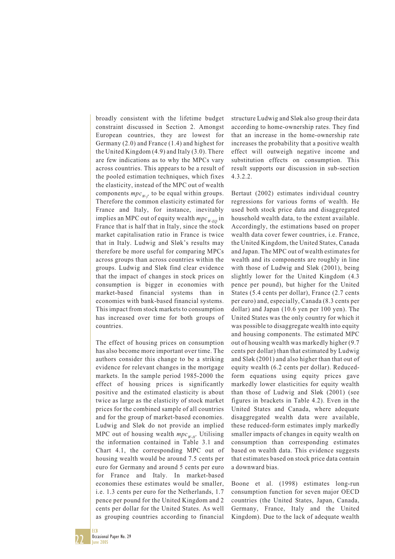broadly consistent with the lifetime budget constraint discussed in Section 2. Amongst European countries, they are lowest for Germany (2.0) and France (1.4) and highest for the United Kingdom (4.9) and Italy (3.0). There are few indications as to why the MPCs vary across countries. This appears to be a result of the pooled estimation techniques, which fixes the elasticity, instead of the MPC out of wealth components  $mpc_w$ , to be equal within groups. Therefore the common elasticity estimated for France and Italy, for instance, inevitably implies an MPC out of equity wealth  $mpc_{W-EO}$  in France that is half that in Italy, since the stock market capitalisation ratio in France is twice that in Italy. Ludwig and Sløk's results may therefore be more useful for comparing MPCs across groups than across countries within the groups. Ludwig and Sløk find clear evidence that the impact of changes in stock prices on consumption is bigger in economies with market-based financial systems than in economies with bank-based financial systems. This impact from stock markets to consumption has increased over time for both groups of countries.

The effect of housing prices on consumption has also become more important over time. The authors consider this change to be a striking evidence for relevant changes in the mortgage markets. In the sample period 1985-2000 the effect of housing prices is significantly positive and the estimated elasticity is about twice as large as the elasticity of stock market prices for the combined sample of all countries and for the group of market-based economies. Ludwig and Sløk do not provide an implied MPC out of housing wealth  $mpc_{w\mu}$ . Utilising the information contained in Table 3.1 and Chart 4.1, the corresponding MPC out of housing wealth would be around 7.5 cents per euro for Germany and around 5 cents per euro for France and Italy. In market-based economies these estimates would be smaller, i.e. 1.3 cents per euro for the Netherlands, 1.7 pence per pound for the United Kingdom and 2 cents per dollar for the United States. As well as grouping countries according to financial structure Ludwig and Sløk also group their data according to home-ownership rates. They find that an increase in the home-ownership rate increases the probability that a positive wealth effect will outweigh negative income and substitution effects on consumption. This result supports our discussion in sub-section 4.3.2.2.

Bertaut (2002) estimates individual country regressions for various forms of wealth. He used both stock price data and disaggregated household wealth data, to the extent available. Accordingly, the estimations based on proper wealth data cover fewer countries, i.e. France, the United Kingdom, the United States, Canada and Japan. The MPC out of wealth estimates for wealth and its components are roughly in line with those of Ludwig and Sløk (2001), being slightly lower for the United Kingdom (4.3 pence per pound), but higher for the United States (5.4 cents per dollar), France (2.7 cents per euro) and, especially, Canada (8.3 cents per dollar) and Japan (10.6 yen per 100 yen). The United States was the only country for which it was possible to disaggregate wealth into equity and housing components. The estimated MPC out of housing wealth was markedly higher (9.7 cents per dollar) than that estimated by Ludwig and Sløk (2001) and also higher than that out of equity wealth (6.2 cents per dollar). Reducedform equations using equity prices gave markedly lower elasticities for equity wealth than those of Ludwig and Sløk (2001) (see figures in brackets in Table 4.2). Even in the United States and Canada, where adequate disaggregated wealth data were available, these reduced-form estimates imply markedly smaller impacts of changes in equity wealth on consumption than corresponding estimates based on wealth data. This evidence suggests that estimates based on stock price data contain a downward bias.

Boone et al. (1998) estimates long-run consumption function for seven major OECD countries (the United States, Japan, Canada, Germany, France, Italy and the United Kingdom). Due to the lack of adequate wealth

22

ECB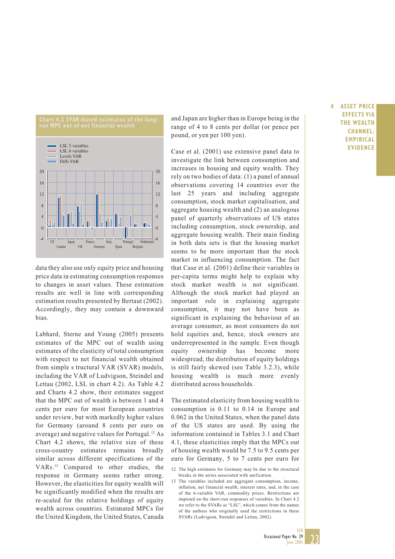

data they also use only equity price and housing price data in estimating consumption responses to changes in asset values. These estimation results are well in line with corresponding estimation results presented by Bertaut (2002). Accordingly, they may contain a downward bias.

Labhard, Sterne and Young (2005) presents estimates of the MPC out of wealth using estimates of the elasticity of total consumption with respect to net financial wealth obtained from simple s tructural VAR (SVAR) models, including the VAR of Ludvigson, Steindel and Lettau (2002, LSL in chart 4.2). As Table 4.2 and Charts 4.2 show, their estimates suggest that the MPC out of wealth is between 1 and 4 cents per euro for most European countries under review, but with markedly higher values for Germany (around 8 cents per euro on average) and negative values for Portugal.12 As Chart 4.2 shows, the relative size of these cross-country estimates remains broadly similar across different specifications of the VARs.13 Compared to other studies, the response in Germany seems rather strong. However, the elasticities for equity wealth will be significantly modified when the results are re-scaled for the relative holdings of equity wealth across countries. Estimated MPCs for the United Kingdom, the United States, Canada and Japan are higher than in Europe being in the range of 4 to 8 cents per dollar (or pence per pound, or yen per 100 yen).

Case et al. (2001) use extensive panel data to investigate the link between consumption and increases in housing and equity wealth. They rely on two bodies of data: (1) a panel of annual observations covering 14 countries over the last 25 years and including aggregate consumption, stock market capitalisation, and aggregate housing wealth and (2) an analogous panel of quarterly observations of US states including consumption, stock ownership, and aggregate housing wealth. Their main finding in both data sets is that the housing market seems to be more important than the stock market in influencing consumption. The fact that Case et al. (2001) define their variables in per-capita terms might help to explain why stock market wealth is not significant. Although the stock market had played an important role in explaining aggregate consumption, it may not have been as significant in explaining the behaviour of an average consumer, as most consumers do not hold equities and, hence, stock owners are underrepresented in the sample. Even though equity ownership has become more widespread, the distribution of equity holdings is still fairly skewed (see Table 3.2.3), while housing wealth is much more evenly distributed across households.

The estimated elasticity from housing wealth to consumption is 0.11 to 0.14 in Europe and 0.062 in the United States, when the panel data of the US states are used. By using the information contained in Tables 3.1 and Chart 4.1, these elasticities imply that the MPCs out of housing wealth would be 7.5 to 9.5 cents per euro for Germany, 5 to 7 cents per euro for

13 The variables included are aggregate consumption, income, inflation, net financial wealth, interest rates, and, in the case of the 6-variable VAR, commodity prices. Restrictions are imposed on the short-run responses of variables. In Chart 4.2 we refer to the SVARs as "LSL", which comes from the names of the authors who originally used the restrictions in these SVARs (Ludvigson, Steindel and Lettau, 2002).

#### **4 ASSET PRICE EFFECTS VIA THE WEALTH CHANNEL: EMPIRICAL EVIDENCE**



<sup>12</sup> The high estimates for Germany may be due to the structural breaks in the series associated with unification.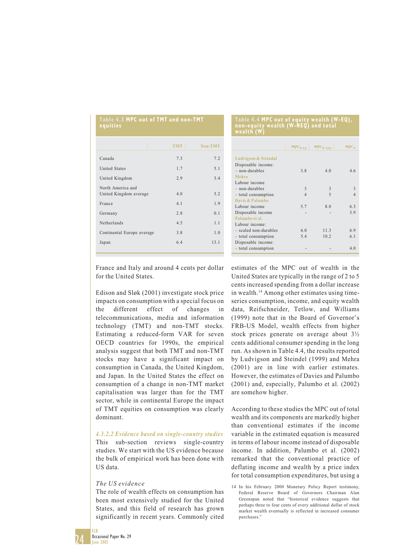| <b>TMT</b> | Non-TMT |
|------------|---------|
| 7.3        | 7.2     |
| 1.7        | 5.1     |
| 2.9        | 3.4     |
| 4.0        | 5.2     |
| 4.1        | 1.9     |
| 2.8        | 0.1     |
| 4.5        | 1.1     |
| 3.8        | 1.0     |
| 6.4        | 13.1    |
|            |         |

**Table 4.3 MPC out of TMT and non-TMT**

#### **Table 4.4 MPC out of equity wealth (W-EQ), non-equity wealth (W-NEQ) and total wealth (W)**

|                         | $mpc$ <sub>W-EQ</sub> | $mpc$ <sub>W-NEQ</sub> | $mpc_w$        |
|-------------------------|-----------------------|------------------------|----------------|
| Ludvigson & Steindal    |                       |                        |                |
| Disposable income:      |                       |                        |                |
| $-$ non-durables        | 3.8                   | 4.0                    | 46             |
| Mehra                   |                       |                        |                |
| Labour income           |                       |                        |                |
|                         |                       |                        |                |
| $-$ non-durables        | 3                     | 3                      | $\mathbf{3}$   |
| - total consumption     | $\overline{4}$        | 5                      | $\overline{4}$ |
| Davis & Palumbo         |                       |                        |                |
| Labour income           | 5.7                   | 8.0                    | 6.3            |
| Disposable income       |                       |                        | 3.9            |
| Palumbo et al.          |                       |                        |                |
| Labour income:          |                       |                        |                |
| $-$ scaled non-durables | 6.0                   | 11.3                   | 6.9            |
| - total consumption     | 5.4                   | 10.2                   | 6.1            |
| Disposable income:      |                       |                        |                |
| - total consumption     |                       |                        | 4.0            |

France and Italy and around 4 cents per dollar for the United States.

Edison and Sløk (2001) investigate stock price impacts on consumption with a special focus on the different effect of changes in telecommunications, media and information technology (TMT) and non-TMT stocks. Estimating a reduced-form VAR for seven OECD countries for 1990s, the empirical analysis suggest that both TMT and non-TMT stocks may have a significant impact on consumption in Canada, the United Kingdom, and Japan. In the United States the effect on consumption of a change in non-TMT market capitalisation was larger than for the TMT sector, while in continental Europe the impact of TMT equities on consumption was clearly dominant.

#### *4.3.2.2 Evidence based on single-country studies*

This sub-section reviews single-country studies. We start with the US evidence because the bulk of empirical work has been done with US data.

#### *The US evidence*

The role of wealth effects on consumption has been most extensively studied for the United States, and this field of research has grown significantly in recent years. Commonly cited

estimates of the MPC out of wealth in the United States are typically in the range of 2 to 5 cents increased spending from a dollar increase in wealth.<sup>14</sup> Among other estimates using timeseries consumption, income, and equity wealth data, Reifschneider, Tetlow, and Williams (1999) note that in the Board of Governor's FRB-US Model, wealth effects from higher stock prices generate on average about 3½ cents additional consumer spending in the long run. As shown in Table 4.4, the results reported by Ludvigson and Steindel (1999) and Mehra (2001) are in line with earlier estimates. However, the estimates of Davies and Palumbo (2001) and, especially, Palumbo et al. (2002) are somehow higher.

According to these studies the MPC out of total wealth and its components are markedly higher than conventional estimates if the income variable in the estimated equation is measured in terms of labour income instead of disposable income. In addition, Palumbo et al. (2002) remarked that the conventional practice of deflating income and wealth by a price index for total consumption expenditures, but using a



<sup>14</sup> In his February 2000 Monetary Policy Report testimony, Federal Reserve Board of Governors Chairman Alan Greenspan noted that "historical evidence suggests that perhaps three to four cents of every additional dollar of stock market wealth eventually is reflected in increased consumer purchases."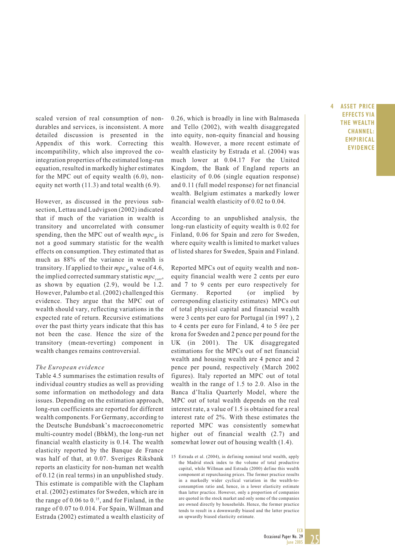scaled version of real consumption of nondurables and services, is inconsistent. A more detailed discussion is presented in the Appendix of this work. Correcting this incompatibility, which also improved the cointegration properties of the estimated long-run equation, resulted in markedly higher estimates for the MPC out of equity wealth (6.0), nonequity net worth (11.3) and total wealth (6.9).

However, as discussed in the previous subsection, Lettau and Ludvigson (2002) indicated that if much of the variation in wealth is transitory and uncorrelated with consumer spending, then the MPC out of wealth  $mpc_w$  is not a good summary statistic for the wealth effects on consumption. They estimated that as much as 88% of the variance in wealth is transitory. If applied to their  $mpc_w$  value of 4.6, the implied corrected summary statistic  $mpc_{corr}$ , as shown by equation (2.9), would be 1.2. However, Palumbo et al. (2002) challenged this evidence. They argue that the MPC out of wealth should vary, reflecting variations in the expected rate of return. Recursive estimations over the past thirty years indicate that this has not been the case. Hence the size of the transitory (mean-reverting) component in wealth changes remains controversial.

#### *The European evidence*

Table 4.5 summarises the estimation results of individual country studies as well as providing some information on methodology and data issues. Depending on the estimation approach, long-run coefficients are reported for different wealth components. For Germany, according to the Deutsche Bundsbank's macroeconometric multi-country model (BbkM), the long-run net financial wealth elasticity is 0.14. The wealth elasticity reported by the Banque de France was half of that, at 0.07. Sveriges Riksbank reports an elasticity for non-human net wealth of 0.12 (in real terms) in an unpublished study. This estimate is compatible with the Clapham et al. (2002) estimates for Sweden, which are in the range of  $0.06$  to  $0.15$ , and for Finland, in the range of 0.07 to 0.014. For Spain, Willman and Estrada (2002) estimated a wealth elasticity of 0.26, which is broadly in line with Balmaseda and Tello (2002), with wealth disaggregated into equity, non-equity financial and housing wealth. However, a more recent estimate of wealth elasticity by Estrada et al. (2004) was much lower at 0.04.17 For the United Kingdom, the Bank of England reports an elasticity of 0.06 (single equation response) and 0.11 (full model response) for net financial wealth. Belgium estimates a markedly lower financial wealth elasticity of 0.02 to 0.04.

According to an unpublished analysis, the long-run elasticity of equity wealth is 0.02 for Finland, 0.06 for Spain and zero for Sweden, where equity wealth is limited to market values of listed shares for Sweden, Spain and Finland.

Reported MPCs out of equity wealth and nonequity financial wealth were 2 cents per euro and 7 to 9 cents per euro respectively for Germany. Reported (or implied by corresponding elasticity estimates) MPCs out of total physical capital and financial wealth were 3 cents per euro for Portugal (in 1997 ), 2 to 4 cents per euro for Finland, 4 to 5 öre per krona for Sweden and 2 pence per pound for the UK (in 2001). The UK disaggregated estimations for the MPCs out of net financial wealth and housing wealth are 4 pence and 2 pence per pound, respectively (March 2002 figures). Italy reported an MPC out of total wealth in the range of 1.5 to 2.0. Also in the Banca d'Italia Quarterly Model, where the MPC out of total wealth depends on the real interest rate, a value of 1.5 is obtained for a real interest rate of 2%. With these estimates the reported MPC was consistently somewhat higher out of financial wealth  $(2.7)$  and somewhat lower out of housing wealth (1.4).

**4 ASSET PRICE EFFECTS VIA THE WEALTH CHANNEL: EMPIRICAL EVIDENCE**



<sup>15</sup> Estrada et al. (2004), in defining nominal total wealth, apply the Madrid stock index to the volume of total productive capital, while Willman and Estrada (2000) define this wealth component at repurchasing prices. The former practice results in a markedly wider cyclical variation in the wealth-toconsumption ratio and, hence, in a lower elasticity estimate than latter practice. However, only a proportion of companies are quoted in the stock market and only some of the companies are owned directly by households. Hence, the former practice tends to result in a downwardly biased and the latter practice an upwardly biased elasticity estimate.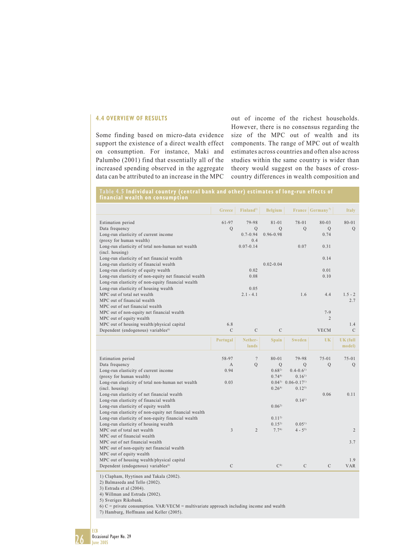#### **4.4 OVERVIEW OF RESULTS**

Some finding based on micro-data evidence support the existence of a direct wealth effect on consumption. For instance, Maki and Palumbo (2001) find that essentially all of the increased spending observed in the aggregate data can be attributed to an increase in the MPC

out of income of the richest households. However, there is no consensus regarding the size of the MPC out of wealth and its components. The range of MPC out of wealth estimates across countries and often also across studies within the same country is wider than theory would suggest on the bases of crosscountry differences in wealth composition and

#### **Table 4.5 Individual country (central bank and other) estimates of long-run effects of financial wealth on consumption**

|                                                                                                                                                                  | Greece                | Finland <sup>1)</sup>            | <b>Belgium</b>              |                                            | France $Germany^{\eta}$   | <b>Italy</b>                |
|------------------------------------------------------------------------------------------------------------------------------------------------------------------|-----------------------|----------------------------------|-----------------------------|--------------------------------------------|---------------------------|-----------------------------|
| Estimation period<br>Data frequency<br>Long-run elasticity of current income                                                                                     | 61-97<br>$\mathbf Q$  | 79-98<br>Q<br>$0.7 - 0.94$       | $81 - 01$<br>Q<br>0.96-0.98 | 78-01<br>Q                                 | $80 - 03$<br>Q<br>0.74    | 80-01<br>$\overline{Q}$     |
| (proxy for human wealth)<br>Long-run elasticity of total non-human net wealth<br>(incl. housing)                                                                 |                       | 0.4<br>$0.07 - 0.14$             |                             | 0.07                                       | 0.31                      |                             |
| Long-run elasticity of net financial wealth<br>Long-run elasticity of financial wealth                                                                           |                       |                                  | $0.02 - 0.04$               |                                            | 0.14                      |                             |
| Long-run elasticity of equity wealth<br>Long-run elasticity of non-equity net financial wealth<br>Long-run elasticity of non-equity financial wealth             |                       | 0.02<br>0.08                     |                             |                                            | 0.01<br>0.10              |                             |
| Long-run elasticity of housing wealth<br>MPC out of total net wealth<br>MPC out of financial wealth<br>MPC out of net financial wealth                           |                       | 0.05<br>$2.1 - 4.1$              |                             | 1.6                                        | 4.4                       | $1.5 - 2$<br>2.7            |
| MPC out of non-equity net financial wealth<br>MPC out of equity wealth                                                                                           |                       |                                  |                             |                                            | $7 - 9$<br>$\overline{c}$ |                             |
| MPC out of housing wealth/physical capital<br>Dependent (endogenous) variables <sup>6)</sup>                                                                     | 6.8<br>$\mathcal{C}$  | $\mathcal{C}$                    | $\mathbf C$                 |                                            | <b>VECM</b>               | 1.4<br>$\mathsf C$          |
|                                                                                                                                                                  | Portugal              | Nether-<br>lands                 | Spain                       | <b>Sweden</b>                              | UK                        | $UK$ (full<br>model)        |
| Estimation period<br>Data frequency                                                                                                                              | 58-97<br>$\mathbf{A}$ | $\overline{?}$<br>$\overline{Q}$ | $80 - 01$<br>$\mathbf Q$    | 79-98<br>$\mathcal{O}$                     | $75 - 01$<br>$\mathbf Q$  | $75 - 01$<br>$\overline{Q}$ |
| Long-run elasticity of current income<br>(proxy for human wealth)                                                                                                | 0.94                  |                                  | $0.68^{2}$<br>0.744         | $0.4 - 0.6$ <sup>1)</sup><br>$0.16^{1}$    |                           |                             |
| Long-run elasticity of total non-human net wealth<br>(incl. housing)                                                                                             | 0.03                  |                                  | $0.26^{4}$                  | $0.04^{3}$ $0.06 - 0.17^{1}$<br>$0.12^{5}$ |                           |                             |
| Long-run elasticity of net financial wealth<br>Long-run elasticity of financial wealth<br>Long-run elasticity of equity wealth                                   |                       |                                  | $0.06^{2}$                  | $0.14^{1}$                                 | 0.06                      | 0.11                        |
| Long-run elasticity of non-equity net financial wealth<br>Long-run elasticity of non-equity financial wealth                                                     |                       |                                  | $0.11^{2}$                  |                                            |                           |                             |
| Long-run elasticity of housing wealth<br>MPC out of total net wealth                                                                                             | 3                     | $\overline{2}$                   | $0.15^{2}$<br>7.74          | $0.05^{1}$<br>$4 - 5^{5}$                  |                           | $\overline{2}$              |
| MPC out of financial wealth<br>MPC out of net financial wealth<br>MPC out of non-equity net financial wealth                                                     |                       |                                  |                             |                                            |                           | 3.7                         |
| MPC out of equity wealth<br>MPC out of housing wealth/physical capital<br>Dependent (endogenous) variables <sup>6)</sup>                                         | $\mathcal{C}$         |                                  | C <sup>4</sup>              | $\mathcal{C}$                              | $\mathcal{C}$             | 1.9<br><b>VAR</b>           |
| 1) Clapham, Hyytinen and Takala (2002).<br>2) Balmaseda and Tello (2002).<br>3) Estrada et al (2004).<br>4) Willman and Estrada (2002).<br>5) Sveriges Riksbank. |                       |                                  |                             |                                            |                           |                             |

 $6)$  C = private consumption. VAR/VECM = multivariate approach including income and wealth 7) Hamburg, Hoffmann and Keller (2005).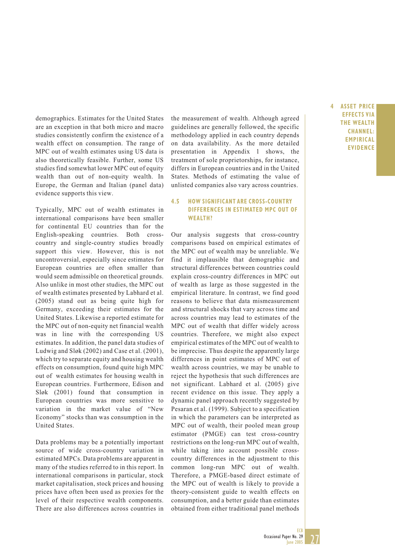demographics. Estimates for the United States are an exception in that both micro and macro studies consistently confirm the existence of a wealth effect on consumption. The range of MPC out of wealth estimates using US data is also theoretically feasible. Further, some US studies find somewhat lower MPC out of equity wealth than out of non-equity wealth. In Europe, the German and Italian (panel data) evidence supports this view.

Typically, MPC out of wealth estimates in international comparisons have been smaller for continental EU countries than for the English-speaking countries. Both crosscountry and single-country studies broadly support this view. However, this is not uncontroversial, especially since estimates for European countries are often smaller than would seem admissible on theoretical grounds. Also unlike in most other studies, the MPC out of wealth estimates presented by Labhard et al. (2005) stand out as being quite high for Germany, exceeding their estimates for the United States. Likewise a reported estimate for the MPC out of non-equity net financial wealth was in line with the corresponding US estimates. In addition, the panel data studies of Ludwig and Sløk (2002) and Case et al. (2001), which try to separate equity and housing wealth effects on consumption, found quite high MPC out of wealth estimates for housing wealth in European countries. Furthermore, Edison and Sløk (2001) found that consumption in European countries was more sensitive to variation in the market value of "New Economy" stocks than was consumption in the United States.

Data problems may be a potentially important source of wide cross-country variation in estimated MPCs. Data problems are apparent in many of the studies referred to in this report. In international comparisons in particular, stock market capitalisation, stock prices and housing prices have often been used as proxies for the level of their respective wealth components. There are also differences across countries in the measurement of wealth. Although agreed guidelines are generally followed, the specific methodology applied in each country depends on data availability. As the more detailed presentation in Appendix 1 shows, the treatment of sole proprietorships, for instance, differs in European countries and in the United States. Methods of estimating the value of unlisted companies also vary across countries.

#### **4.5 HOW SIGNIFICANT ARE CROSS-COUNTRY DIFFERENCES IN ESTIMATED MPC OUT OF WEALTH?**

Our analysis suggests that cross-country comparisons based on empirical estimates of the MPC out of wealth may be unreliable. We find it implausible that demographic and structural differences between countries could explain cross-country differences in MPC out of wealth as large as those suggested in the empirical literature. In contrast, we find good reasons to believe that data mismeasurement and structural shocks that vary across time and across countries may lead to estimates of the MPC out of wealth that differ widely across countries. Therefore, we might also expect empirical estimates of the MPC out of wealth to be imprecise. Thus despite the apparently large differences in point estimates of MPC out of wealth across countries, we may be unable to reject the hypothesis that such differences are not significant. Labhard et al. (2005) give recent evidence on this issue. They apply a dynamic panel approach recently suggested by Pesaran et al. (1999). Subject to a specification in which the parameters can be interpreted as MPC out of wealth, their pooled mean group estimator (PMGE) can test cross-country restrictions on the long-run MPC out of wealth, while taking into account possible crosscountry differences in the adjustment to this common long-run MPC out of wealth. Therefore, a PMGE-based direct estimate of the MPC out of wealth is likely to provide a theory-consistent guide to wealth effects on consumption, and a better guide than estimates obtained from either traditional panel methods

**4 ASSET PRICE EFFECTS VIA THE WEALTH CHANNEL: EMPIRICAL EVIDENCE**

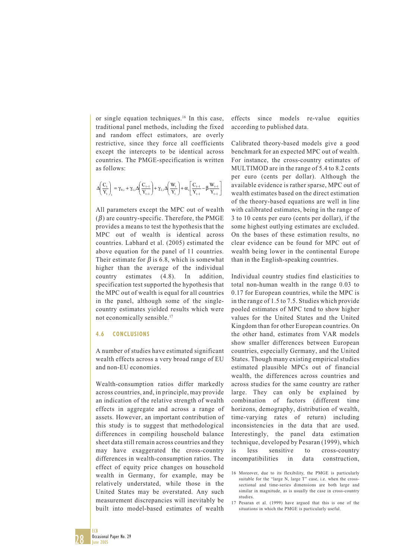or single equation techniques.<sup>16</sup> In this case, traditional panel methods, including the fixed and random effect estimators, are overly restrictive, since they force all coefficients except the intercepts to be identical across countries. The PMGE-specification is written as follows:

$$
\Delta\hspace{-0.1cm}\left(\frac{C_{\tau}}{Y_{\tau}}\right)_i = \gamma_{0,i} + \gamma_{1,i}\Delta\hspace{-0.1cm}\left(\frac{C_{\tau-1}}{Y_{\tau-1}}\right) + \gamma_{2,i}\Delta\hspace{-0.1cm}\left(\frac{W_{\tau}}{Y_{\tau}}\right) + \alpha_{i}\hspace{-0.1cm}\left[\frac{C_{\tau-1}}{Y_{\tau-1}} - \beta\frac{W_{\tau-1}}{Y_{\tau-1}}\right]
$$

All parameters except the MPC out of wealth  $(\beta)$  are country-specific. Therefore, the PMGE provides a means to test the hypothesis that the MPC out of wealth is identical across countries. Labhard et al. (2005) estimated the above equation for the panel of 11 countries. Their estimate for  $\beta$  is 6.8, which is somewhat higher than the average of the individual country estimates (4.8). In addition, specification test supported the hypothesis that the MPC out of wealth is equal for all countries in the panel, although some of the singlecountry estimates yielded results which were not economically sensible.17

#### **4.6 CONCLUSIONS**

A number of studies have estimated significant wealth effects across a very broad range of EU and non-EU economies.

Wealth-consumption ratios differ markedly across countries, and, in principle, may provide an indication of the relative strength of wealth effects in aggregate and across a range of assets. However, an important contribution of this study is to suggest that methodological differences in compiling household balance sheet data still remain across countries and they may have exaggerated the cross-country differences in wealth-consumption ratios. The effect of equity price changes on household wealth in Germany, for example, may be relatively understated, while those in the United States may be overstated. Any such measurement discrepancies will inevitably be built into model-based estimates of wealth

effects since models re-value equities according to published data.

Calibrated theory-based models give a good benchmark for an expected MPC out of wealth. For instance, the cross-country estimates of MULTIMOD are in the range of 5.4 to 8.2 cents per euro (cents per dollar). Although the available evidence is rather sparse, MPC out of wealth estimates based on the direct estimation of the theory-based equations are well in line with calibrated estimates, being in the range of 3 to 10 cents per euro (cents per dollar), if the some highest outlying estimates are excluded. On the bases of these estimation results, no clear evidence can be found for MPC out of wealth being lower in the continental Europe than in the English-speaking countries.

Individual country studies find elasticities to total non-human wealth in the range 0.03 to 0.17 for European countries, while the MPC is in the range of 1.5 to 7.5. Studies which provide pooled estimates of MPC tend to show higher values for the United States and the United Kingdom than for other European countries. On the other hand, estimates from VAR models show smaller differences between European countries, especially Germany, and the United States. Though many existing empirical studies estimated plausible MPCs out of financial wealth, the differences across countries and across studies for the same country are rather large. They can only be explained by combination of factors (different time horizons, demography, distribution of wealth, time-varying rates of return) including inconsistencies in the data that are used. Interestingly, the panel data estimation technique, developed by Pesaran (1999), which is less sensitive to cross-country incompatibilities in data construction,

ECB

<sup>16</sup> Moreover, due to its flexibility, the PMGE is particularly suitable for the "large N, large T" case, i.e. when the crosssectional and time-series dimensions are both large and similar in magnitude, as is usually the case in cross-country studies.

<sup>17</sup> Pesaran et al. (1999) have argued that this is one of the situations in which the PMGE is particularly useful.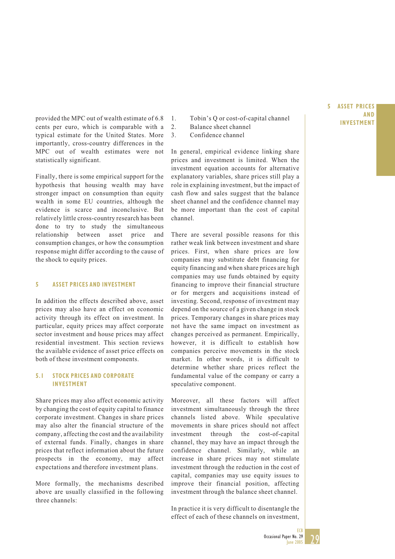provided the MPC out of wealth estimate of 6.8 1. Tobin's Q or cost-of-capital channel<br>
cents per euro, which is comparable with a 2. Balance sheet channel cents per euro, which is comparable with a typical estimate for the United States. More importantly, cross-country differences in the MPC out of wealth estimates were not statistically significant.

Finally, there is some empirical support for the hypothesis that housing wealth may have stronger impact on consumption than equity wealth in some EU countries, although the evidence is scarce and inconclusive. But relatively little cross-country research has been done to try to study the simultaneous relationship between asset price and consumption changes, or how the consumption response might differ according to the cause of the shock to equity prices.

#### **5 ASSET PRICES AND INVESTMENT**

In addition the effects described above, asset prices may also have an effect on economic activity through its effect on investment. In particular, equity prices may affect corporate sector investment and house prices may affect residential investment. This section reviews the available evidence of asset price effects on both of these investment components.

#### **5.1 STOCK PRICES AND CORPORATE INVESTMENT**

Share prices may also affect economic activity by changing the cost of equity capital to finance corporate investment. Changes in share prices may also alter the financial structure of the company, affecting the cost and the availability of external funds. Finally, changes in share prices that reflect information about the future prospects in the economy, may affect expectations and therefore investment plans.

More formally, the mechanisms described above are usually classified in the following three channels:

- Tobin's Q or cost-of-capital channel
- Balance sheet channel
- 3. Confidence channel

In general, empirical evidence linking share prices and investment is limited. When the investment equation accounts for alternative explanatory variables, share prices still play a role in explaining investment, but the impact of cash flow and sales suggest that the balance sheet channel and the confidence channel may be more important than the cost of capital channel.

There are several possible reasons for this rather weak link between investment and share prices. First, when share prices are low companies may substitute debt financing for equity financing and when share prices are high companies may use funds obtained by equity financing to improve their financial structure or for mergers and acquisitions instead of investing. Second, response of investment may depend on the source of a given change in stock prices. Temporary changes in share prices may not have the same impact on investment as changes perceived as permanent. Empirically, however, it is difficult to establish how companies perceive movements in the stock market. In other words, it is difficult to determine whether share prices reflect the fundamental value of the company or carry a speculative component.

Moreover, all these factors will affect investment simultaneously through the three channels listed above. While speculative movements in share prices should not affect investment through the cost-of-capital channel, they may have an impact through the confidence channel. Similarly, while an increase in share prices may not stimulate investment through the reduction in the cost of capital, companies may use equity issues to improve their financial position, affecting investment through the balance sheet channel.

In practice it is very difficult to disentangle the effect of each of these channels on investment,

### **5 ASSET PRICES AND**

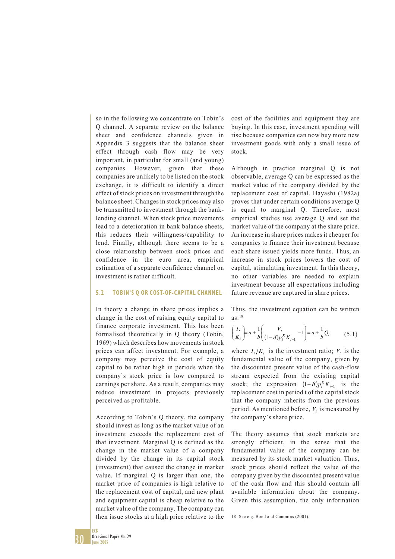so in the following we concentrate on Tobin's Q channel. A separate review on the balance sheet and confidence channels given in Appendix 3 suggests that the balance sheet effect through cash flow may be very important, in particular for small (and young) companies. However, given that these companies are unlikely to be listed on the stock exchange, it is difficult to identify a direct effect of stock prices on investment through the balance sheet. Changes in stock prices may also be transmitted to investment through the banklending channel. When stock price movements lead to a deterioration in bank balance sheets, this reduces their willingness/capability to lend. Finally, although there seems to be a close relationship between stock prices and confidence in the euro area, empirical estimation of a separate confidence channel on investment is rather difficult.

#### **5.2 TOBIN'S Q OR COST-OF-CAPITAL CHANNEL**

In theory a change in share prices implies a change in the cost of raising equity capital to finance corporate investment. This has been formalised theoretically in Q theory (Tobin, 1969) which describes how movements in stock prices can affect investment. For example, a company may perceive the cost of equity capital to be rather high in periods when the company's stock price is low compared to earnings per share. As a result, companies may reduce investment in projects previously perceived as profitable.

According to Tobin's Q theory, the company should invest as long as the market value of an investment exceeds the replacement cost of that investment. Marginal Q is defined as the change in the market value of a company divided by the change in its capital stock (investment) that caused the change in market value. If marginal Q is larger than one, the market price of companies is high relative to the replacement cost of capital, and new plant and equipment capital is cheap relative to the market value of the company. The company can then issue stocks at a high price relative to the

cost of the facilities and equipment they are buying. In this case, investment spending will rise because companies can now buy more new investment goods with only a small issue of stock.

Although in practice marginal Q is not observable, average Q can be expressed as the market value of the company divided by the replacement cost of capital. Hayashi (1982a) proves that under certain conditions average Q is equal to marginal Q. Therefore, most empirical studies use average Q and set the market value of the company at the share price. An increase in share prices makes it cheaper for companies to finance their investment because each share issued yields more funds. Thus, an increase in stock prices lowers the cost of capital, stimulating investment. In this theory, no other variables are needed to explain investment because all expectations including future revenue are captured in share prices.

Thus, the investment equation can be written  $as:18$ 

$$
\left(\frac{I_t}{K_t}\right) = a + \frac{1}{b} \left(\frac{V_t}{(1-\delta)p_t^K K_{t-1}} - 1\right) = a + \frac{1}{b}Q_t \tag{5.1}
$$

where  $I_t/K_t$  is the investment ratio;  $V_t$  is the fundamental value of the company, given by the discounted present value of the cash-flow stream expected from the existing capital stock; the expression  $(1 - \delta)p_t^K K_{t-1}$  is the replacement cost in period t of the capital stock that the company inherits from the previous period. As mentioned before,  $V_t$  is measured by the company's share price.

The theory assumes that stock markets are strongly efficient, in the sense that the fundamental value of the company can be measured by its stock market valuation. Thus, stock prices should reflect the value of the company given by the discounted present value of the cash flow and this should contain all available information about the company. Given this assumption, the only information

18 See e.g. Bond and Cummins (2001).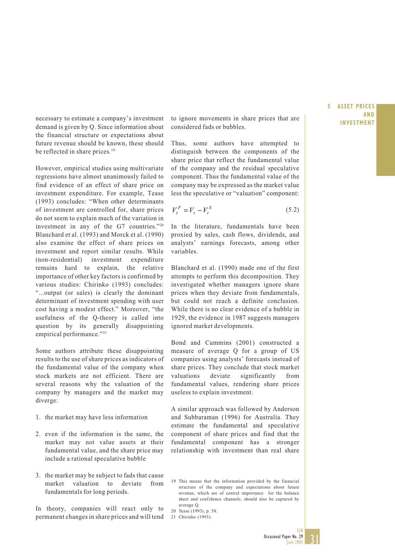demand is given by Q. Since information about the financial structure or expectations about future revenue should be known, these should be reflected in share prices.<sup>19</sup>

However, empirical studies using multivariate regressions have almost unanimously failed to find evidence of an effect of share price on investment expenditure. For example, Tease (1993) concludes: "When other determinants of investment are controlled for, share prices do not seem to explain much of the variation in investment in any of the G7 countries."20 Blanchard et al. (1993) and Morck et al. (1990) also examine the effect of share prices on investment and report similar results. While (non-residential) investment expenditure remains hard to explain, the relative importance of other key factors is confirmed by various studies: Chirinko (1993) concludes: "...output (or sales) is clearly the dominant determinant of investment spending with user cost having a modest effect." Moreover, "the usefulness of the Q-theory is called into question by its generally disappointing empirical performance."<sup>21</sup>

Some authors attribute these disappointing results to the use of share prices as indicators of the fundamental value of the company when stock markets are not efficient. There are several reasons why the valuation of the company by managers and the market may diverge:

- 1. the market may have less information
- 2. even if the information is the same, the market may not value assets at their fundamental value, and the share price may include a rational speculative bubble
- 3. the market may be subject to fads that cause market valuation to deviate from fundamentals for long periods.

In theory, companies will react only to permanent changes in share prices and will tend

necessary to estimate a company's investment to ignore movements in share prices that are **INVESTMENT** considered fads or bubbles.

> Thus, some authors have attempted to distinguish between the components of the share price that reflect the fundamental value of the company and the residual speculative component. Thus the fundamental value of the company may be expressed as the market value less the speculative or "valuation" component:

$$
V_t^F = V_t - V_t^S \tag{5.2}
$$

In the literature, fundamentals have been proxied by sales, cash flows, dividends, and analysts' earnings forecasts, among other variables.

Blanchard et al. (1990) made one of the first attempts to perform this decomposition. They investigated whether managers ignore share prices when they deviate from fundamentals, but could not reach a definite conclusion. While there is no clear evidence of a bubble in 1929, the evidence in 1987 suggests managers ignored market developments.

Bond and Cummins (2001) constructed a measure of average Q for a group of US companies using analysts' forecasts instead of share prices. They conclude that stock market valuations deviate significantly from fundamental values, rendering share prices useless to explain investment.

A similar approach was followed by Anderson and Subbaraman (1996) for Australia. They estimate the fundamental and speculative component of share prices and find that the fundamental component has a stronger relationship with investment than real share

- 19 This means that the information provided by the financial structure of the company and expectations about future revenue, which are of central importance for the balance sheet and confidence channels, should also be captured by average Q.
- 20 Tease (1993), p. 58.
- 21 Chirinko (1993).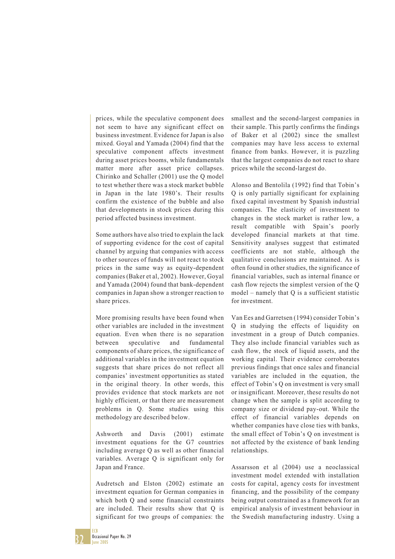prices, while the speculative component does not seem to have any significant effect on business investment. Evidence for Japan is also mixed. Goyal and Yamada (2004) find that the speculative component affects investment during asset prices booms, while fundamentals matter more after asset price collapses. Chirinko and Schaller (2001) use the Q model to test whether there was a stock market bubble in Japan in the late 1980's. Their results confirm the existence of the bubble and also that developments in stock prices during this period affected business investment.

Some authors have also tried to explain the lack of supporting evidence for the cost of capital channel by arguing that companies with access to other sources of funds will not react to stock prices in the same way as equity-dependent companies (Baker et al, 2002). However, Goyal and Yamada (2004) found that bank-dependent companies in Japan show a stronger reaction to share prices.

More promising results have been found when other variables are included in the investment equation. Even when there is no separation between speculative and fundamental components of share prices, the significance of additional variables in the investment equation suggests that share prices do not reflect all companies' investment opportunities as stated in the original theory. In other words, this provides evidence that stock markets are not highly efficient, or that there are measurement problems in Q. Some studies using this methodology are described below.

Ashworth and Davis (2001) estimate investment equations for the G7 countries including average Q as well as other financial variables. Average Q is significant only for Japan and France.

Audretsch and Elston (2002) estimate an investment equation for German companies in which both Q and some financial constraints are included. Their results show that Q is significant for two groups of companies: the smallest and the second-largest companies in their sample. This partly confirms the findings of Baker et al (2002) since the smallest companies may have less access to external finance from banks. However, it is puzzling that the largest companies do not react to share prices while the second-largest do.

Alonso and Bentolila (1992) find that Tobin's Q is only partially significant for explaining fixed capital investment by Spanish industrial companies. The elasticity of investment to changes in the stock market is rather low, a result compatible with Spain's poorly developed financial markets at that time. Sensitivity analyses suggest that estimated coefficients are not stable, although the qualitative conclusions are maintained. As is often found in other studies, the significance of financial variables, such as internal finance or cash flow rejects the simplest version of the Q model – namely that Q is a sufficient statistic for investment.

Van Ees and Garretsen (1994) consider Tobin's Q in studying the effects of liquidity on investment in a group of Dutch companies. They also include financial variables such as cash flow, the stock of liquid assets, and the working capital. Their evidence corroborates previous findings that once sales and financial variables are included in the equation, the effect of Tobin's Q on investment is very small or insignificant. Moreover, these results do not change when the sample is split according to company size or dividend pay-out. While the effect of financial variables depends on whether companies have close ties with banks, the small effect of Tobin's Q on investment is not affected by the existence of bank lending relationships.

Assarsson et al (2004) use a neoclassical investment model extended with installation costs for capital, agency costs for investment financing, and the possibility of the company being output constrained as a framework for an empirical analysis of investment behaviour in the Swedish manufacturing industry. Using a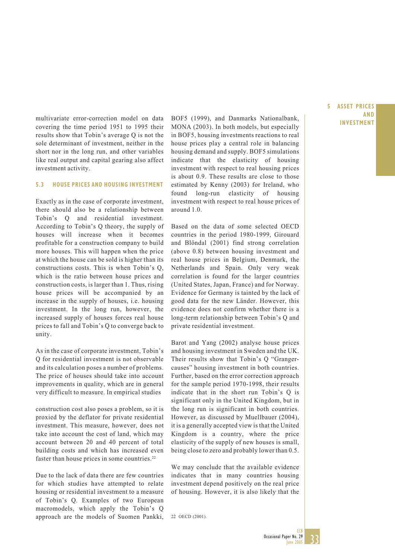multivariate error-correction model on data BOF5 (1999), and Danmarks Nationalbank, **INVESTMENT**<br>correction the time period 1951 to 1995 their MONA (2002). In heth models but expecially covering the time period 1951 to 1995 their results show that Tobin's average Q is not the sole determinant of investment, neither in the short nor in the long run, and other variables like real output and capital gearing also affect investment activity.

#### **5.3 HOUSE PRICES AND HOUSING INVESTMENT**

Exactly as in the case of corporate investment, there should also be a relationship between Tobin's Q and residential investment. According to Tobin's Q theory, the supply of houses will increase when it becomes profitable for a construction company to build more houses. This will happen when the price at which the house can be sold is higher than its constructions costs. This is when Tobin's Q, which is the ratio between house prices and construction costs, is larger than 1. Thus, rising house prices will be accompanied by an increase in the supply of houses, i.e. housing investment. In the long run, however, the increased supply of houses forces real house prices to fall and Tobin's Q to converge back to unity.

As in the case of corporate investment, Tobin's Q for residential investment is not observable and its calculation poses a number of problems. The price of houses should take into account improvements in quality, which are in general very difficult to measure. In empirical studies

construction cost also poses a problem, so it is proxied by the deflator for private residential investment. This measure, however, does not take into account the cost of land, which may account between 20 and 40 percent of total building costs and which has increased even faster than house prices in some countries.<sup>22</sup>

Due to the lack of data there are few countries for which studies have attempted to relate housing or residential investment to a measure of Tobin's Q. Examples of two European macromodels, which apply the Tobin's Q approach are the models of Suomen Pankki,

MONA (2003). In both models, but especially in BOF5, housing investments reactions to real house prices play a central role in balancing housing demand and supply. BOF5 simulations indicate that the elasticity of housing investment with respect to real housing prices is about 0.9. These results are close to those estimated by Kenny (2003) for Ireland, who found long-run elasticity of housing investment with respect to real house prices of around 1.0.

Based on the data of some selected OECD countries in the period 1980-1999, Girouard and Blöndal (2001) find strong correlation (above 0.8) between housing investment and real house prices in Belgium, Denmark, the Netherlands and Spain. Only very weak correlation is found for the larger countries (United States, Japan, France) and for Norway. Evidence for Germany is tainted by the lack of good data for the new Länder. However, this evidence does not confirm whether there is a long-term relationship between Tobin's Q and private residential investment.

Barot and Yang (2002) analyse house prices and housing investment in Sweden and the UK. Their results show that Tobin's Q "Grangercauses" housing investment in both countries. Further, based on the error correction approach for the sample period 1970-1998, their results indicate that in the short run Tobin's Q is significant only in the United Kingdom, but in the long run is significant in both countries. However, as discussed by Muellbauer (2004), it is a generally accepted view is that the United Kingdom is a country, where the price elasticity of the supply of new houses is small, being close to zero and probably lower than 0.5.

We may conclude that the available evidence indicates that in many countries housing investment depend positively on the real price of housing. However, it is also likely that the

22 OECD (2001).

### **5 ASSET PRICES AND**

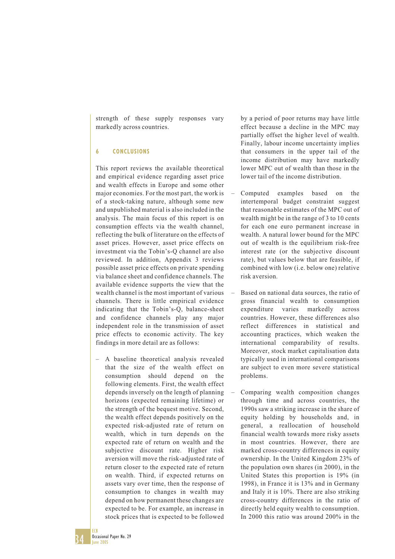strength of these supply responses vary markedly across countries.

#### **6 CONCLUSIONS**

This report reviews the available theoretical and empirical evidence regarding asset price and wealth effects in Europe and some other major economies. For the most part, the work is of a stock-taking nature, although some new and unpublished material is also included in the analysis. The main focus of this report is on consumption effects via the wealth channel, reflecting the bulk of literature on the effects of asset prices. However, asset price effects on investment via the Tobin's-Q channel are also reviewed. In addition, Appendix 3 reviews possible asset price effects on private spending via balance sheet and confidence channels. The available evidence supports the view that the wealth channel is the most important of various channels. There is little empirical evidence indicating that the Tobin's-Q, balance-sheet and confidence channels play any major independent role in the transmission of asset price effects to economic activity. The key findings in more detail are as follows:

– A baseline theoretical analysis revealed that the size of the wealth effect on consumption should depend on the following elements. First, the wealth effect depends inversely on the length of planning horizons (expected remaining lifetime) or the strength of the bequest motive. Second, the wealth effect depends positively on the expected risk-adjusted rate of return on wealth, which in turn depends on the expected rate of return on wealth and the subjective discount rate. Higher risk aversion will move the risk-adjusted rate of return closer to the expected rate of return on wealth. Third, if expected returns on assets vary over time, then the response of consumption to changes in wealth may depend on how permanent these changes are expected to be. For example, an increase in stock prices that is expected to be followed

by a period of poor returns may have little effect because a decline in the MPC may partially offset the higher level of wealth. Finally, labour income uncertainty implies that consumers in the upper tail of the income distribution may have markedly lower MPC out of wealth than those in the lower tail of the income distribution.

- Computed examples based on the intertemporal budget constraint suggest that reasonable estimates of the MPC out of wealth might be in the range of 3 to 10 cents for each one euro permanent increase in wealth. A natural lower bound for the MPC out of wealth is the equilibrium risk-free interest rate (or the subjective discount rate), but values below that are feasible, if combined with low (i.e. below one) relative risk aversion.
- Based on national data sources, the ratio of gross financial wealth to consumption expenditure varies markedly across countries. However, these differences also reflect differences in statistical and accounting practices, which weaken the international comparability of results. Moreover, stock market capitalisation data typically used in international comparisons are subject to even more severe statistical problems.
- Comparing wealth composition changes through time and across countries, the 1990s saw a striking increase in the share of equity holding by households and, in general, a reallocation of household financial wealth towards more risky assets in most countries. However, there are marked cross-country differences in equity ownership. In the United Kingdom 23% of the population own shares (in 2000), in the United States this proportion is 19% (in 1998), in France it is 13% and in Germany and Italy it is 10%. There are also striking cross-country differences in the ratio of directly held equity wealth to consumption. In 2000 this ratio was around 200% in the

34 ECB Occasional Paper No. 29 June 2005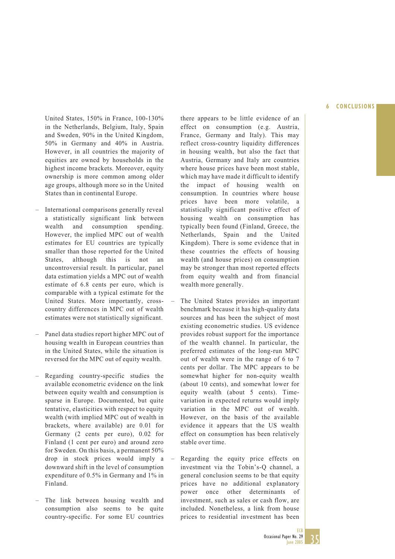#### **6 CONCLUSIONS**

United States, 150% in France, 100-130% in the Netherlands, Belgium, Italy, Spain and Sweden, 90% in the United Kingdom, 50% in Germany and 40% in Austria. However, in all countries the majority of equities are owned by households in the highest income brackets. Moreover, equity ownership is more common among older age groups, although more so in the United States than in continental Europe.

- International comparisons generally reveal a statistically significant link between wealth and consumption spending. However, the implied MPC out of wealth estimates for EU countries are typically smaller than those reported for the United States, although this is not an uncontroversial result. In particular, panel data estimation yields a MPC out of wealth estimate of 6.8 cents per euro, which is comparable with a typical estimate for the United States. More importantly, crosscountry differences in MPC out of wealth estimates were not statistically significant.
- Panel data studies report higher MPC out of housing wealth in European countries than in the United States, while the situation is reversed for the MPC out of equity wealth.
- Regarding country-specific studies the available econometric evidence on the link between equity wealth and consumption is sparse in Europe. Documented, but quite tentative, elasticities with respect to equity wealth (with implied MPC out of wealth in brackets, where available) are 0.01 for Germany (2 cents per euro), 0.02 for Finland (1 cent per euro) and around zero for Sweden. On this basis, a permanent 50% drop in stock prices would imply a downward shift in the level of consumption expenditure of 0.5% in Germany and 1% in Finland.
- The link between housing wealth and consumption also seems to be quite country-specific. For some EU countries

there appears to be little evidence of an effect on consumption (e.g. Austria, France, Germany and Italy). This may reflect cross-country liquidity differences in housing wealth, but also the fact that Austria, Germany and Italy are countries where house prices have been most stable, which may have made it difficult to identify the impact of housing wealth on consumption. In countries where house prices have been more volatile, a statistically significant positive effect of housing wealth on consumption has typically been found (Finland, Greece, the Netherlands, Spain and the United Kingdom). There is some evidence that in these countries the effects of housing wealth (and house prices) on consumption may be stronger than most reported effects from equity wealth and from financial wealth more generally.

- The United States provides an important benchmark because it has high-quality data sources and has been the subject of most existing econometric studies. US evidence provides robust support for the importance of the wealth channel. In particular, the preferred estimates of the long-run MPC out of wealth were in the range of 6 to 7 cents per dollar. The MPC appears to be somewhat higher for non-equity wealth (about 10 cents), and somewhat lower for equity wealth (about 5 cents). Timevariation in expected returns would imply variation in the MPC out of wealth. However, on the basis of the available evidence it appears that the US wealth effect on consumption has been relatively stable over time.
- Regarding the equity price effects on investment via the Tobin's-Q channel, a general conclusion seems to be that equity prices have no additional explanatory power once other determinants of investment, such as sales or cash flow, are included. Nonetheless, a link from house prices to residential investment has been

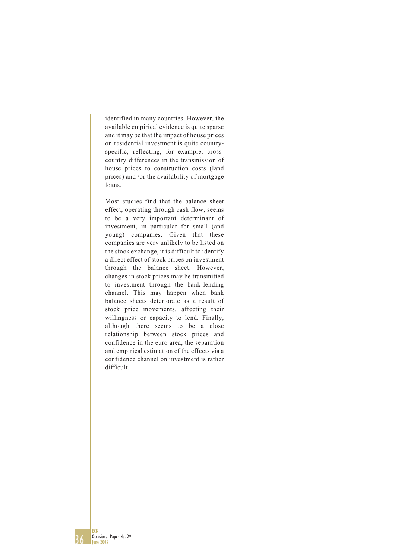identified in many countries. However, the available empirical evidence is quite sparse and it may be that the impact of house prices on residential investment is quite countryspecific, reflecting, for example, crosscountry differences in the transmission of house prices to construction costs (land prices) and /or the availability of mortgage loans.

– Most studies find that the balance sheet effect, operating through cash flow, seems to be a very important determinant of investment, in particular for small (and young) companies. Given that these companies are very unlikely to be listed on the stock exchange, it is difficult to identify a direct effect of stock prices on investment through the balance sheet. However, changes in stock prices may be transmitted to investment through the bank-lending channel. This may happen when bank balance sheets deteriorate as a result of stock price movements, affecting their willingness or capacity to lend. Finally, although there seems to be a close relationship between stock prices and confidence in the euro area, the separation and empirical estimation of the effects via a confidence channel on investment is rather difficult.

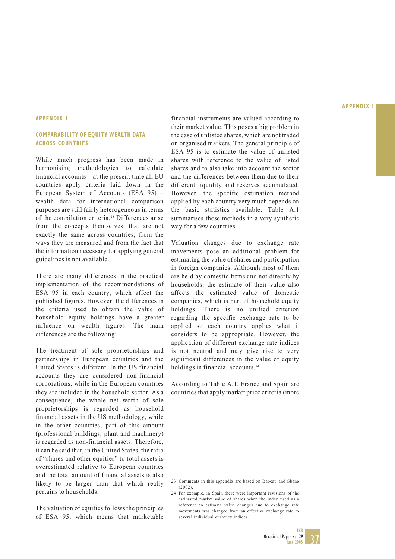#### **APPENDIX 1**

#### **COMPARABILITY OF EQUITY WEALTH DATA ACROSS COUNTRIES**

While much progress has been made in harmonising methodologies to calculate financial accounts – at the present time all EU countries apply criteria laid down in the European System of Accounts (ESA 95) – wealth data for international comparison purposes are still fairly heterogeneous in terms of the compilation criteria.23 Differences arise from the concepts themselves, that are not exactly the same across countries, from the ways they are measured and from the fact that the information necessary for applying general guidelines is not available.

There are many differences in the practical implementation of the recommendations of ESA 95 in each country, which affect the published figures. However, the differences in the criteria used to obtain the value of household equity holdings have a greater influence on wealth figures. The main differences are the following:

The treatment of sole proprietorships and partnerships in European countries and the United States is different. In the US financial accounts they are considered non-financial corporations, while in the European countries they are included in the household sector. As a consequence, the whole net worth of sole proprietorships is regarded as household financial assets in the US methodology, while in the other countries, part of this amount (professional buildings, plant and machinery) is regarded as non-financial assets. Therefore, it can be said that, in the United States, the ratio of "shares and other equities" to total assets is overestimated relative to European countries and the total amount of financial assets is also likely to be larger than that which really pertains to households.

The valuation of equities follows the principles of ESA 95, which means that marketable

financial instruments are valued according to their market value. This poses a big problem in the case of unlisted shares, which are not traded on organised markets. The general principle of ESA 95 is to estimate the value of unlisted shares with reference to the value of listed shares and to also take into account the sector and the differences between them due to their different liquidity and reserves accumulated. However, the specific estimation method applied by each country very much depends on the basic statistics available. Table A.1 summarises these methods in a very synthetic way for a few countries.

Valuation changes due to exchange rate movements pose an additional problem for estimating the value of shares and participation in foreign companies. Although most of them are held by domestic firms and not directly by households, the estimate of their value also affects the estimated value of domestic companies, which is part of household equity holdings. There is no unified criterion regarding the specific exchange rate to be applied so each country applies what it considers to be appropriate. However, the application of different exchange rate indices is not neutral and may give rise to very significant differences in the value of equity holdings in financial accounts.<sup>24</sup>

According to Table A.1, France and Spain are countries that apply market price criteria (more



<sup>23</sup> Comments in this appendix are based on Babeau and Sbano  $(2002)$ 

<sup>24</sup> For example, in Spain there were important revisions of the estimated market value of shares when the index used as a reference to estimate value changes due to exchange rate movements was changed from an effective exchange rate to several individual currency indices.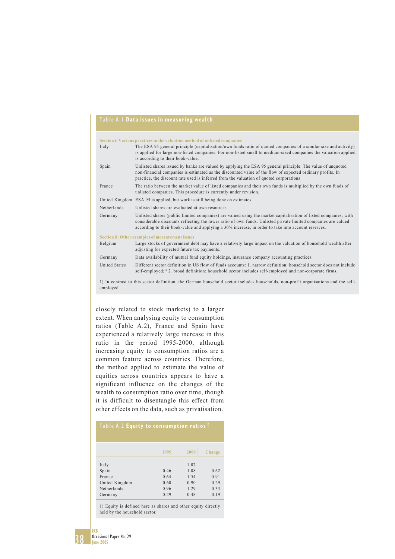#### **Table A.1 Data issues in measuring wealth**

|                      | Section i: Various practices in the valuation method of unlisted companies                                                                                                                                                                                                                                                             |
|----------------------|----------------------------------------------------------------------------------------------------------------------------------------------------------------------------------------------------------------------------------------------------------------------------------------------------------------------------------------|
| Italy                | The ESA 95 general principle (capitalisation/own funds ratio of quoted companies of a similar size and activity)<br>is applied for large non-listed companies. For non-listed small to medium-sized companies the valuation applied<br>is according to their book-value.                                                               |
| Spain                | Unlisted shares issued by banks are valued by applying the ESA 95 general principle. The value of unquoted<br>non-financial companies is estimated as the discounted value of the flow of expected ordinary profits. In<br>practice, the discount rate used is inferred from the valuation of quoted corporations.                     |
| France               | The ratio between the market value of listed companies and their own funds is multiplied by the own funds of<br>unlisted companies. This procedure is currently under revision.                                                                                                                                                        |
|                      | United Kingdom ESA 95 is applied, but work is still being done on estimates.                                                                                                                                                                                                                                                           |
| Netherlands          | Unlisted shares are evaluated at own resources.                                                                                                                                                                                                                                                                                        |
| Germany              | Unlisted shares (public limited companies) are valued using the market capitalisation of listed companies, with<br>considerable discounts reflecting the lower ratio of own funds. Unlisted private limited companies are valued<br>according to their book-value and applying a 30% increase, in order to take into account reserves. |
|                      | Section ii: Other examples of measurement issues                                                                                                                                                                                                                                                                                       |
| Belgium              | Large stocks of government debt may have a relatively large impact on the valuation of household wealth after<br>adjusting for expected future tax payments.                                                                                                                                                                           |
| Germany              | Data availability of mutual fund equity holdings, insurance company accounting practices.                                                                                                                                                                                                                                              |
| <b>United States</b> | Different sector definition in US flow of funds accounts: 1, narrow definition: household sector does not include<br>self-employed; <sup>1)</sup> 2. broad definition: household sector includes self-employed and non-corporate firms.                                                                                                |

1) In contrast to this sector definition, the German household sector includes households, non-profit organisations and the selfemployed.

closely related to stock markets) to a larger extent. When analysing equity to consumption ratios (Table A.2), France and Spain have experienced a relatively large increase in this ratio in the period 1995-2000, although increasing equity to consumption ratios are a common feature across countries. Therefore, the method applied to estimate the value of equities across countries appears to have a significant influence on the changes of the wealth to consumption ratio over time, though it is difficult to disentangle this effect from other effects on the data, such as privatisation.

| Table A.2 Equity to consumption ratios <sup>1)</sup>                 |                                      |                                              |                                      |  |  |  |  |  |  |  |
|----------------------------------------------------------------------|--------------------------------------|----------------------------------------------|--------------------------------------|--|--|--|--|--|--|--|
|                                                                      | 1995                                 | 2000                                         | Change                               |  |  |  |  |  |  |  |
| Italy<br>Spain<br>France<br>United Kingdom<br>Netherlands<br>Germany | 0.46<br>0.64<br>0.60<br>0.96<br>0.29 | 1.07<br>1.08<br>1.54<br>0.90<br>1.29<br>0.48 | 0.62<br>0.91<br>0.29<br>0.33<br>0.19 |  |  |  |  |  |  |  |

1) Equity is defined here as shares and other equity directly held by the household sector.

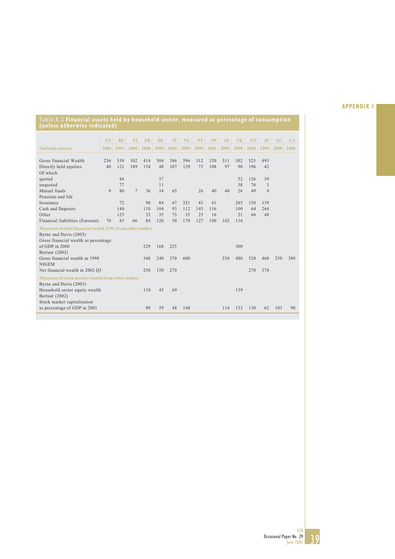#### **AT BE FI FR DE IT NL PT SP SE UK US JP AU CA National sources 2000 2001 2000 2000 2000 2000 2000 2000 2000 2000 2000 2000 2000 2000 2000** Gross financial Wealth 236 539 302 414 304 386 596 312 320 311 502 525 493<br>Directly held equities 40 121 189 154 48 107 129 73 108 97 90 196 42 40 121 189 154 48 107 129 Of which<br>quoted quoted 37 52 126 39 **(unless otherwise indicated)**

**Table A.3 Financial assets held by household sector, measured as percentage of consumption**

| unquoted                                                   |    | 77  |                |     | 11  |     |     |     |     |     | 38  | 70  | 3            |     |     |
|------------------------------------------------------------|----|-----|----------------|-----|-----|-----|-----|-----|-----|-----|-----|-----|--------------|-----|-----|
| Mutual funds                                               | 9  | 80  | $\overline{7}$ | 36  | 34  | 65  |     | 26  | 40  | 40  | 26  | 49  | $\mathbf{0}$ |     |     |
| Pensions and life                                          |    |     |                |     |     |     |     |     |     |     |     |     |              |     |     |
| Insurance                                                  |    | 72  |                | 90  | 84  | 47  | 321 | 43  | 41  |     | 265 | 150 | 139          |     |     |
| Cash and Deposits                                          |    | 140 |                | 110 | 104 | 93  | 112 | 145 | 116 |     | 100 | 64  | 264          |     |     |
| Other                                                      |    | 125 |                | 23  | 35  | 73  | 35  | 25  | 16  |     | 21  | 66  | 48           |     |     |
| Financial liabilities (Eurostat)                           | 70 | 83  | 66             | 84  | 126 | 50  | 170 | 127 | 100 | 102 | 116 |     |              |     |     |
| Measures of total financial wealth (FW) from other studies |    |     |                |     |     |     |     |     |     |     |     |     |              |     |     |
| Byrne and Davis (2003)                                     |    |     |                |     |     |     |     |     |     |     |     |     |              |     |     |
| Gross financial wealth as percentage                       |    |     |                |     |     |     |     |     |     |     |     |     |              |     |     |
| of GDP in 2000                                             |    |     |                | 229 | 168 | 225 |     |     |     |     | 300 |     |              |     |     |
| Bertaut (2002)                                             |    |     |                |     |     |     |     |     |     |     |     |     |              |     |     |
| Gross financial wealth in 1998                             |    |     |                | 340 | 240 | 370 | 600 |     |     | 230 | 480 | 520 | 460          | 250 | 380 |
| <b>NIGEM</b>                                               |    |     |                |     |     |     |     |     |     |     |     |     |              |     |     |
| Net financial wealth in 2002 Q3                            |    |     |                | 250 | 150 | 270 |     |     |     |     |     | 270 | 370          |     |     |
| Measures of stock market wealth from other studies         |    |     |                |     |     |     |     |     |     |     |     |     |              |     |     |
| Byrne and Davis (2003)                                     |    |     |                |     |     |     |     |     |     |     |     |     |              |     |     |
| Household sector equity wealth                             |    |     |                | 110 | 45  | 69  |     |     |     |     | 159 |     |              |     |     |
| Bertaut (2002)                                             |    |     |                |     |     |     |     |     |     |     |     |     |              |     |     |
| Stock market capitalisation                                |    |     |                |     |     |     |     |     |     |     |     |     |              |     |     |
| as percentage of GDP in 2001                               |    |     |                | 89  | 59  | 48  | 148 |     |     | 114 | 153 | 130 | 62           | 103 | 90  |
|                                                            |    |     |                |     |     |     |     |     |     |     |     |     |              |     |     |

ECB Occasional Paper No. 29 June 2005

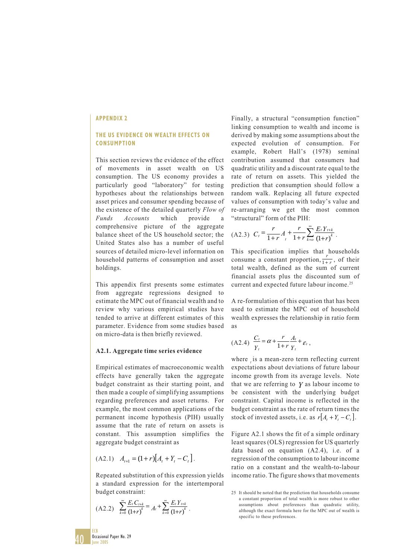#### **THE US EVIDENCE ON WEALTH EFFECTS ON CONSUMPTION**

This section reviews the evidence of the effect of movements in asset wealth on US consumption. The US economy provides a particularly good "laboratory" for testing hypotheses about the relationships between asset prices and consumer spending because of the existence of the detailed quarterly *Flow of Funds Accounts* which provide a comprehensive picture of the aggregate balance sheet of the US household sector; the United States also has a number of useful sources of detailed micro-level information on household patterns of consumption and asset holdings.

This appendix first presents some estimates from aggregate regressions designed to estimate the MPC out of financial wealth and to review why various empirical studies have tended to arrive at different estimates of this parameter. Evidence from some studies based on micro-data is then briefly reviewed.

#### **A2.1. Aggregate time series evidence**

Empirical estimates of macroeconomic wealth effects have generally taken the aggregate budget constraint as their starting point, and then made a couple of simplifying assumptions regarding preferences and asset returns. For example, the most common applications of the permanent income hypothesis (PIH) usually assume that the rate of return on assets is constant. This assumption simplifies the aggregate budget constraint as

$$
(A2.1) \quad A_{t+1} = (1+r)[A_t + Y_t - C_t].
$$

Repeated substitution of this expression yields a standard expression for the intertemporal budget constraint:

$$
(A2.2) \quad \sum_{k=0}^{\infty} \frac{E_t C_{t+k}}{(1+r)^k} = A_t + \sum_{k=0}^{\infty} \frac{E_t Y_{t+k}}{(1+r)^k}.
$$

Finally, a structural "consumption function" linking consumption to wealth and income is derived by making some assumptions about the expected evolution of consumption. For example, Robert Hall's (1978) seminal contribution assumed that consumers had quadratic utility and a discount rate equal to the rate of return on assets. This yielded the prediction that consumption should follow a random walk. Replacing all future expected values of consumption with today's value and re-arranging we get the most common "structural" form of the PIH:

$$
(A2.3) \ \ C_t = \frac{r}{1+r} A_t + \frac{r}{1+r} \sum_{k=0}^{\infty} \frac{E_t Y_{t+k}}{(1+r)^k}.
$$

This specification implies that households consume a constant proportion,  $\frac{r}{1+r}$ , of their total wealth, defined as the sum of current financial assets plus the discounted sum of current and expected future labour income.<sup>25</sup>

A re-formulation of this equation that has been used to estimate the MPC out of household wealth expresses the relationship in ratio form as

$$
(A2.4) \frac{C_t}{Y_t} = \alpha + \frac{r}{1+r} \frac{A_t}{Y_t} + \varepsilon_t,
$$

where is a mean-zero term reflecting current expectations about deviations of future labour income growth from its average levels. Note that we are referring to *Y* as labour income to be consistent with the underlying budget constraint. Capital income is reflected in the budget constraint as the rate of return times the stock of invested assets, i.e. as  $r[A_1 + Y_1 - C_1]$ .

Figure A2.1 shows the fit of a simple ordinary least squares (OLS) regression for US quarterly data based on equation (A2.4), i.e. of a regression of the consumption to labour income ratio on a constant and the wealth-to-labour income ratio. The figure shows that movements

<sup>25</sup> It should be noted that the prediction that households consume a constant proportion of total wealth is more robust to other assumptions about preferences than quadratic utility, although the exact formula here for the MPC out of wealth is specific to these preferences.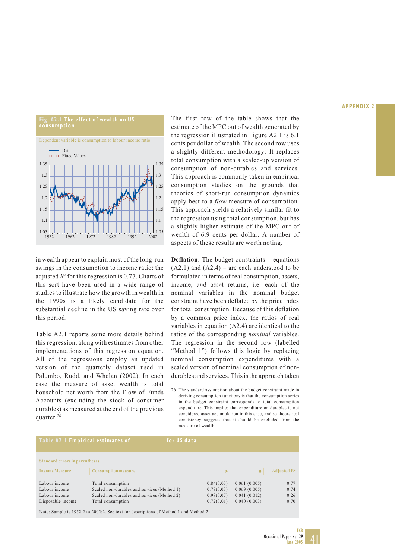

in wealth appear to explain most of the long-run swings in the consumption to income ratio: the adjusted *R2* for this regression is 0.77. Charts of this sort have been used in a wide range of studies to illustrate how the growth in wealth in the 1990s is a likely candidate for the substantial decline in the US saving rate over this period.

Table A2.1 reports some more details behind this regression, along with estimates from other implementations of this regression equation. All of the regressions employ an updated version of the quarterly dataset used in Palumbo, Rudd, and Whelan (2002). In each case the measure of asset wealth is total household net worth from the Flow of Funds Accounts (excluding the stock of consumer durables) as measured at the end of the previous quarter.26

The first row of the table shows that the estimate of the MPC out of wealth generated by the regression illustrated in Figure A2.1 is 6.1 cents per dollar of wealth. The second row uses a slightly different methodology: It replaces total consumption with a scaled-up version of consumption of non-durables and services. This approach is commonly taken in empirical consumption studies on the grounds that theories of short-run consumption dynamics apply best to a *flow* measure of consumption. This approach yields a relatively similar fit to the regression using total consumption, but has a slightly higher estimate of the MPC out of wealth of 6.9 cents per dollar. A number of aspects of these results are worth noting.

**Deflation**: The budget constraints – equations  $(A2.1)$  and  $(A2.4)$  – are each understood to be formulated in terms of real consumption, assets, income, and asset returns, i.e. each of the nominal variables in the nominal budget constraint have been deflated by the price index for total consumption. Because of this deflation by a common price index, the ratios of real variables in equation (A2.4) are identical to the ratios of the corresponding *nominal* variables. The regression in the second row (labelled "Method 1") follows this logic by replacing nominal consumption expenditures with a scaled version of nominal consumption of nondurables and services. This is the approach taken

26 The standard assumption about the budget constraint made in deriving consumption functions is that the consumption series in the budget constraint corresponds to total consumption expenditure. This implies that expenditure on durables is not considered asset accumulation in this case, and so theoretical consistency suggests that it should be excluded from the measure of wealth.

| Table A2.1 Empirical estimates of     |                                             | for US data |            |              |                         |
|---------------------------------------|---------------------------------------------|-------------|------------|--------------|-------------------------|
| <b>Standard errors in parentheses</b> |                                             |             |            |              |                         |
| <b>Income Measure</b>                 | <b>Consumption measure</b>                  |             | $\alpha$   | ū            | Adjusted $\mathbb{R}^2$ |
|                                       |                                             |             |            |              |                         |
| Labour income                         | Total consumption                           |             | 0.84(0.03) | 0.061(0.005) | 0.77                    |
| Labour income                         | Scaled non-durables and services (Method 1) |             | 0.79(0.03) | 0.069(0.005) | 0.74                    |
| Labour income                         | Scaled non-durables and services (Method 2) |             | 0.98(0.07) | 0.041(0.012) | 0.26                    |
| Disposable income                     | Total consumption                           |             | 0.72(0.01) | 0.040(0.003) | 0.70                    |

Note: Sample is 1952:2 to 2002:2. See text for descriptions of Method 1 and Method 2.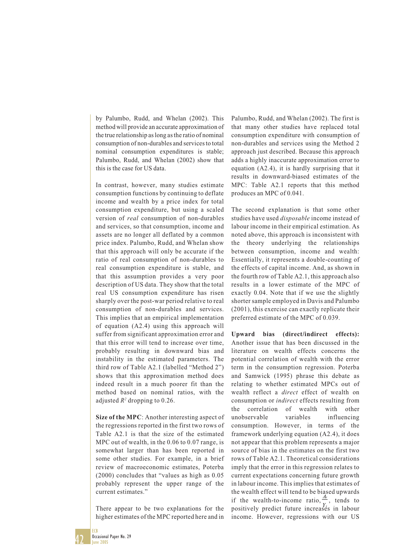by Palumbo, Rudd, and Whelan (2002). This method will provide an accurate approximation of the true relationship as long as the ratio of nominal consumption of non-durables and services to total nominal consumption expenditures is stable; Palumbo, Rudd, and Whelan (2002) show that this is the case for US data.

In contrast, however, many studies estimate consumption functions by continuing to deflate income and wealth by a price index for total consumption expenditure, but using a scaled version of *real* consumption of non-durables and services, so that consumption, income and assets are no longer all deflated by a common price index. Palumbo, Rudd, and Whelan show that this approach will only be accurate if the ratio of real consumption of non-durables to real consumption expenditure is stable, and that this assumption provides a very poor description of US data. They show that the total real US consumption expenditure has risen sharply over the post-war period relative to real consumption of non-durables and services. This implies that an empirical implementation of equation (A2.4) using this approach will suffer from significant approximation error and that this error will tend to increase over time, probably resulting in downward bias and instability in the estimated parameters. The third row of Table A2.1 (labelled "Method 2") shows that this approximation method does indeed result in a much poorer fit than the method based on nominal ratios, with the adjusted  $R^2$  dropping to 0.26.

**Size of the MPC**: Another interesting aspect of the regressions reported in the first two rows of Table A2.1 is that the size of the estimated MPC out of wealth, in the 0.06 to 0.07 range, is somewhat larger than has been reported in some other studies. For example, in a brief review of macroeconomic estimates, Poterba (2000) concludes that "values as high as 0.05 probably represent the upper range of the current estimates."

There appear to be two explanations for the higher estimates of the MPC reported here and in

Palumbo, Rudd, and Whelan (2002). The first is that many other studies have replaced total consumption expenditure with consumption of non-durables and services using the Method 2 approach just described. Because this approach adds a highly inaccurate approximation error to equation (A2.4), it is hardly surprising that it results in downward-biased estimates of the MPC: Table A2.1 reports that this method produces an MPC of 0.041.

The second explanation is that some other studies have used *disposable* income instead of labour income in their empirical estimation. As noted above, this approach is inconsistent with the theory underlying the relationships between consumption, income and wealth: Essentially, it represents a double-counting of the effects of capital income. And, as shown in the fourth row of Table A2.1, this approach also results in a lower estimate of the MPC of exactly 0.04. Note that if we use the slightly shorter sample employed in Davis and Palumbo (2001), this exercise can exactly replicate their preferred estimate of the MPC of 0.039.

**Upward bias (direct/indirect effects):** Another issue that has been discussed in the literature on wealth effects concerns the potential correlation of wealth with the error term in the consumption regression. Poterba and Samwick (1995) phrase this debate as relating to whether estimated MPCs out of wealth reflect a *direct* effect of wealth on consumption or *indirect* effects resulting from the correlation of wealth with other unobservable variables influencing consumption. However, in terms of the framework underlying equation (A2.4), it does not appear that this problem represents a major source of bias in the estimates on the first two rows of Table A2.1. Theoretical considerations imply that the error in this regression relates to current expectations concerning future growth in labour income. This implies that estimates of the wealth effect will tend to be biased upwards if the wealth-to-income ratio,  $\frac{A_t}{A_t}$ , tends to positively predict future increases in labour income. However, regressions with our US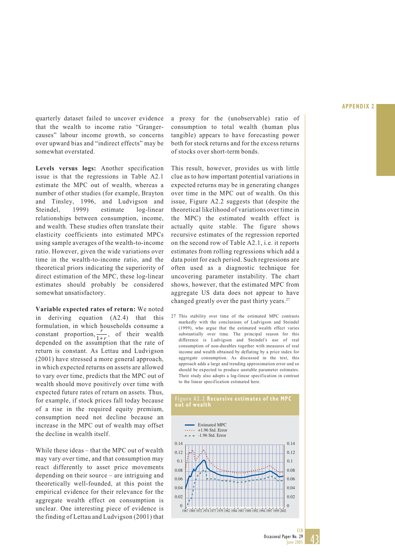quarterly dataset failed to uncover evidence that the wealth to income ratio "Grangercauses" labour income growth, so concerns over upward bias and "indirect effects" may be somewhat overstated.

**Levels versus logs:** Another specification issue is that the regressions in Table A2.1 estimate the MPC out of wealth, whereas a number of other studies (for example, Brayton and Tinsley, 1996, and Ludvigson and Steindel, 1999) estimate log-linear relationships between consumption, income, and wealth. These studies often translate their elasticity coefficients into estimated MPCs using sample averages of the wealth-to-income ratio. However, given the wide variations over time in the wealth-to-income ratio, and the theoretical priors indicating the superiority of direct estimation of the MPC, these log-linear estimates should probably be considered somewhat unsatisfactory.

**Variable expected rates of return:** We noted in deriving equation (A2.4) that this formulation, in which households consume a constant proportion,  $\frac{r}{1+r}$ , of their wealth depended on the assumption that the rate of return is constant. As Lettau and Ludvigson (2001) have stressed a more general approach, in which expected returns on assets are allowed to vary over time, predicts that the MPC out of wealth should move positively over time with expected future rates of return on assets. Thus, for example, if stock prices fall today because of a rise in the required equity premium, consumption need not decline because an increase in the MPC out of wealth may offset the decline in wealth itself.

While these ideas – that the MPC out of wealth may vary over time, and that consumption may react differently to asset price movements depending on their source – are intriguing and theoretically well-founded, at this point the empirical evidence for their relevance for the aggregate wealth effect on consumption is unclear. One interesting piece of evidence is the finding of Lettau and Ludvigson (2001) that a proxy for the (unobservable) ratio of consumption to total wealth (human plus tangible) appears to have forecasting power both for stock returns and for the excess returns of stocks over short-term bonds.

This result, however, provides us with little clue as to how important potential variations in expected returns may be in generating changes over time in the MPC out of wealth. On this issue, Figure A2.2 suggests that (despite the theoretical likelihood of variations over time in the MPC) the estimated wealth effect is actually quite stable. The figure shows recursive estimates of the regression reported on the second row of Table A2.1, i.e. it reports estimates from rolling regressions which add a data point for each period. Such regressions are often used as a diagnostic technique for uncovering parameter instability. The chart shows, however, that the estimated MPC from aggregate US data does not appear to have changed greatly over the past thirty years.<sup>27</sup>

27 This stability over time of the estimated MPC contrasts markedly with the conclusions of Ludvigson and Steindel (1999), who argue that the estimated wealth effect varies substantially over time. The principal reason for this difference is Ludvigson and Steindel's use of real consumption of non-durables together with measures of real income and wealth obtained by deflating by a price index for aggregate consumption. As discussed in the text, this approach adds a large and trending approximation error and so should be expected to produce unstable parameter estimates. Their study also adopts a log-linear specification in contrast to the linear specification estimated here.



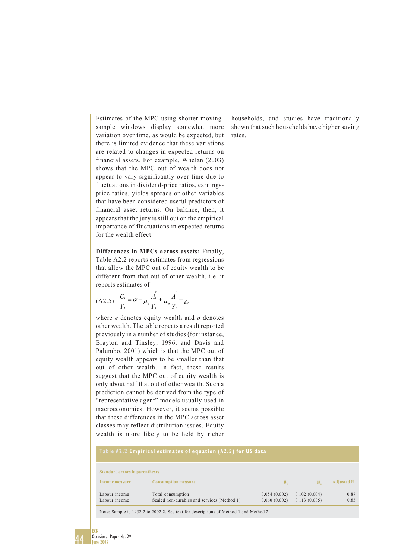Estimates of the MPC using shorter movingsample windows display somewhat more variation over time, as would be expected, but there is limited evidence that these variations are related to changes in expected returns on financial assets. For example, Whelan (2003) shows that the MPC out of wealth does not appear to vary significantly over time due to fluctuations in dividend-price ratios, earningsprice ratios, yields spreads or other variables that have been considered useful predictors of financial asset returns. On balance, then, it appears that the jury is still out on the empirical importance of fluctuations in expected returns for the wealth effect.

**Differences in MPCs across assets:** Finally, Table A2.2 reports estimates from regressions that allow the MPC out of equity wealth to be different from that out of other wealth, i.e. it reports estimates of

$$
(A2.5) \quad \frac{C_t}{Y_t} = \alpha + \mu_e \frac{A_t^e}{Y_t} + \mu_o \frac{A_t^o}{Y_t} + \varepsilon_t
$$

where *e* denotes equity wealth and *o* denotes other wealth. The table repeats a result reported previously in a number of studies (for instance, Brayton and Tinsley, 1996, and Davis and Palumbo, 2001) which is that the MPC out of equity wealth appears to be smaller than that out of other wealth. In fact, these results suggest that the MPC out of equity wealth is only about half that out of other wealth. Such a prediction cannot be derived from the type of "representative agent" models usually used in macroeconomics. However, it seems possible that these differences in the MPC across asset classes may reflect distribution issues. Equity wealth is more likely to be held by richer

households, and studies have traditionally shown that such households have higher saving rates.

| Table A2.2 Empirical estimates of equation (A2.5) for US data |                                             |              |              |                         |  |  |  |  |  |
|---------------------------------------------------------------|---------------------------------------------|--------------|--------------|-------------------------|--|--|--|--|--|
| <b>Standard errors in parentheses</b>                         |                                             |              |              |                         |  |  |  |  |  |
| Income measure                                                | <b>Consumption measure</b>                  | $\mu$        |              | Adjusted $\mathbb{R}^2$ |  |  |  |  |  |
| Labour income                                                 | Total consumption                           | 0.054(0.002) | 0.102(0.004) | 0.87                    |  |  |  |  |  |
| Labour income                                                 | Scaled non-durables and services (Method 1) | 0.060(0.002) | 0.113(0.005) | 0.83                    |  |  |  |  |  |

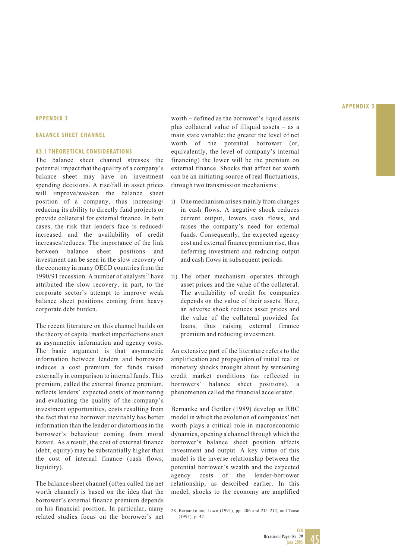#### **APPENDIX 3**

#### **BALANCE SHEET CHANNEL**

#### **A3.1 THEORETICAL CONSIDERATIONS**

The balance sheet channel stresses the potential impact that the quality of a company's balance sheet may have on investment spending decisions. A rise/fall in asset prices will improve/weaken the balance sheet position of a company, thus increasing/ reducing its ability to directly fund projects or provide collateral for external finance. In both cases, the risk that lenders face is reduced/ increased and the availability of credit increases/reduces. The importance of the link between balance sheet positions and investment can be seen in the slow recovery of the economy in many OECD countries from the 1990/91 recession. A number of analysts<sup>28</sup> have attributed the slow recovery, in part, to the corporate sector's attempt to improve weak balance sheet positions coming from heavy corporate debt burden.

The recent literature on this channel builds on the theory of capital market imperfections such as asymmetric information and agency costs. The basic argument is that asymmetric information between lenders and borrowers induces a cost premium for funds raised externally in comparison to internal funds. This premium, called the external finance premium, reflects lenders' expected costs of monitoring and evaluating the quality of the company's investment opportunities, costs resulting from the fact that the borrower inevitably has better information than the lender or distortions in the borrower's behaviour coming from moral hazard. As a result, the cost of external finance (debt, equity) may be substantially higher than the cost of internal finance (cash flows, liquidity).

The balance sheet channel (often called the net worth channel) is based on the idea that the borrower's external finance premium depends on his financial position. In particular, many related studies focus on the borrower's net worth – defined as the borrower's liquid assets plus collateral value of illiquid assets – as a main state variable: the greater the level of net worth of the potential borrower (or, equivalently, the level of company's internal financing) the lower will be the premium on external finance. Shocks that affect net worth can be an initiating source of real fluctuations, through two transmission mechanisms:

- i) One mechanism arises mainly from changes in cash flows. A negative shock reduces current output, lowers cash flows, and raises the company's need for external funds. Consequently, the expected agency cost and external finance premium rise, thus deferring investment and reducing output and cash flows in subsequent periods.
- ii) The other mechanism operates through asset prices and the value of the collateral. The availability of credit for companies depends on the value of their assets. Here, an adverse shock reduces asset prices and the value of the collateral provided for loans, thus raising external finance premium and reducing investment.

An extensive part of the literature refers to the amplification and propagation of initial real or monetary shocks brought about by worsening credit market conditions (as reflected in borrowers' balance sheet positions), a phenomenon called the financial accelerator.

Bernanke and Gertler (1989) develop an RBC model in which the evolution of companies' net worth plays a critical role in macroeconomic dynamics, opening a channel through which the borrower's balance sheet position affects investment and output. A key virtue of this model is the inverse relationship between the potential borrower's wealth and the expected agency costs of the lender-borrower relationship, as described earlier. In this model, shocks to the economy are amplified

28 Bernanke and Lown (1991), pp. 206 and 211-212, and Tease (1993), p. 47.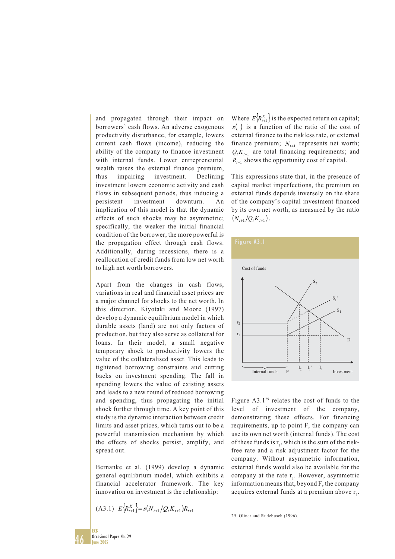and propagated through their impact on borrowers' cash flows. An adverse exogenous productivity disturbance, for example, lowers current cash flows (income), reducing the ability of the company to finance investment with internal funds. Lower entrepreneurial wealth raises the external finance premium, thus impairing investment. Declining investment lowers economic activity and cash flows in subsequent periods, thus inducing a persistent investment downturn. An implication of this model is that the dynamic effects of such shocks may be asymmetric; specifically, the weaker the initial financial condition of the borrower, the more powerful is the propagation effect through cash flows. Additionally, during recessions, there is a reallocation of credit funds from low net worth to high net worth borrowers.

Apart from the changes in cash flows, variations in real and financial asset prices are a major channel for shocks to the net worth. In this direction, Kiyotaki and Moore (1997) develop a dynamic equilibrium model in which durable assets (land) are not only factors of production, but they also serve as collateral for loans. In their model, a small negative temporary shock to productivity lowers the value of the collateralised asset. This leads to tightened borrowing constraints and cutting backs on investment spending. The fall in spending lowers the value of existing assets and leads to a new round of reduced borrowing and spending, thus propagating the initial shock further through time. A key point of this study is the dynamic interaction between credit limits and asset prices, which turns out to be a powerful transmission mechanism by which the effects of shocks persist, amplify, and spread out.

Bernanke et al. (1999) develop a dynamic general equilibrium model, which exhibits a financial accelerator framework. The key innovation on investment is the relationship:

$$
(A3.1) \t E\Big\{R_{t+1}^K\Big\} = s(N_{t+1}/Q_t K_{t+1})R_{t+1}
$$

Where  $E\left\{R_{t+1}^K\right\}$  is the expected return on capital; *s*( ) is a function of the ratio of the cost of external finance to the riskless rate, or external finance premium;  $N_{t+1}$  represents net worth;  $Q_t K_{t+1}$  are total financing requirements; and  $R_{t+1}$  shows the opportunity cost of capital.

This expressions state that, in the presence of capital market imperfections, the premium on external funds depends inversely on the share of the company's capital investment financed by its own net worth, as measured by the ratio  $(N_{t+1}/Q_tK_{t+1}).$ 



Figure  $A3.1^{29}$  relates the cost of funds to the level of investment of the company, demonstrating these effects. For financing requirements, up to point F, the company can use its own net worth (internal funds). The cost of these funds is  $r_1$ , which is the sum of the riskfree rate and a risk adjustment factor for the company. Without asymmetric information, external funds would also be available for the company at the rate  $r_1$ . However, asymmetric information means that, beyond F, the company acquires external funds at a premium above  $r_{1}$ .

29 Oliner and Rudebusch (1996).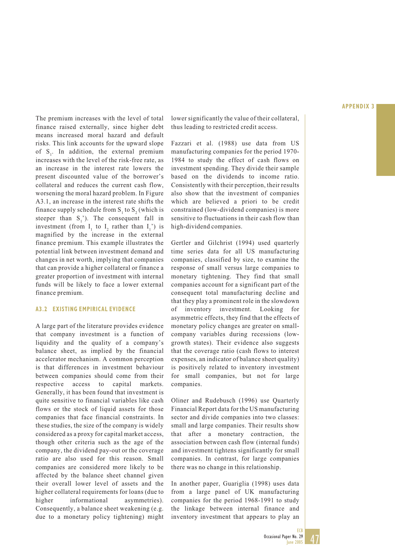The premium increases with the level of total finance raised externally, since higher debt means increased moral hazard and default risks. This link accounts for the upward slope of  $S_1$ . In addition, the external premium increases with the level of the risk-free rate, as an increase in the interest rate lowers the present discounted value of the borrower's collateral and reduces the current cash flow, worsening the moral hazard problem. In Figure A3.1, an increase in the interest rate shifts the finance supply schedule from  $S_1$  to  $S_2$  (which is steeper than  $S_1$ '). The consequent fall in investment (from  $I_1$  to  $I_2$  rather than  $I_1$ ) is magnified by the increase in the external finance premium. This example illustrates the potential link between investment demand and changes in net worth, implying that companies that can provide a higher collateral or finance a greater proportion of investment with internal funds will be likely to face a lower external finance premium.

#### **A3.2 EXISTING EMPIRICAL EVIDENCE**

A large part of the literature provides evidence that company investment is a function of liquidity and the quality of a company's balance sheet, as implied by the financial accelerator mechanism. A common perception is that differences in investment behaviour between companies should come from their respective access to capital markets. Generally, it has been found that investment is quite sensitive to financial variables like cash flows or the stock of liquid assets for those companies that face financial constraints. In these studies, the size of the company is widely considered as a proxy for capital market access, though other criteria such as the age of the company, the dividend pay-out or the coverage ratio are also used for this reason. Small companies are considered more likely to be affected by the balance sheet channel given their overall lower level of assets and the higher collateral requirements for loans (due to higher informational asymmetries). Consequently, a balance sheet weakening (e.g. due to a monetary policy tightening) might lower significantly the value of their collateral, thus leading to restricted credit access.

Fazzari et al. (1988) use data from US manufacturing companies for the period 1970- 1984 to study the effect of cash flows on investment spending. They divide their sample based on the dividends to income ratio. Consistently with their perception, their results also show that the investment of companies which are believed a priori to be credit constrained (low-dividend companies) is more sensitive to fluctuations in their cash flow than high-dividend companies.

Gertler and Gilchrist (1994) used quarterly time series data for all US manufacturing companies, classified by size, to examine the response of small versus large companies to monetary tightening. They find that small companies account for a significant part of the consequent total manufacturing decline and that they play a prominent role in the slowdown of inventory investment. Looking for asymmetric effects, they find that the effects of monetary policy changes are greater on smallcompany variables during recessions (lowgrowth states). Their evidence also suggests that the coverage ratio (cash flows to interest expenses, an indicator of balance sheet quality) is positively related to inventory investment for small companies, but not for large companies.

Oliner and Rudebusch (1996) use Quarterly Financial Report data for the US manufacturing sector and divide companies into two classes: small and large companies. Their results show that after a monetary contraction, the association between cash flow (internal funds) and investment tightens significantly for small companies. In contrast, for large companies there was no change in this relationship.

In another paper, Guariglia (1998) uses data from a large panel of UK manufacturing companies for the period 1968-1991 to study the linkage between internal finance and inventory investment that appears to play an

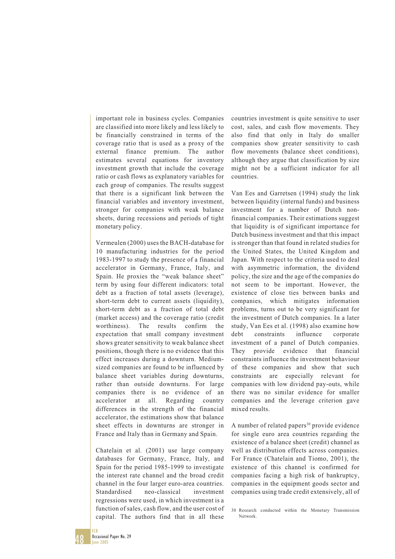important role in business cycles. Companies are classified into more likely and less likely to be financially constrained in terms of the coverage ratio that is used as a proxy of the external finance premium. The author estimates several equations for inventory investment growth that include the coverage ratio or cash flows as explanatory variables for each group of companies. The results suggest that there is a significant link between the financial variables and inventory investment, stronger for companies with weak balance sheets, during recessions and periods of tight monetary policy.

Vermeulen (2000) uses the BACH-database for 10 manufacturing industries for the period 1983-1997 to study the presence of a financial accelerator in Germany, France, Italy, and Spain. He proxies the "weak balance sheet" term by using four different indicators: total debt as a fraction of total assets (leverage), short-term debt to current assets (liquidity), short-term debt as a fraction of total debt (market access) and the coverage ratio (credit worthiness). The results confirm the expectation that small company investment shows greater sensitivity to weak balance sheet positions, though there is no evidence that this effect increases during a downturn. Mediumsized companies are found to be influenced by balance sheet variables during downturns, rather than outside downturns. For large companies there is no evidence of an accelerator at all. Regarding country differences in the strength of the financial accelerator, the estimations show that balance sheet effects in downturns are stronger in France and Italy than in Germany and Spain.

Chatelain et al. (2001) use large company databases for Germany, France, Italy, and Spain for the period 1985-1999 to investigate the interest rate channel and the broad credit channel in the four larger euro-area countries. Standardised neo-classical investment regressions were used, in which investment is a function of sales, cash flow, and the user cost of capital. The authors find that in all these

countries investment is quite sensitive to user cost, sales, and cash flow movements. They also find that only in Italy do smaller companies show greater sensitivity to cash flow movements (balance sheet conditions), although they argue that classification by size might not be a sufficient indicator for all countries.

Van Ees and Garretsen (1994) study the link between liquidity (internal funds) and business investment for a number of Dutch nonfinancial companies. Their estimations suggest that liquidity is of significant importance for Dutch business investment and that this impact is stronger than that found in related studies for the United States, the United Kingdom and Japan. With respect to the criteria used to deal with asymmetric information, the dividend policy, the size and the age of the companies do not seem to be important. However, the existence of close ties between banks and companies, which mitigates information problems, turns out to be very significant for the investment of Dutch companies. In a later study, Van Ees et al. (1998) also examine how debt constraints influence corporate investment of a panel of Dutch companies. They provide evidence that financial constraints influence the investment behaviour of these companies and show that such constraints are especially relevant for companies with low dividend pay-outs, while there was no similar evidence for smaller companies and the leverage criterion gave mixed results.

A number of related papers<sup>30</sup> provide evidence for single euro area countries regarding the existence of a balance sheet (credit) channel as well as distribution effects across companies. For France (Chatelain and Tiomo, 2001), the existence of this channel is confirmed for companies facing a high risk of bankruptcy, companies in the equipment goods sector and companies using trade credit extensively, all of

<sup>30</sup> Research conducted within the Monetary Transmission Network.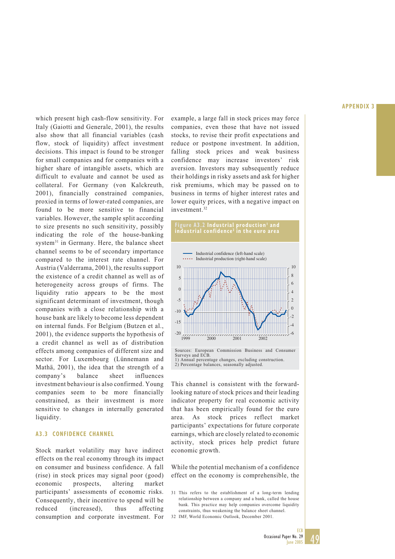which present high cash-flow sensitivity. For Italy (Gaiotti and Generale, 2001), the results also show that all financial variables (cash flow, stock of liquidity) affect investment decisions. This impact is found to be stronger for small companies and for companies with a higher share of intangible assets, which are difficult to evaluate and cannot be used as collateral. For Germany (von Kalckreuth, 2001), financially constrained companies, proxied in terms of lower-rated companies, are found to be more sensitive to financial variables. However, the sample split according to size presents no such sensitivity, possibly indicating the role of the house-banking system<sup>31</sup> in Germany. Here, the balance sheet channel seems to be of secondary importance compared to the interest rate channel. For Austria (Valderrama, 2001), the results support the existence of a credit channel as well as of heterogeneity across groups of firms. The liquidity ratio appears to be the most significant determinant of investment, though companies with a close relationship with a house bank are likely to become less dependent on internal funds. For Belgium (Butzen et al., 2001), the evidence supports the hypothesis of a credit channel as well as of distribution effects among companies of different size and sector. For Luxembourg (Lünnemann and Mathä, 2001), the idea that the strength of a company's balance sheet influences investment behaviour is also confirmed. Young companies seem to be more financially constrained, as their investment is more sensitive to changes in internally generated liquidity.

#### **A3.3 CONFIDENCE CHANNEL**

Stock market volatility may have indirect effects on the real economy through its impact on consumer and business confidence. A fall (rise) in stock prices may signal poor (good) economic prospects, altering market participants' assessments of economic risks. Consequently, their incentive to spend will be reduced (increased), thus affecting consumption and corporate investment. For example, a large fall in stock prices may force companies, even those that have not issued stocks, to revise their profit expectations and reduce or postpone investment. In addition, falling stock prices and weak business confidence may increase investors' risk aversion. Investors may subsequently reduce their holdings in risky assets and ask for higher risk premiums, which may be passed on to business in terms of higher interest rates and lower equity prices, with a negative impact on investment.32



This channel is consistent with the forwardlooking nature of stock prices and their leading indicator property for real economic activity that has been empirically found for the euro area. As stock prices reflect market participants' expectations for future corporate earnings, which are closely related to economic activity, stock prices help predict future economic growth.

While the potential mechanism of a confidence effect on the economy is comprehensible, the



<sup>31</sup> This refers to the establishment of a long-term lending relationship between a company and a bank, called the house bank. This practice may help companies overcome liquidity constraints, thus weakening the balance sheet channel.

<sup>32</sup> IMF, World Economic Outlook, December 2001.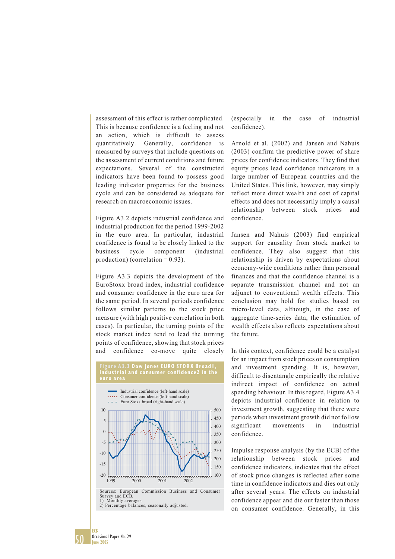assessment of this effect is rather complicated. This is because confidence is a feeling and not an action, which is difficult to assess quantitatively. Generally, confidence is measured by surveys that include questions on the assessment of current conditions and future expectations. Several of the constructed indicators have been found to possess good leading indicator properties for the business cycle and can be considered as adequate for research on macroeconomic issues.

Figure A3.2 depicts industrial confidence and industrial production for the period 1999-2002 in the euro area. In particular, industrial confidence is found to be closely linked to the business cycle component (industrial production) (correlation =  $0.93$ ).

Figure A3.3 depicts the development of the EuroStoxx broad index, industrial confidence and consumer confidence in the euro area for the same period. In several periods confidence follows similar patterns to the stock price measure (with high positive correlation in both cases). In particular, the turning points of the stock market index tend to lead the turning points of confidence, showing that stock prices and confidence co-move quite closely



confidence). Arnold et al. (2002) and Jansen and Nahuis

(especially in the case of industrial

(2003) confirm the predictive power of share prices for confidence indicators. They find that equity prices lead confidence indicators in a large number of European countries and the United States. This link, however, may simply reflect more direct wealth and cost of capital effects and does not necessarily imply a causal relationship between stock prices and confidence.

Jansen and Nahuis (2003) find empirical support for causality from stock market to confidence. They also suggest that this relationship is driven by expectations about economy-wide conditions rather than personal finances and that the confidence channel is a separate transmission channel and not an adjunct to conventional wealth effects. This conclusion may hold for studies based on micro-level data, although, in the case of aggregate time-series data, the estimation of wealth effects also reflects expectations about the future.

In this context, confidence could be a catalyst for an impact from stock prices on consumption and investment spending. It is, however, difficult to disentangle empirically the relative indirect impact of confidence on actual spending behaviour. In this regard, Figure A3.4 depicts industrial confidence in relation to investment growth, suggesting that there were periods when investment growth did not follow significant movements in industrial confidence.

Impulse response analysis (by the ECB) of the relationship between stock prices and confidence indicators, indicates that the effect of stock price changes is reflected after some time in confidence indicators and dies out only after several years. The effects on industrial confidence appear and die out faster than those on consumer confidence. Generally, in this

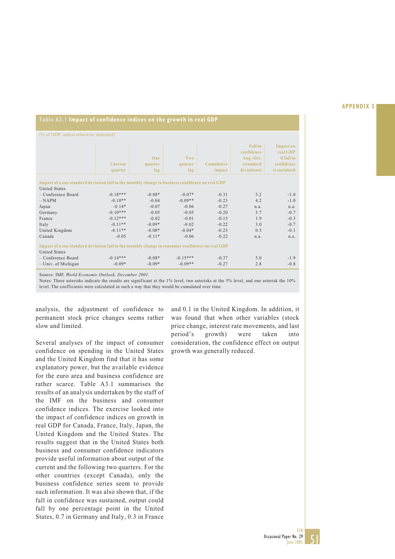#### **Table A3.1 Impact of confidence indices on the growth in real GDP**

| (% of GDP, unless otherwise indicated)                                                           |                |          |            |            |                   |                  |  |  |  |
|--------------------------------------------------------------------------------------------------|----------------|----------|------------|------------|-------------------|------------------|--|--|--|
|                                                                                                  |                |          |            |            |                   |                  |  |  |  |
|                                                                                                  |                |          |            |            | <b>Fall</b> in    | <b>Impact on</b> |  |  |  |
|                                                                                                  |                |          |            |            | confidence        | real GDP         |  |  |  |
|                                                                                                  |                | One      | Two        |            | Aug.-Oct.         | if fall in       |  |  |  |
|                                                                                                  | <b>Current</b> | quarter  | quarter    | Cumulative | <i>(standard)</i> | confidence       |  |  |  |
|                                                                                                  |                |          |            |            | deviations)       | is sustained     |  |  |  |
|                                                                                                  | quarter        | lag      | lag        | impact     |                   |                  |  |  |  |
|                                                                                                  |                |          |            |            |                   |                  |  |  |  |
| Impact of a one standard deviation fall in the monthly change in business confidence on real GDP |                |          |            |            |                   |                  |  |  |  |
| <b>United States</b>                                                                             |                |          |            |            |                   |                  |  |  |  |
| - Conference Board                                                                               | $-0.18***$     | $-0.08*$ | $-0.07*$   | $-0.31$    | 3.2               | $-1.0$           |  |  |  |
| $-$ NAPM                                                                                         | $-0.10**$      | $-0.04$  | $-0.09**$  | $-0.23$    | 4.2               | $-1.0$           |  |  |  |
| Japan                                                                                            | $-0.14*$       | $-0.07$  | $-0.06$    | $-0.27$    | n.a.              | n.a.             |  |  |  |
| Germany                                                                                          | $-0.10***$     | $-0.05$  | $-0.05$    | $-0.20$    | 3.7               | $-0.7$           |  |  |  |
| France                                                                                           | $-0.12***$     | $-0.02$  | $-0.01$    | $-0.15$    | 1.9               | $-0.3$           |  |  |  |
| Italy                                                                                            | $-0.11**$      | $-0.09*$ | $-0.02$    | $-0.22$    | 3.0               | $-0.7$           |  |  |  |
| United Kingdom                                                                                   | $-0.11**$      | $-0.08*$ | $-0.04*$   | $-0.23$    | 0.5               | $-0.1$           |  |  |  |
| Canada                                                                                           | $-0.05$        | $-0.11*$ | $-0.06$    | $-0.22$    | n.a.              | n.a.             |  |  |  |
|                                                                                                  |                |          |            |            |                   |                  |  |  |  |
| Impact of a one standard deviation fall in the monthly change in consumer confidence on real GDP |                |          |            |            |                   |                  |  |  |  |
| <b>United States</b>                                                                             |                |          |            |            |                   |                  |  |  |  |
| $-$ Conference Board                                                                             | $-0.14***$     | $-0.08*$ | $-0.15***$ | $-0.37$    | 5.0               | $-1.9$           |  |  |  |
| $-$ Univ. of Michigan                                                                            | $-0.09*$       | $-0.09*$ | $-0.09**$  | $-0.27$    | 2.8               | $-0.8$           |  |  |  |

Source: IMF, *World Economic Outlook, December 2001*.

Notes: Three asterisks indicate the results are significant at the 1% level, two asterisks at the 5% level, and one asterisk the 10% level. The coefficients were calculated in such a way that they would be cumulated over time.

analysis, the adjustment of confidence to permanent stock price changes seems rather slow and limited.

Several analyses of the impact of consumer confidence on spending in the United States and the United Kingdom find that it has some explanatory power, but the available evidence for the euro area and business confidence are rather scarce. Table A3.1 summarises the results of an analysis undertaken by the staff of the IMF on the business and consumer confidence indices. The exercise looked into the impact of confidence indices on growth in real GDP for Canada, France, Italy, Japan, the United Kingdom and the United States. The results suggest that in the United States both business and consumer confidence indicators provide useful information about output of the current and the following two quarters. For the other countries (except Canada), only the business confidence series seem to provide such information. It was also shown that, if the fall in confidence was sustained, output could fall by one percentage point in the United States, 0.7 in Germany and Italy, 0.3 in France

and 0.1 in the United Kingdom. In addition, it was found that when other variables (stock price change, interest rate movements, and last period's growth) were taken into consideration, the confidence effect on output growth was generally reduced.

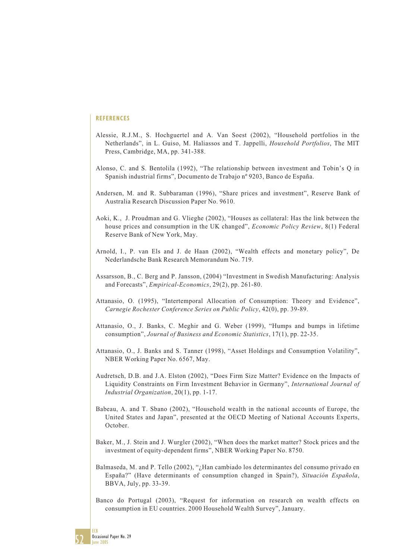- Alessie, R.J.M., S. Hochguertel and A. Van Soest (2002), "Household portfolios in the Netherlands", in L. Guiso, M. Haliassos and T. Jappelli, *Household Portfolios*, The MIT Press, Cambridge, MA, pp. 341-388.
- Alonso, C. and S. Bentolila (1992), "The relationship between investment and Tobin's Q in Spanish industrial firms", Documento de Trabajo nº 9203, Banco de España.
- Andersen, M. and R. Subbaraman (1996), "Share prices and investment", Reserve Bank of Australia Research Discussion Paper No. 9610.
- Aoki, K., J. Proudman and G. Vlieghe (2002), "Houses as collateral: Has the link between the house prices and consumption in the UK changed", *Economic Policy Review*, 8(1) Federal Reserve Bank of New York, May.
- Arnold, I., P. van Els and J. de Haan (2002), "Wealth effects and monetary policy", De Nederlandsche Bank Research Memorandum No. 719.
- Assarsson, B., C. Berg and P. Jansson, (2004) "Investment in Swedish Manufacturing: Analysis and Forecasts", *Empirical-Economics*, 29(2), pp. 261-80.
- Attanasio, O. (1995), "Intertemporal Allocation of Consumption: Theory and Evidence", *Carnegie Rochester Conference Series on Public Policy*, 42(0), pp. 39-89.
- Attanasio, O., J. Banks, C. Meghir and G. Weber (1999), "Humps and bumps in lifetime consumption", *Journal of Business and Economic Statistics*, 17(1), pp. 22-35.
- Attanasio, O., J. Banks and S. Tanner (1998), "Asset Holdings and Consumption Volatility", NBER Working Paper No. 6567, May.
- Audretsch, D.B. and J.A. Elston (2002), "Does Firm Size Matter? Evidence on the Impacts of Liquidity Constraints on Firm Investment Behavior in Germany", *International Journal of Industrial Organization*, 20(1), pp. 1-17.
- Babeau, A. and T. Sbano (2002), "Household wealth in the national accounts of Europe, the United States and Japan", presented at the OECD Meeting of National Accounts Experts, October.
- Baker, M., J. Stein and J. Wurgler (2002), "When does the market matter? Stock prices and the investment of equity-dependent firms", NBER Working Paper No. 8750.
- Balmaseda, M. and P. Tello (2002), "¿Han cambiado los determinantes del consumo privado en España?" (Have determinants of consumption changed in Spain?), *Situación Española*, BBVA, July, pp. 33-39.
- Banco do Portugal (2003), "Request for information on research on wealth effects on consumption in EU countries. 2000 Household Wealth Survey", January.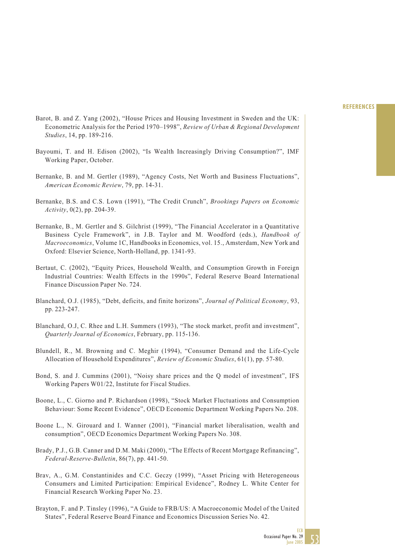- Barot, B. and Z. Yang (2002), "House Prices and Housing Investment in Sweden and the UK: Econometric Analysis for the Period 1970–1998", *Review of Urban & Regional Development Studies*, 14, pp. 189-216.
- Bayoumi, T. and H. Edison (2002), "Is Wealth Increasingly Driving Consumption?", IMF Working Paper, October.
- Bernanke, B. and M. Gertler (1989), "Agency Costs, Net Worth and Business Fluctuations", *American Economic Review*, 79, pp. 14-31.
- Bernanke, B.S. and C.S. Lown (1991), "The Credit Crunch", *Brookings Papers on Economic Activity*, 0(2), pp. 204-39.
- Bernanke, B., M. Gertler and S. Gilchrist (1999), "The Financial Accelerator in a Quantitative Business Cycle Framework", in J.B. Taylor and M. Woodford (eds.), *Handbook of Macroeconomics*, Volume 1C, Handbooks in Economics, vol. 15., Amsterdam, New York and Oxford: Elsevier Science, North-Holland, pp. 1341-93.
- Bertaut, C. (2002), "Equity Prices, Household Wealth, and Consumption Growth in Foreign Industrial Countries: Wealth Effects in the 1990s", Federal Reserve Board International Finance Discussion Paper No. 724.
- Blanchard, O.J. (1985), "Debt, deficits, and finite horizons", *Journal of Political Economy*, 93, pp. 223-247.
- Blanchard, O.J, C. Rhee and L.H. Summers (1993), "The stock market, profit and investment", *Quarterly Journal of Economics*, February, pp. 115-136.
- Blundell, R., M. Browning and C. Meghir (1994), "Consumer Demand and the Life-Cycle Allocation of Household Expenditures", *Review of Economic Studies*, 61(1), pp. 57-80.
- Bond, S. and J. Cummins (2001), "Noisy share prices and the Q model of investment", IFS Working Papers W01/22, Institute for Fiscal Studies.
- Boone, L., C. Giorno and P. Richardson (1998), "Stock Market Fluctuations and Consumption Behaviour: Some Recent Evidence", OECD Economic Department Working Papers No. 208.
- Boone L., N. Girouard and I. Wanner (2001), "Financial market liberalisation, wealth and consumption", OECD Economics Department Working Papers No. 308.
- Brady, P.J., G.B. Canner and D.M. Maki (2000), "The Effects of Recent Mortgage Refinancing", *Federal-Reserve-Bulletin*, 86(7), pp. 441-50.
- Brav, A., G.M. Constantinides and C.C. Geczy (1999), "Asset Pricing with Heterogeneous Consumers and Limited Participation: Empirical Evidence", Rodney L. White Center for Financial Research Working Paper No. 23.
- Brayton, F. and P. Tinsley (1996), "A Guide to FRB/US: A Macroeconomic Model of the United States", Federal Reserve Board Finance and Economics Discussion Series No. 42.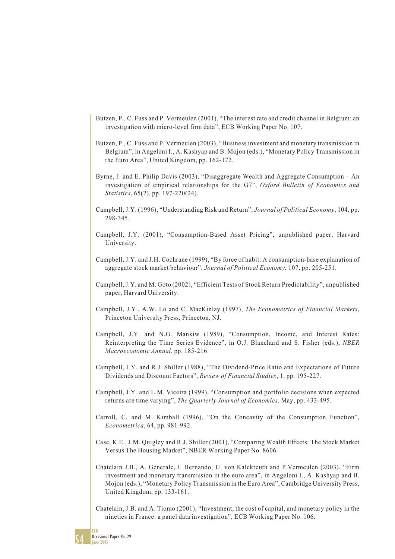- Butzen, P., C. Fuss and P. Vermeulen (2001), "The interest rate and credit channel in Belgium: an investigation with micro-level firm data", ECB Working Paper No. 107.
- Butzen, P., C. Fuss and P. Vermeulen (2003), "Business investment and monetary transmission in Belgium", in Angeloni I., A. Kashyap and B. Mojon (eds.), "Monetary Policy Transmission in the Euro Area", United Kingdom, pp. 162-172.
- Byrne, J. and E. Philip Davis (2003), "Disaggregate Wealth and Aggregate Consumption An investigation of empirical relationships for the G7", *Oxford Bulletin of Economics and Statistics*, 65(2), pp. 197-220(24).
- Campbell, J.Y. (1996), "Understanding Risk and Return", *Journal of Political Economy*, 104, pp. 298-345.
- Campbell, J.Y. (2001), "Consumption-Based Asset Pricing", unpublished paper, Harvard University.
- Campbell, J.Y. and J.H. Cochrane (1999), "By force of habit: A consumption-base explanation of aggregate stock market behaviour", *Journal of Political Economy*, 107, pp. 205-251.
- Campbell, J.Y. and M. Goto (2002), "Efficient Tests of Stock Return Predictability", unpublished paper, Harvard University.
- Campbell, J.Y., A.W. Lo and C. MacKinlay (1997), *The Econometrics of Financial Markets*, Princeton University Press, Princeton, NJ.
- Campbell, J.Y. and N.G. Mankiw (1989), "Consumption, Income, and Interest Rates: Reinterpreting the Time Series Evidence", in O.J. Blanchard and S. Fisher (eds.), *NBER Macroeconomic Annual*, pp. 185-216.
- Campbell, J.Y. and R.J. Shiller (1988), "The Dividend-Price Ratio and Expectations of Future Dividends and Discount Factors", *Review of Financial Studies*, 1, pp. 195-227.
- Campbell, J.Y. and L.M. Viceira (1999), "Consumption and portfolio decisions when expected returns are time varying", *The Quarterly Journal of Economics,* May, pp. 433-495.
- Carroll, C. and M. Kimball (1996), "On the Concavity of the Consumption Function", *Econometrica*, 64, pp. 981-992.
- Case, K.E., J.M. Quigley and R.J. Shiller (2001), "Comparing Wealth Effects: The Stock Market Versus The Housing Market", NBER Working Paper No. 8606.
- Chatelain J.B., A. Generale, I. Hernando, U. von Kalckreuth and P.Vermeulen (2003), "Firm investment and monetary transmission in the euro area", in Angeloni I., A. Kashyap and B. Mojon (eds.), "Monetary Policy Transmission in the Euro Area", Cambridge University Press, United Kingdom, pp. 133-161.
- Chatelain, J.B. and A. Tiomo (2001), "Investment, the cost of capital, and monetary policy in the nineties in France: a panel data investigation", ECB Working Paper No. 106.

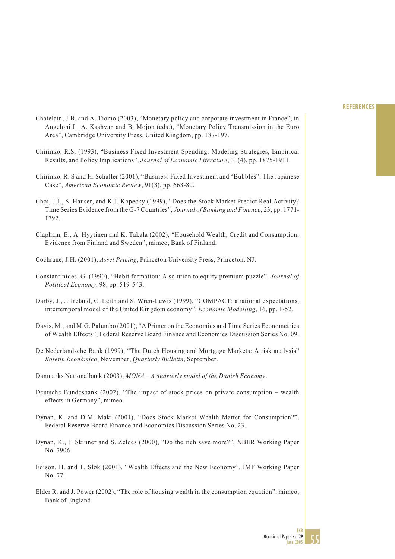- Chatelain, J.B. and A. Tiomo (2003), "Monetary policy and corporate investment in France", in Angeloni I., A. Kashyap and B. Mojon (eds.), "Monetary Policy Transmission in the Euro Area", Cambridge University Press, United Kingdom, pp. 187-197.
- Chirinko, R.S. (1993), "Business Fixed Investment Spending: Modeling Strategies, Empirical Results, and Policy Implications", *Journal of Economic Literature*, 31(4), pp. 1875-1911.
- Chirinko, R. S and H. Schaller (2001), "Business Fixed Investment and "Bubbles": The Japanese Case", *American Economic Review*, 91(3), pp. 663-80.
- Choi, J.J., S. Hauser, and K.J. Kopecky (1999), "Does the Stock Market Predict Real Activity? Time Series Evidence from the G-7 Countries", *Journal of Banking and Finance*, 23, pp. 1771- 1792.
- Clapham, E., A. Hyytinen and K. Takala (2002), "Household Wealth, Credit and Consumption: Evidence from Finland and Sweden", mimeo, Bank of Finland.
- Cochrane, J.H. (2001), *Asset Pricing*, Princeton University Press, Princeton, NJ.
- Constantinides, G. (1990), "Habit formation: A solution to equity premium puzzle", *Journal of Political Economy*, 98, pp. 519-543.
- Darby, J., J. Ireland, C. Leith and S. Wren-Lewis (1999), "COMPACT: a rational expectations, intertemporal model of the United Kingdom economy", *Economic Modelling*, 16, pp. 1-52.
- Davis, M., and M.G. Palumbo (2001), "A Primer on the Economics and Time Series Econometrics of Wealth Effects", Federal Reserve Board Finance and Economics Discussion Series No. 09.
- De Nederlandsche Bank (1999), "The Dutch Housing and Mortgage Markets: A risk analysis" *Boletín Económico*, November, *Quarterly Bulletin*, September.
- Danmarks Nationalbank (2003), *MONA A quarterly model of the Danish Economy*.
- Deutsche Bundesbank (2002), "The impact of stock prices on private consumption wealth effects in Germany", mimeo.
- Dynan, K. and D.M. Maki (2001), "Does Stock Market Wealth Matter for Consumption?", Federal Reserve Board Finance and Economics Discussion Series No. 23.
- Dynan, K., J. Skinner and S. Zeldes (2000), "Do the rich save more?", NBER Working Paper No. 7906.
- Edison, H. and T. Sløk (2001), "Wealth Effects and the New Economy", IMF Working Paper No. 77.
- Elder R. and J. Power (2002), "The role of housing wealth in the consumption equation", mimeo, Bank of England.

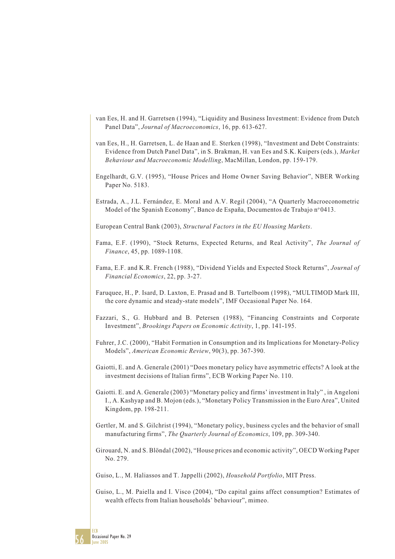- van Ees, H. and H. Garretsen (1994), "Liquidity and Business Investment: Evidence from Dutch Panel Data", *Journal of Macroeconomics*, 16, pp. 613-627.
- van Ees, H., H. Garretsen, L. de Haan and E. Sterken (1998), "Investment and Debt Constraints: Evidence from Dutch Panel Data", in S. Brakman, H. van Ees and S.K. Kuipers (eds.), *Market Behaviour and Macroeconomic Modelling*, MacMillan, London, pp. 159-179.
- Engelhardt, G.V. (1995), "House Prices and Home Owner Saving Behavior", NBER Working Paper No. 5183.
- Estrada, A., J.L. Fernández, E. Moral and A.V. Regil (2004), "A Quarterly Macroeconometric Model of the Spanish Economy", Banco de España, Documentos de Trabajo nº 0413.

European Central Bank (2003), *Structural Factors in the EU Housing Markets*.

- Fama, E.F. (1990), "Stock Returns, Expected Returns, and Real Activity", *The Journal of Finance*, 45, pp. 1089-1108.
- Fama, E.F. and K.R. French (1988), "Dividend Yields and Expected Stock Returns", *Journal of Financial Economics*, 22, pp. 3-27.
- Faruquee, H., P. Isard, D. Laxton, E. Prasad and B. Turtelboom (1998), "MULTIMOD Mark III, the core dynamic and steady-state models", IMF Occasional Paper No. 164.
- Fazzari, S., G. Hubbard and B. Petersen (1988), "Financing Constraints and Corporate Investment", *Brookings Papers on Economic Activity*, 1, pp. 141-195.
- Fuhrer, J.C. (2000), "Habit Formation in Consumption and its Implications for Monetary-Policy Models", *American Economic Review*, 90(3), pp. 367-390.
- Gaiotti, E. and A. Generale (2001) "Does monetary policy have asymmetric effects? A look at the investment decisions of Italian firms", ECB Working Paper No. 110.
- Gaiotti. E. and A. Generale (2003) "Monetary policy and firms' investment in Italy" , in Angeloni I., A. Kashyap and B. Mojon (eds.), "Monetary Policy Transmission in the Euro Area", United Kingdom, pp. 198-211.
- Gertler, M. and S. Gilchrist (1994), "Monetary policy, business cycles and the behavior of small manufacturing firms", *The Quarterly Journal of Economics*, 109, pp. 309-340.
- Girouard, N. and S. Blöndal (2002), "House prices and economic activity", OECD Working Paper No. 279.

Guiso, L., M. Haliassos and T. Jappelli (2002), *Household Portfolio*, MIT Press.

Guiso, L., M. Paiella and I. Visco (2004), "Do capital gains affect consumption? Estimates of wealth effects from Italian households' behaviour", mimeo.

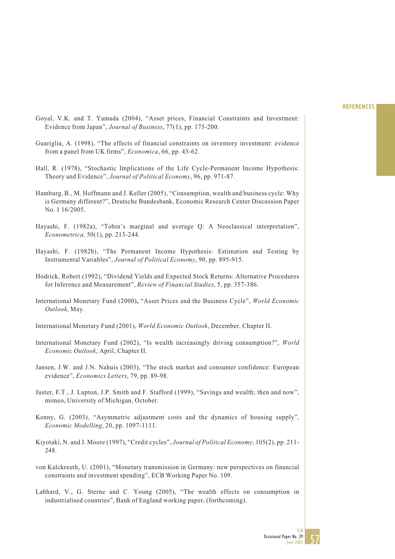- Goyal, V.K. and T. Yamada (2004), "Asset prices, Financial Constraints and Investment: Evidence from Japan", *Journal of Business*, 77(1), pp. 175-200.
- Guariglia, A. (1998), "The effects of financial constraints on inventory investment: evidence from a panel from UK firms", *Economica*, 66, pp. 43-62.
- Hall, R. (1978), "Stochastic Implications of the Life Cycle-Permanent Income Hypothesis: Theory and Evidence", *Journal of Political Economy*, 96, pp. 971-87.
- Hamburg, B., M. Hoffmann and J. Keller (2005), "Consumption, wealth and business cycle: Why is Germany different?", Deutsche Bundesbank, Economic Research Center Discussion Paper No. 1 16/2005.
- Hayashi, F. (1982a), "Tobin's marginal and average Q: A Neoclassical interpretation", *Econometrica,* 50(1), pp. 213-244.
- Hayashi, F. (1982b), "The Permanent Income Hypothesis: Estimation and Testing by Instrumental Variables", *Journal of Political Economy*, 90, pp. 895-915.
- Hodrick, Robert (1992), "Dividend Yields and Expected Stock Returns: Alternative Procedures for Inference and Measurement", *Review of Financial Studies*, 5, pp. 357-386.
- International Monetary Fund (2000)**,** "Asset Prices and the Business Cycle", *World Economic Outlook*, May.
- International Monetary Fund (2001), *World Economic Outlook*, December, Chapter II.
- International Monetary Fund (2002), "Is wealth increasingly driving consumption?", *World Economic Outlook*, April, Chapter II.
- Jansen, J.W. and J.N. Nahuis (2003), "The stock market and consumer confidence: European evidence", *Economics Letters*, 79, pp. 89-98.
- Juster, F.T., J. Lupton, J.P. Smith and F. Stafford (1999), "Savings and wealth; then and now", mimeo, University of Michigan, October.
- Kenny, G. (2003), "Asymmetric adjustment costs and the dynamics of housing supply"*, Economic Modelling*, 20, pp. 1097-1111.
- Kiyotaki, N. and J. Moore (1997), "Credit cycles", *Journal of Political Economy*, 105(2), pp. 211- 248.
- von Kalckreuth, U. (2001), "Monetary transmission in Germany: new perspectives on financial constraints and investment spending", ECB Working Paper No. 109.
- Labhard, V., G. Sterne and C. Young (2005), "The wealth effects on consumption in industrialised countries", Bank of England working paper, (forthcoming).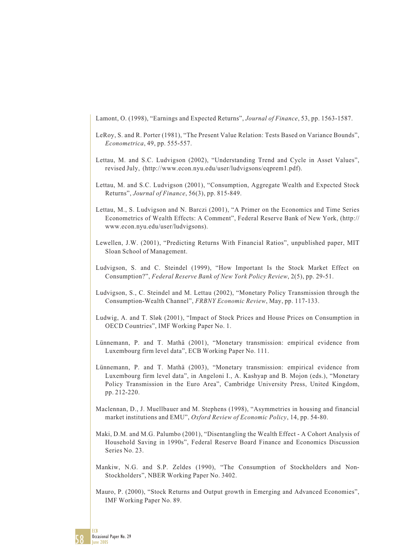Lamont, O. (1998), "Earnings and Expected Returns", *Journal of Finance*, 53, pp. 1563-1587.

- LeRoy, S. and R. Porter (1981), "The Present Value Relation: Tests Based on Variance Bounds", *Econometrica*, 49, pp. 555-557.
- Lettau, M. and S.C. Ludvigson (2002), "Understanding Trend and Cycle in Asset Values", revised July, (http://www.econ.nyu.edu/user/ludvigsons/eqprem1.pdf).
- Lettau, M. and S.C. Ludvigson (2001), "Consumption, Aggregate Wealth and Expected Stock Returns", *Journal of Finance*, 56(3), pp. 815-849.
- Lettau, M., S. Ludvigson and N. Barczi (2001), "A Primer on the Economics and Time Series Econometrics of Wealth Effects: A Comment", Federal Reserve Bank of New York, (http:// www.econ.nyu.edu/user/ludvigsons).
- Lewellen, J.W. (2001), "Predicting Returns With Financial Ratios", unpublished paper, MIT Sloan School of Management.
- Ludvigson, S. and C. Steindel (1999), "How Important Is the Stock Market Effect on Consumption?", *Federal Reserve Bank of New York Policy Review*, 2(5), pp. 29-51.
- Ludvigson, S., C. Steindel and M. Lettau (2002), "Monetary Policy Transmission through the Consumption-Wealth Channel", *FRBNY Economic Review*, May, pp. 117-133.
- Ludwig, A. and T. Sløk (2001), "Impact of Stock Prices and House Prices on Consumption in OECD Countries", IMF Working Paper No. 1.
- Lünnemann, P. and T. Mathä (2001), "Monetary transmission: empirical evidence from Luxembourg firm level data", ECB Working Paper No. 111.
- Lünnemann, P. and T. Mathä (2003), "Monetary transmission: empirical evidence from Luxembourg firm level data", in Angeloni I., A. Kashyap and B. Mojon (eds.), "Monetary Policy Transmission in the Euro Area", Cambridge University Press, United Kingdom, pp. 212-220.
- Maclennan, D., J. Muellbauer and M. Stephens (1998), "Asymmetries in housing and financial market institutions and EMU", *Oxford Review of Economic Policy*, 14, pp. 54-80.
- Maki, D.M. and M.G. Palumbo (2001), "Disentangling the Wealth Effect A Cohort Analysis of Household Saving in 1990s", Federal Reserve Board Finance and Economics Discussion Series No. 23.
- Mankiw, N.G. and S.P. Zeldes (1990), "The Consumption of Stockholders and Non-Stockholders", NBER Working Paper No. 3402.
- Mauro, P. (2000), "Stock Returns and Output growth in Emerging and Advanced Economies", IMF Working Paper No. 89.

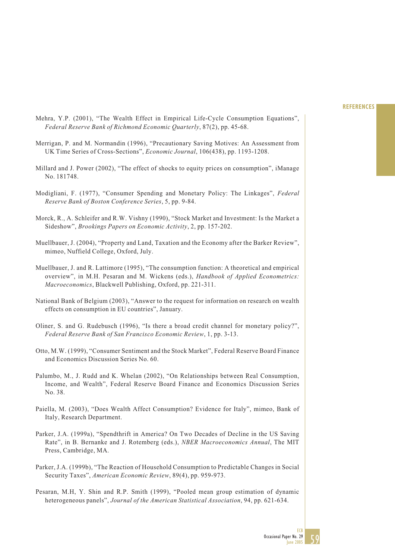- Mehra, Y.P. (2001), "The Wealth Effect in Empirical Life-Cycle Consumption Equations", *Federal Reserve Bank of Richmond Economic Quarterly*, 87(2), pp. 45-68.
- Merrigan, P. and M. Normandin (1996), "Precautionary Saving Motives: An Assessment from UK Time Series of Cross-Sections", *Economic Journal*, 106(438), pp. 1193-1208.
- Millard and J. Power (2002), "The effect of shocks to equity prices on consumption", iManage No. 181748.
- Modigliani, F. (1977), "Consumer Spending and Monetary Policy: The Linkages", *Federal Reserve Bank of Boston Conference Series*, 5, pp. 9-84.
- Morck, R., A. Schleifer and R.W. Vishny (1990), "Stock Market and Investment: Is the Market a Sideshow", *Brookings Papers on Economic Activity*, 2, pp. 157-202.
- Muellbauer, J. (2004), "Property and Land, Taxation and the Economy after the Barker Review", mimeo, Nuffield College, Oxford, July.
- Muellbauer, J. and R. Lattimore (1995), "The consumption function: A theoretical and empirical overview", in M.H. Pesaran and M. Wickens (eds.), *Handbook of Applied Econometrics: Macroeconomics*, Blackwell Publishing, Oxford, pp. 221-311.
- National Bank of Belgium (2003), "Answer to the request for information on research on wealth effects on consumption in EU countries", January.
- Oliner, S. and G. Rudebusch (1996), "Is there a broad credit channel for monetary policy?", *Federal Reserve Bank of San Francisco Economic Review*, 1, pp. 3-13.
- Otto, M.W. (1999), "Consumer Sentiment and the Stock Market", Federal Reserve Board Finance and Economics Discussion Series No. 60.
- Palumbo, M., J. Rudd and K. Whelan (2002), "On Relationships between Real Consumption, Income, and Wealth", Federal Reserve Board Finance and Economics Discussion Series No. 38.
- Paiella, M. (2003), "Does Wealth Affect Consumption? Evidence for Italy", mimeo, Bank of Italy, Research Department.
- Parker, J.A. (1999a), "Spendthrift in America? On Two Decades of Decline in the US Saving Rate", in B. Bernanke and J. Rotemberg (eds.), *NBER Macroeconomics Annual*, The MIT Press, Cambridge, MA.
- Parker, J.A. (1999b), "The Reaction of Household Consumption to Predictable Changes in Social Security Taxes", *American Economic Review*, 89(4), pp. 959-973.
- Pesaran, M.H, Y. Shin and R.P. Smith (1999), "Pooled mean group estimation of dynamic heterogeneous panels", *Journal of the American Statistical Association*, 94, pp. 621-634.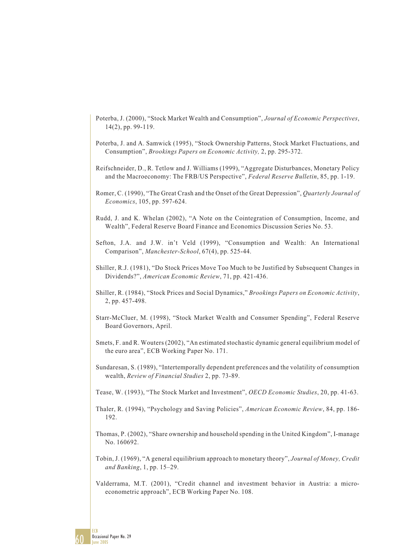- Poterba, J. (2000), "Stock Market Wealth and Consumption", *Journal of Economic Perspectives*, 14(2), pp. 99-119.
- Poterba, J. and A. Samwick (1995), "Stock Ownership Patterns, Stock Market Fluctuations, and Consumption", *Brookings Papers on Economic Activity,* 2, pp. 295-372.
- Reifschneider, D., R. Tetlow and J. Williams (1999), "Aggregate Disturbances, Monetary Policy and the Macroeconomy: The FRB/US Perspective", *Federal Reserve Bulletin*, 85, pp. 1-19.
- Romer, C. (1990), "The Great Crash and the Onset of the Great Depression", *Quarterly Journal of Economics*, 105, pp. 597-624.
- Rudd, J. and K. Whelan (2002), "A Note on the Cointegration of Consumption, Income, and Wealth", Federal Reserve Board Finance and Economics Discussion Series No. 53.
- Sefton, J.A. and J.W. in't Veld (1999), "Consumption and Wealth: An International Comparison", *Manchester-School*, 67(4), pp. 525-44.
- Shiller, R.J. (1981), "Do Stock Prices Move Too Much to be Justified by Subsequent Changes in Dividends?", *American Economic Review*, 71, pp. 421-436.
- Shiller, R. (1984), "Stock Prices and Social Dynamics," *Brookings Papers on Economic Activity*, 2, pp. 457-498.
- Starr-McCluer, M. (1998), "Stock Market Wealth and Consumer Spending", Federal Reserve Board Governors, April.
- Smets, F. and R. Wouters (2002), "An estimated stochastic dynamic general equilibrium model of the euro area", ECB Working Paper No. 171.
- Sundaresan, S. (1989), "Intertemporally dependent preferences and the volatility of consumption wealth, *Review of Financial Studies* 2, pp. 73-89.
- Tease, W. (1993), "The Stock Market and Investment", *OECD Economic Studies*, 20, pp. 41-63.
- Thaler, R. (1994), "Psychology and Saving Policies", *American Economic Review*, 84, pp. 186- 192.
- Thomas, P. (2002), "Share ownership and household spending in the United Kingdom", I-manage No. 160692.
- Tobin, J. (1969), "A general equilibrium approach to monetary theory", *Journal of Money, Credit and Banking*, 1, pp. 15–29.
- Valderrama, M.T. (2001), "Credit channel and investment behavior in Austria: a microeconometric approach", ECB Working Paper No. 108.

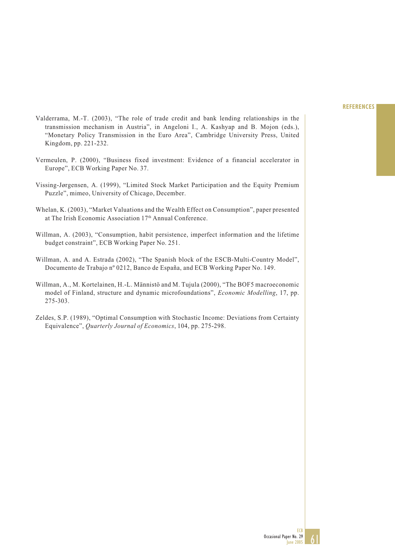- Valderrama, M.-T. (2003), "The role of trade credit and bank lending relationships in the transmission mechanism in Austria", in Angeloni I., A. Kashyap and B. Mojon (eds.), "Monetary Policy Transmission in the Euro Area", Cambridge University Press, United Kingdom, pp. 221-232.
- Vermeulen, P. (2000), "Business fixed investment: Evidence of a financial accelerator in Europe", ECB Working Paper No. 37.
- Vissing-Jørgensen, A. (1999), "Limited Stock Market Participation and the Equity Premium Puzzle", mimeo, University of Chicago, December.
- Whelan, K. (2003), "Market Valuations and the Wealth Effect on Consumption", paper presented at The Irish Economic Association 17<sup>th</sup> Annual Conference.
- Willman, A. (2003), "Consumption, habit persistence, imperfect information and the lifetime budget constraint", ECB Working Paper No. 251.
- Willman, A. and A. Estrada (2002), "The Spanish block of the ESCB-Multi-Country Model", Documento de Trabajo nº 0212, Banco de España, and ECB Working Paper No. 149.
- Willman, A., M. Kortelainen, H.-L. Männistö and M. Tujula (2000), "The BOF5 macroeconomic model of Finland, structure and dynamic microfoundations", *Economic Modelling*, 17, pp. 275-303.
- Zeldes, S.P. (1989), "Optimal Consumption with Stochastic Income: Deviations from Certainty Equivalence", *Quarterly Journal of Economics*, 104, pp. 275-298.

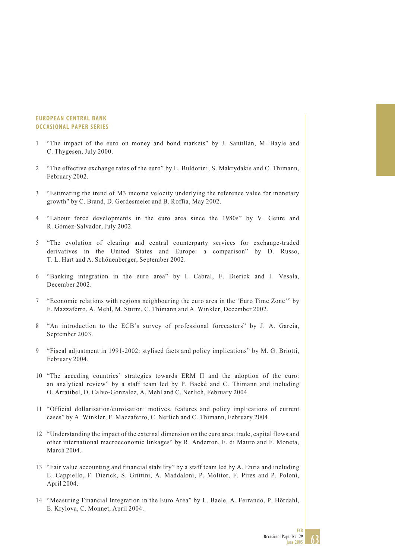#### **EUROPEAN CENTRAL BANK OCCASIONAL PAPER SERIES**

- 1 "The impact of the euro on money and bond markets" by J. Santillán, M. Bayle and C. Thygesen, July 2000.
- 2 "The effective exchange rates of the euro" by L. Buldorini, S. Makrydakis and C. Thimann, February 2002.
- 3 "Estimating the trend of M3 income velocity underlying the reference value for monetary growth" by C. Brand, D. Gerdesmeier and B. Roffia, May 2002.
- 4 "Labour force developments in the euro area since the 1980s" by V. Genre and R. Gómez-Salvador, July 2002.
- 5 "The evolution of clearing and central counterparty services for exchange-traded derivatives in the United States and Europe: a comparison" by D. Russo, T. L. Hart and A. Schönenberger, September 2002.
- 6 "Banking integration in the euro area" by I. Cabral, F. Dierick and J. Vesala, December 2002.
- 7 "Economic relations with regions neighbouring the euro area in the 'Euro Time Zone'" by F. Mazzaferro, A. Mehl, M. Sturm, C. Thimann and A. Winkler, December 2002.
- 8 "An introduction to the ECB's survey of professional forecasters" by J. A. Garcia, September 2003.
- 9 "Fiscal adjustment in 1991-2002: stylised facts and policy implications" by M. G. Briotti, February 2004.
- 10 "The acceding countries' strategies towards ERM II and the adoption of the euro: an analytical review" by a staff team led by P. Backé and C. Thimann and including O. Arratibel, O. Calvo-Gonzalez, A. Mehl and C. Nerlich, February 2004.
- 11 "Official dollarisation/euroisation: motives, features and policy implications of current cases" by A. Winkler, F. Mazzaferro, C. Nerlich and C. Thimann, February 2004.
- 12 "Understanding the impact of the external dimension on the euro area: trade, capital flows and other international macroeconomic linkages" by R. Anderton, F. di Mauro and F. Moneta, March 2004.
- 13 "Fair value accounting and financial stability" by a staff team led by A. Enria and including L. Cappiello, F. Dierick, S. Grittini, A. Maddaloni, P. Molitor, F. Pires and P. Poloni, April 2004.
- 14 "Measuring Financial Integration in the Euro Area" by L. Baele, A. Ferrando, P. Hördahl, E. Krylova, C. Monnet, April 2004.